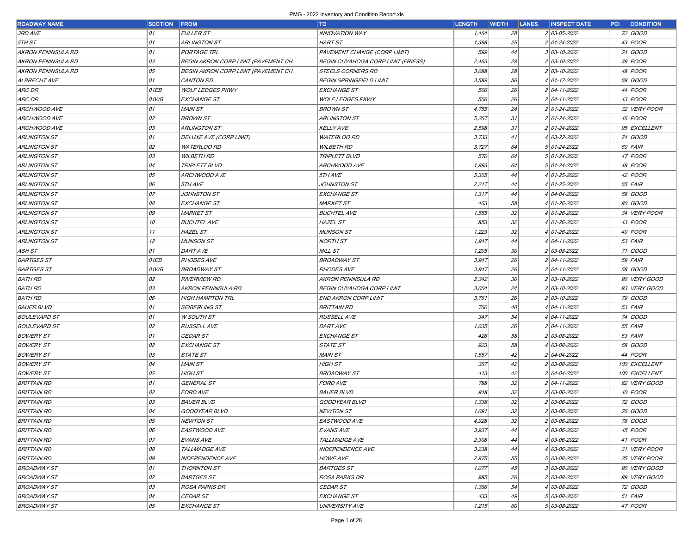| <b>ROADWAY NAME</b>       | <b>SECTION</b> | <b>FROM</b>                                | <b>TO</b>                                 | <b>LENGTH</b> | <b>WIDTH</b> | <b>INSPECT DATE</b><br><b>LANES</b> | CONDITION<br><b>PCI</b> |
|---------------------------|----------------|--------------------------------------------|-------------------------------------------|---------------|--------------|-------------------------------------|-------------------------|
| <i>3RD AVE</i>            | 01             | <b>FULLER ST</b>                           | <b>INNOVATION WAY</b>                     | 1,464         | 28           | 2 03-05-2022                        | 72 GOOD                 |
| 5TH ST                    | 01             | <b>ARLINGTON ST</b>                        | <b>HART ST</b>                            | 1,398         | 25           | 2 01-24-2022                        | $43$ POOR               |
| <b>AKRON PENINSULA RD</b> | 01             | PORTAGE TRL                                | PAVEMENT CHANGE (CORP LIMIT)              | 599           | 44           | 3 03-10-2022                        | 74 GOOD                 |
| <b>AKRON PENINSULA RD</b> | 03             | <b>BEGIN AKRON CORP LIMIT (PAVEMENT CH</b> | <b>BEGIN CUYAHOGA CORP LIMIT (FRIESS)</b> | 2,463         | 28           | 2 03-10-2022                        | $39$ POOR               |
| <b>AKRON PENINSULA RD</b> | 05             | <b>BEGIN AKRON CORP LIMIT (PAVEMENT CH</b> | STEELS CORNERS RD                         | 3,088         | 28           | 2 03-10-2022                        | 48 POOR                 |
| <b>ALBRECHT AVE</b>       | 01             | <b>CANTON RD</b>                           | <b>BEGIN SPRINGFIELD LIMIT</b>            | 3,589         | 56           | 4 01-17-2022                        | 68 GOOD                 |
| ARC DR                    | 01EB           | <b>WOLF LEDGES PKWY</b>                    | EXCHANGE ST                               | 506           | 26           | 2 04-11-2022                        | 44 <i>POOR</i>          |
| ARC DR                    | 01WB           | <b>EXCHANGE ST</b>                         | <b>WOLF LEDGES PKWY</b>                   | 506           | 26           | 2 04-11-2022                        | 43 <i>POOR</i>          |
| <i>ARCHWOOD AVE</i>       | 01             | <b>MAIN ST</b>                             | <i>BROWN ST</i>                           | 4,755         | 24           | 2 01-24-2022                        | 32 VERY POOR            |
| <i>ARCHWOOD AVE</i>       | 02             | <b>BROWN ST</b>                            | <b>ARLINGTON ST</b>                       | 5,267         | 31           | 2 01-24-2022                        | 46 <i>POOR</i>          |
| ARCHWOOD AVE              | 03             | <b>ARLINGTON ST</b>                        | KELLY AVE                                 | 2,598         | 31           | 2 01-24-2022                        | 95 EXCELLENT            |
| <b>ARLINGTON ST</b>       | 01             | DELUXE AVE (CORP LIMIT)                    | <b>WATERLOO RD</b>                        | 3,733         | 41           | 4 03-22-2022                        | 74 GOOD                 |
| <b>ARLINGTON ST</b>       | 02             | <b>WATERLOO RD</b>                         | <b>WILBETH RD</b>                         | 3,727         | 64           | 5 01-24-2022                        | 60 FAIR                 |
| ARLINGTON ST              | 03             | <b>WILBETH RD</b>                          | <b>TRIPLETT BLVD</b>                      | 570           | 64           | 5 01-24-2022                        | 47 <i>POOR</i>          |
| ARLINGTON ST              | 04             | <b>TRIPLETT BLVD</b>                       | <i>ARCHWOOD AVE</i>                       | 1,993         | 64           | 5 01-24-2022                        | 48 POOR                 |
| <b>ARLINGTON ST</b>       | 05             | <i>ARCHWOOD AVE</i>                        | 5TH AVE                                   | 5,305         | 44           | 4 01-25-2022                        | $42$ POOR               |
| <b>ARLINGTON ST</b>       | 06             | 5TH AVE                                    | JOHNSTON ST                               | 2,217         | 44           | 4 01-25-2022                        | 65 FAIR                 |
| <b>ARLINGTON ST</b>       | 07             | JOHNSTON ST                                | EXCHANGE ST                               | 1,317         | 44           | 4 04-04-2022                        | 68 GOOD                 |
| ARLINGTON ST              | 08             | <b>EXCHANGE ST</b>                         | <i>MARKET ST</i>                          | 463           | 58           | 4 01-26-2022                        | 80 GOOD                 |
| ARLINGTON ST              | 09             | <b>MARKET ST</b>                           | <b>BUCHTEL AVE</b>                        | 1,555         | 32           | 4 01-26-2022                        | 34 VERY POOR            |
| <b>ARLINGTON ST</b>       | 10             | <b>BUCHTEL AVE</b>                         | <b>HAZEL ST</b>                           | 853           | 32           | 4 01-26-2022                        | 43 <i>POOR</i>          |
| <b>ARLINGTON ST</b>       | 11             | <b>HAZEL ST</b>                            | <b>MUNSON ST</b>                          | 1,223         | 32           | 4 01-26-2022                        | 40 <i>POOR</i>          |
| <b>ARLINGTON ST</b>       | 12             | <b>MUNSON ST</b>                           | <b>NORTH ST</b>                           | 1,947         | 44           | 4 04-11-2022                        | $53$ FAIR               |
| ASH ST                    | 01             | DARTAVE                                    | MILL ST                                   | 1,205         | 30           | 2 03-08-2022                        | 71 GOOD                 |
| <i>BARTGES ST</i>         | 01EB           | <b>RHODES AVE</b>                          | <b>BROADWAY ST</b>                        | 3,947         | 26           | 2 04-11-2022                        | $59$ FAIR               |
| <b>BARTGES ST</b>         | 01WB           | <b>BROADWAY ST</b>                         | <b>RHODES AVE</b>                         | 3,947         | 26           | 2 04-11-2022                        | 68 GOOD                 |
| <i>BATH RD</i>            | 02             | <b>RIVERVIEW RD</b>                        | AKRON PENINSULA RD                        | 2,342         | 30           | 2 03-10-2022                        | 90 VERY GOOD            |
| <i>BATH RD</i>            | 03             | AKRON PENINSULA RD                         | <b>BEGIN CUYAHOGA CORP LIMIT</b>          | 3,004         | 24           | 2 03-10-2022                        | 83 VERY GOOD            |
| <i>BATH RD</i>            | 06             | <b>HIGH HAMPTON TRL</b>                    | <b>END AKRON CORP LIMIT</b>               | 3,761         | 26           | 2 03-10-2022                        | 79 GOOD                 |
| <i>BAUER BLVD</i>         | 01             | <b>SEIBERLING ST</b>                       | <b>BRITTAIN RD</b>                        | 760           | 40           | 4 04-11-2022                        | $53$ FAIR               |
| <i>BOULEVARD ST</i>       | 01             | <b>W SOUTH ST</b>                          | <b>RUSSELL AVE</b>                        | 347           | 54           | 4 04-11-2022                        | 74 GOOD                 |
| <i>BOULEVARD ST</i>       | 02             | RUSSELL AVE                                | DARTAVE                                   | 1,035         | 26           | 2 04-11-2022                        | $55$ $FAIR$             |
| <b>BOWERY ST</b>          | 01             | <b>CEDAR ST</b>                            | <b>EXCHANGE ST</b>                        | 426           | 58           | 2 03-08-2022                        | $53$ FAIR               |
| <b>BOWERY ST</b>          | 02             | <b>EXCHANGE ST</b>                         | <i>STATE ST</i>                           | 923           | 58           | 4 03-08-2022                        | 68 GOOD                 |
| <b>BOWERY ST</b>          | 03             | <i>STATE ST</i>                            | MAIN ST                                   | 1,557         | 42           | 2 04-04-2022                        | 44 <i>POOR</i>          |
| <b>BOWERY ST</b>          | 04             | <b>MAIN ST</b>                             | HIGH ST                                   | 367           | 42           | 2 03-08-2022                        | 100 EXCELLENT           |
| <b>BOWERY ST</b>          | 05             | <b>HIGH ST</b>                             | <b>BROADWAY ST</b>                        | 413           | 42           | 2 04-04-2022                        | 100 EXCELLENT           |
| <b>BRITTAIN RD</b>        | 01             | <b>GENERAL ST</b>                          | <i>FORD AVE</i>                           | 788           | 32           | 2 04-11-2022                        | 82 VERY GOOD            |
| <b>BRITTAIN RD</b>        | 02             | <i>FORD AVE</i>                            | <i>BAUER BLVD</i>                         | 948           | 32           | 2 03-06-2022                        | 40 <i>POOR</i>          |
| <b>BRITTAIN RD</b>        | 03             | <b>BAUER BLVD</b>                          | GOODYEAR BLVD                             | 1,338         | 32           | 2 03-06-2022                        | 72 GOOD                 |
| <b>BRITTAIN RD</b>        | 04             | GOODYEAR BLVD                              | <b>NEWTON ST</b>                          | 1,091         | 32           | 2 03-06-2022                        | 76 GOOD                 |
| <b>BRITTAIN RD</b>        | 05             | <b>NEWTON ST</b>                           | EASTWOOD AVE                              | 4,928         | 32           | 2 03-06-2022                        | 78 GOOD                 |
| <b>BRITTAIN RD</b>        | 06             | EASTWOOD AVE                               | <b>EVANS AVE</b>                          | 3,937         | 44           | 4 03-06-2022                        | 45 <i>POOR</i>          |
| <b>BRITTAIN RD</b>        | 07             | EVANS AVE                                  | <b>TALLMADGE AVE</b>                      | 2,308         | 44           | 4 03-06-2022                        | $41$ POOR               |
| <b>BRITTAIN RD</b>        | 08             | TALLMADGE AVE                              | <b>INDEPENDENCE AVE</b>                   | 3,238         | 44           | 4 03-06-2022                        | 31 VERY POOR            |
| <b>BRITTAIN RD</b>        | 09             | <b>INDEPENDENCE AVE</b>                    | <b>HOWE AVE</b>                           | 2,975         | 55           | 5 03-06-2022                        | 25 VERY POOR            |
| <b>BROADWAY ST</b>        | 01             | <b>THORNTON ST</b>                         | <b>BARTGES ST</b>                         | 1,077         | 45           | 3 03-08-2022                        | 90 VERY GOOD            |
| <b>BROADWAY ST</b>        | 02             | <b>BARTGES ST</b>                          | <b>ROSA PARKS DR</b>                      | 985           | 26           | 2 03-08-2022                        | 89 VERY GOOD            |
| <b>BROADWAY ST</b>        | 03             | ROSA PARKS DR                              | <i>CEDAR ST</i>                           | 1,366         | 54           | 4 03-08-2022                        | 72 GOOD                 |
| <b>BROADWAY ST</b>        | 04             | CEDAR ST                                   | EXCHANGE ST                               | 433           | 49           | 5 03-08-2022                        | $61$ FAIR               |
| <b>BROADWAY ST</b>        | 05             | EXCHANGE ST                                | UNIVERSITY AVE                            | 1,215         | 60           | 5 03-08-2022                        | 47 POOR                 |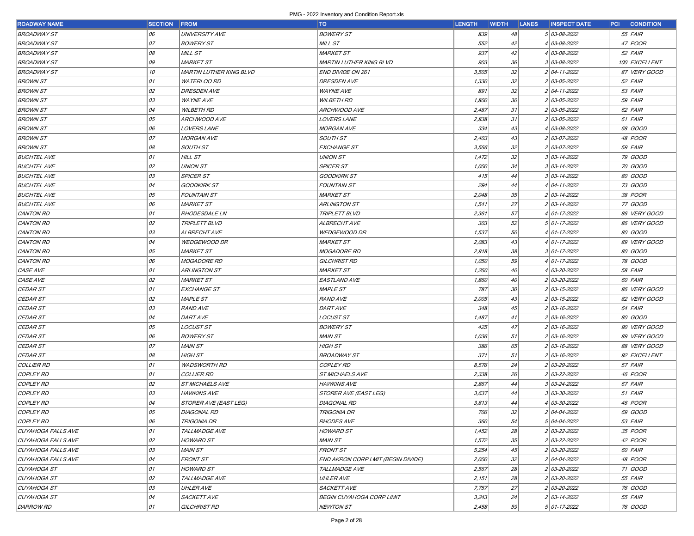| <b>ROADWAY NAME</b> | <b>SECTION FROM</b> |                                | <b>TO</b>                          | <b>LENGTH</b> | <b>WIDTH LANES</b> | <b>INSPECT DATE</b> | <b>PCI CONDITION</b> |
|---------------------|---------------------|--------------------------------|------------------------------------|---------------|--------------------|---------------------|----------------------|
| <b>BROADWAY ST</b>  | 06                  | <b>UNIVERSITY AVE</b>          | <b>BOWERY ST</b>                   | 839           | 48                 | 5 03-08-2022        | $55$ FAIR            |
| <b>BROADWAY ST</b>  | 07                  | <b>BOWERY ST</b>               | MILL ST                            | 552           | 42                 | 4 03-08-2022        | 47 POOR              |
| <b>BROADWAY ST</b>  | 08                  | MILL ST                        | <b>MARKET ST</b>                   | 937           | 42                 | 4 03-08-2022        | $52$ FAIR            |
| <b>BROADWAY ST</b>  | 09                  | <b>MARKET ST</b>               | <b>MARTIN LUTHER KING BLVD</b>     | 903           | 36                 | 3 03-08-2022        | 100 EXCELLENT        |
| <b>BROADWAY ST</b>  | 10                  | <b>MARTIN LUTHER KING BLVD</b> | END DIVIDE ON 261                  | 3,505         | 32                 | 2 04-11-2022        | 87 VERY GOOD         |
| <b>BROWN ST</b>     | 01                  | <b>WATERLOO RD</b>             | <b>DRESDEN AVE</b>                 | 1,330         | 32                 | 2 03-05-2022        | $52$ FAIR            |
| <b>BROWN ST</b>     | 02                  | <b>DRESDEN AVE</b>             | <b>WAYNE AVE</b>                   | 891           | 32                 | 2 04-11-2022        | $53$ FAIR            |
| <b>BROWN ST</b>     | 03                  | <b>WAYNE AVE</b>               | <b>WILBETH RD</b>                  | <i>1,800</i>  | 30                 | 2 03-05-2022        | $59$ FAIR            |
| <b>BROWN ST</b>     | 04                  | <b>WILBETH RD</b>              | ARCHWOOD AVE                       | 2,487         | 31                 | 2 03-05-2022        | 62 FAIR              |
| <b>BROWN ST</b>     | 05                  | <b>ARCHWOOD AVE</b>            | <b>LOVERS LANE</b>                 | 2,838         | 31                 | 2 03-05-2022        | 61 FAIR              |
| <b>BROWN ST</b>     | 06                  | <b>LOVERS LANE</b>             | <b>MORGAN AVE</b>                  | 334           | 43                 | 4 03-08-2022        | 68 GOOD              |
| <b>BROWN ST</b>     | 07                  | <b>MORGAN AVE</b>              | <b>SOUTH ST</b>                    | 2,403         | 43                 | 2 03-07-2022        | 48 <i>POOR</i>       |
| <b>BROWN ST</b>     | 08                  | <b>SOUTH ST</b>                | EXCHANGE ST                        | 3,566         | 32                 | 2 03-07-2022        | $59$ FAIR            |
| <b>BUCHTEL AVE</b>  | 01                  | HILL ST                        | <b>UNION ST</b>                    | 1,472         | 32                 | $3 03 - 14 - 2022$  | 79 GOOD              |
| <b>BUCHTEL AVE</b>  | 02                  | <b>UNION ST</b>                | <b>SPICER ST</b>                   | 1,000         | 34                 | $3 03 - 14 - 2022$  | 70 GOOD              |
| <b>BUCHTEL AVE</b>  | 03                  | <b>SPICER ST</b>               | <b>GOODKIRK ST</b>                 | 415           | 44                 | $3 03 - 14 - 2022$  | 80 GOOD              |
| <b>BUCHTEL AVE</b>  | 04                  | <b>GOODKIRK ST</b>             | <b>FOUNTAIN ST</b>                 | 294           | 44                 | 4 04-11-2022        | 73 GOOD              |
| <b>BUCHTEL AVE</b>  | 05                  | <b>FOUNTAIN ST</b>             | <b>MARKET ST</b>                   | 2,048         | 35                 | 2 03-14-2022        | 38 <i>POOR</i>       |
| <b>BUCHTEL AVE</b>  | 06                  | <b>MARKET ST</b>               | <b>ARLINGTON ST</b>                | 1,541         | 27                 | 2 03-14-2022        | 77 GOOD              |
| <b>CANTON RD</b>    | 01                  | <b>RHODESDALE LN</b>           | TRIPLETT BLVD                      | 2,361         | 57                 | $4 01-17-2022$      | 86 VERY GOOD         |
| <b>CANTON RD</b>    | 02                  | <b>TRIPLETT BLVD</b>           | <b>ALBRECHT AVE</b>                | 303           | 52                 | $501-17-2022$       | 86 VERY GOOD         |
| <b>CANTON RD</b>    | 03                  | <b>ALBRECHT AVE</b>            | <b>WEDGEWOOD DR</b>                | 1,537         | 50                 | 4 01-17-2022        | 80 GOOD              |
| <b>CANTON RD</b>    | 04                  | <b>WEDGEWOOD DR</b>            | <b>MARKET ST</b>                   | 2,083         | 43                 | 4 01-17-2022        | 89 VERY GOOD         |
| <b>CANTON RD</b>    | 05                  | <b>MARKET ST</b>               | <b>MOGADORE RD</b>                 | 2,918         | 38                 | $3 01-17-2022$      | 80 GOOD              |
| <b>CANTON RD</b>    | 06                  | <b>MOGADORE RD</b>             | GILCHRIST RD                       | <i>1,050</i>  | 59                 | 4 01-17-2022        | 78 GOOD              |
| CASE AVE            | 01                  | ARLINGTON ST                   | <b>MARKET ST</b>                   | 1,260         | 40                 | 4 03-20-2022        | 58 FAIR              |
| CASE AVE            | 02                  | <b>MARKET ST</b>               | <b>EASTLAND AVE</b>                | 1,860         | 40                 | 2 03-20-2022        | 60 FAIR              |
| <b>CEDAR ST</b>     | 01                  | <b>EXCHANGE ST</b>             | <b>MAPLE ST</b>                    | 787           | 30                 | 2 03-15-2022        | 86 VERY GOOD         |
| <b>CEDAR ST</b>     | 02                  | <b>MAPLE ST</b>                | <b>RAND AVE</b>                    | 2,005         | 43                 | $2 03 - 15 - 2022$  | 82 VERY GOOD         |
| <b>CEDAR ST</b>     | 03                  | <b>RAND AVE</b>                | DARTAVE                            | 348           | 45                 | 2 03-16-2022        | 64 FAIR              |
| <b>CEDAR ST</b>     | 04                  | <b>DART AVE</b>                | LOCUST ST                          | 1,487         | 41                 | 2 03-16-2022        | 80 GOOD              |
| <b>CEDAR ST</b>     | 05                  | <b>LOCUST ST</b>               | <b>BOWERY ST</b>                   | 425           | 47                 | 2 03-16-2022        | 90 VERY GOOD         |
| <b>CEDAR ST</b>     | 06                  | <b>BOWERY ST</b>               | <b>MAIN ST</b>                     | 1,036         | 51                 | 2 03-16-2022        | 89 VERY GOOD         |
| <b>CEDAR ST</b>     | 07                  | <b>MAIN ST</b>                 | <b>HIGH ST</b>                     | 386           | 65                 | $2 03 - 16 - 2022$  | 88 VERY GOOD         |
| <b>CEDAR ST</b>     | 08                  | <b>HIGH ST</b>                 | <b>BROADWAY ST</b>                 | 371           | 51                 | 2 03-16-2022        | 92 EXCELLENT         |
| <b>COLLIER RD</b>   | 01                  | <b>WADSWORTH RD</b>            | <b>COPLEY RD</b>                   | 8,576         | 24                 | 2 03-29-2022        | $57$ FAIR            |
| COPLEY RD           | 01                  | <b>COLLIER RD</b>              | ST MICHAELS AVE                    | 2,338         | 26                 | 2 03-22-2022        | 46 <i>POOR</i>       |
| <b>COPLEY RD</b>    | 02                  | <b>ST MICHAELS AVE</b>         | <b>HAWKINS AVE</b>                 | 2,867         | 44                 | 3 03-24-2022        | 67 FAIR              |
| <b>COPLEY RD</b>    | 03                  | <b>HAWKINS AVE</b>             | STORER AVE (EAST LEG)              | 3,637         | 44                 | 3 03-30-2022        | $51$ FAIR            |
| <b>COPLEY RD</b>    | 04                  | STORER AVE (EAST LEG)          | <b>DIAGONAL RD</b>                 | 3,813         | 44                 | 4 03-30-2022        | 46 <i>POOR</i>       |
| COPLEY RD           | 05                  | DIAGONAL RD                    | <b>TRIGONIA DR</b>                 | 706           | 32                 | 2 04-04-2022        | 69 GOOD              |
| <b>COPLEY RD</b>    | 06                  | TRIGONIA DR                    | <i>RHODES AVE</i>                  | 360           | 54                 | 5 04-04-2022        | $53$ FAIR            |
| CUYAHOGA FALLS AVE  | 01                  | TALLMADGE AVE                  | <b>HOWARD ST</b>                   | 1,452         | 28                 | 2 03-22-2022        | $35$ POOR            |
| CUYAHOGA FALLS AVE  | 02                  | <b>HOWARD ST</b>               | <b>MAIN ST</b>                     | 1,572         | 35                 | 2 03-22-2022        | $42$ POOR            |
| CUYAHOGA FALLS AVE  | 03                  | <b>MAIN ST</b>                 | <b>FRONT ST</b>                    | 5,254         | 45                 | 2 03-20-2022        | 60 FAIR              |
| CUYAHOGA FALLS AVE  | 04                  | <b>FRONT ST</b>                | END AKRON CORP LMIT (BEGIN DIVIDE) | 2,000         | 32                 | 2 04-04-2022        | 48 <i>POOR</i>       |
| CUYAHOGA ST         | 01                  | <b>HOWARD ST</b>               | <b>TALLMADGE AVE</b>               | 2,567         | 28                 | 2 03-20-2022        | 71 GOOD              |
| CUYAHOGA ST         | 02                  | TALLMADGE AVE                  | <b>UHLER AVE</b>                   | 2,151         | 28                 | 2 03-20-2022        | $55$ FAIR            |
| CUYAHOGA ST         | 03                  | <b>UHLER AVE</b>               | <b>SACKETT AVE</b>                 | 7,757         | 27                 | 2 03-20-2022        | 76 GOOD              |
| CUYAHOGA ST         | 04                  | <b>SACKETT AVE</b>             | <b>BEGIN CUYAHOGA CORP LIMIT</b>   | 3,243         | 24                 | 2 03-14-2022        | $55$ FAIR            |
| <b>DARROW RD</b>    | 01                  | <b>GILCHRIST RD</b>            | <b>NEWTON ST</b>                   | 2,458         | 59                 | $501-17-2022$       | 76 GOOD              |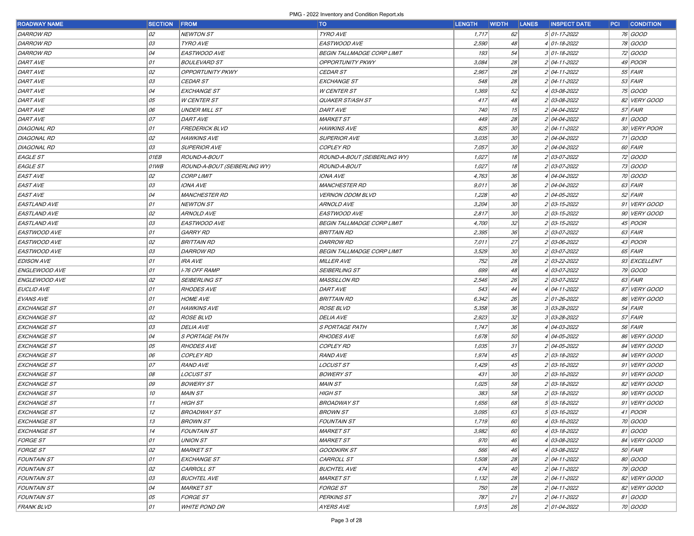| <b>ROADWAY NAME</b>  | <b>SECTION FROM</b> |                              | <b>TO</b>                         | <b>LENGTH</b> | <b>WIDTH</b> | <b>LANES</b> | <b>INSPECT DATE</b> | <b>PCI CONDITION</b> |
|----------------------|---------------------|------------------------------|-----------------------------------|---------------|--------------|--------------|---------------------|----------------------|
| <i>DARROW RD</i>     | 02                  | <b>NEWTON ST</b>             | TYRO AVE                          | 1,717         | 62           |              | $501-17-2022$       | 76 GOOD              |
| <i>DARROW RD</i>     | 03                  | <b>TYRO AVE</b>              | <i>EASTWOOD AVE</i>               | 2,590         | 48           |              | $4 01-18-2022$      | 78 GOOD              |
| <i>DARROW RD</i>     | 04                  | EASTWOOD AVE                 | <b>BEGIN TALLMADGE CORP LIMIT</b> | 193           | 54           |              | $3 01-18-2022$      | 72 GOOD              |
| <i>DART AVE</i>      | 01                  | <b>BOULEVARD ST</b>          | <b>OPPORTUNITY PKWY</b>           | 3,084         | 28           |              | 2 04-11-2022        | 49 <i>POOR</i>       |
| <i>DART AVE</i>      | 02                  | <b>OPPORTUNITY PKWY</b>      | <i>CEDAR ST</i>                   | 2,967         | 28           |              | 2 04-11-2022        | $55$ $FAIR$          |
| <i>DART AVE</i>      | 03                  | <b>CEDAR ST</b>              | EXCHANGE ST                       | 548           | 28           |              | 2 04-11-2022        | $53$ $FAIR$          |
| <i>DART AVE</i>      | 04                  | <b>EXCHANGE ST</b>           | <b>W CENTER ST</b>                | 1,369         | 52           |              | 4 03-08-2022        | 75 GOOD              |
| <i>DART AVE</i>      | 05                  | <b>W CENTER ST</b>           | QUAKER ST/ASH ST                  | 417           | 48           |              | 2 03-08-2022        | 82 VERY GOOD         |
| <i>DART AVE</i>      | 06                  | <b>UNDER MILL ST</b>         | <i>DART AVE</i>                   | 740           | 15           |              | 2 04-04-2022        | $57$ FAIR            |
| <i>DART AVE</i>      | 07                  | DARTAVE                      | <i>MARKET ST</i>                  | 449           | 28           |              | 2 04-04-2022        | 81 GOOD              |
| DIAGONAL RD          | 01                  | FREDERICK BLVD               | <i>HAWKINS AVE</i>                | 825           | 30           |              | 2 04-11-2022        | 30 VERY POOR         |
| DIAGONAL RD          | 02                  | <b>HAWKINS AVE</b>           | <b>SUPERIOR AVE</b>               | 3,035         | 30           |              | 2 04-04-2022        | 71 GOOD              |
| DIAGONAL RD          | 03                  | <b>SUPERIOR AVE</b>          | <b>COPLEY RD</b>                  | 7,057         | 30           |              | 2 04-04-2022        | 60 FAIR              |
| EAGLE ST             | 01EB                | ROUND-A-BOUT                 | ROUND-A-BOUT (SEIBERLING WY)      | 1,027         | 18           |              | 2 03-07-2022        | 72 GOOD              |
| EAGLE ST             | 01WB                | ROUND-A-BOUT (SEIBERLING WY) | <i>ROUND-A-BOUT</i>               | 1,027         | 18           |              | 2 03-07-2022        | 73 GOOD              |
| <i>EAST AVE</i>      | 02                  | <b>CORP LIMIT</b>            | IONA AVE                          | 4,763         | 36           |              | 4 04-04-2022        | 70 GOOD              |
| <i>EAST AVE</i>      | 03                  | <b>IONA AVE</b>              | <i>MANCHESTER RD</i>              | 9,011         | 36           |              | 2 04-04-2022        | $63$ $FAIR$          |
| <i>EAST AVE</i>      | 04                  | <b>MANCHESTER RD</b>         | <b>VERNON ODOM BLVD</b>           | 1,228         | 40           |              | 2 04-05-2022        | $52$ FAIR            |
| EASTLAND AVE         | 01                  | <b>NEWTON ST</b>             | ARNOLD AVE                        | 3,204         | 30           |              | 2 03-15-2022        | 91 VERY GOOD         |
| EASTLAND AVE         | 02                  | <b>ARNOLD AVE</b>            | EASTWOOD AVE                      | 2,817         | 30           |              | 2 03-15-2022        | 90 VERY GOOD         |
| EASTLAND AVE         | 03                  | EASTWOOD AVE                 | BEGIN TALLMADGE CORP LIMIT        | 4,700         | 32           |              | 2 03-15-2022        | 45 <i>POOR</i>       |
| <i>EASTWOOD AVE</i>  | 01                  | <b>GARRY RD</b>              | <i>BRITTAIN RD</i>                | 2,395         | 36           |              | 2 03-07-2022        | $63$ $FAIR$          |
| <i>EASTWOOD AVE</i>  | 02                  | <b>BRITTAIN RD</b>           | <b>DARROW RD</b>                  | 7,011         | 27           |              | 2 03-06-2022        | 43 <i>POOR</i>       |
| <i>EASTWOOD AVE</i>  | 03                  | <b>DARROW RD</b>             | BEGIN TALLMADGE CORP LIMIT        | 3,529         | 30           |              | 2 03-07-2022        | 65 FAIR              |
| <b>EDISON AVE</b>    | 01                  | <b>IRA AVE</b>               | <b>MILLER AVE</b>                 | 752           | 28           |              | 2 03-22-2022        | 93 EXCELLENT         |
| ENGLEWOOD AVE        | 01                  | <b>I-76 OFF RAMP</b>         | <i>SEIBERLING ST</i>              | 699           | 48           |              | 4 03-07-2022        | 79 GOOD              |
| <i>ENGLEWOOD AVE</i> | 02                  | <b>SEIBERLING ST</b>         | MASSILLON RD                      | 2,546         | 26           |              | 2 03-07-2022        | $63$ $FAIR$          |
| <i>EUCLID AVE</i>    | 01                  | <b>RHODES AVE</b>            | DARTAVE                           | 543           | 44           |              | 4 04-11-2022        | 87 VERY GOOD         |
| <i>EVANS AVE</i>     | 01                  | <b>HOME AVE</b>              | <b>BRITTAIN RD</b>                | 6,342         | 26           |              | 2 01-26-2022        | 86 VERY GOOD         |
| EXCHANGE ST          | 01                  | <b>HAWKINS AVE</b>           | <i>ROSE BLVD</i>                  | 5,358         | 36           |              | 3 03-28-2022        | $54$ FAIR            |
| EXCHANGE ST          | 02                  | <b>ROSE BLVD</b>             | <i>DELIA AVE</i>                  | 2,923         | 32           |              | 3 03-28-2022        | 57 FAIR              |
| EXCHANGE ST          | 03                  | <b>DELIA AVE</b>             | S PORTAGE PATH                    | 1,747         | 36           |              | 4 04-03-2022        | 56 FAIR              |
| EXCHANGE ST          | 04                  | S PORTAGE PATH               | <b>RHODES AVE</b>                 | 1,678         | 50           |              | 4 04-05-2022        | 86 VERY GOOD         |
| EXCHANGE ST          | 05                  | <b>RHODES AVE</b>            | <b>COPLEY RD</b>                  | 1,035         | 31           |              | 2 04-05-2022        | 84 VERY GOOD         |
| EXCHANGE ST          | 06                  | <b>COPLEY RD</b>             | <i>RAND AVE</i>                   | 1,974         | 45           |              | 2 03-18-2022        | 84 VERY GOOD         |
| EXCHANGE ST          | 07                  | <b>RAND AVE</b>              | <i>LOCUST ST</i>                  | 1,429         | 45           |              | 2 03-16-2022        | 91 VERY GOOD         |
| EXCHANGE ST          | 08                  | <b>LOCUST ST</b>             | <i>BOWERY ST</i>                  | 431           | 30           |              | 2 03-16-2022        | 91 VERY GOOD         |
| EXCHANGE ST          | 09                  | <b>BOWERY ST</b>             | MAIN ST                           | 1,025         | 58           |              | 2 03-18-2022        | 82 VERY GOOD         |
| EXCHANGE ST          | 10                  | <b>MAIN ST</b>               | HIGH ST                           | 383           | 58           |              | 2 03-18-2022        | 90 VERY GOOD         |
| EXCHANGE ST          | 11                  | <b>HIGH ST</b>               | <i>BROADWAY ST</i>                | 1,656         | 68           |              | 5 03-18-2022        | 91 VERY GOOD         |
| EXCHANGE ST          | 12                  | <b>BROADWAY ST</b>           | <b>BROWN ST</b>                   | 3,095         | 63           |              | $503 - 16 - 2022$   | $41$ POOR            |
| EXCHANGE ST          | 13                  | <b>BROWN ST</b>              | <i>FOUNTAIN ST</i>                | 1,719         | 60           |              | 4 03-16-2022        | 70 GOOD              |
| EXCHANGE ST          | 14                  | <b>FOUNTAIN ST</b>           | <b>MARKET ST</b>                  | 3,982         | 60           |              | 4 03-18-2022        | 81 GOOD              |
| <i>FORGE ST</i>      | 01                  | <b>UNION ST</b>              | <i>MARKET ST</i>                  | 970           | 46           |              | 4 03-08-2022        | 84 VERY GOOD         |
| <i>FORGE ST</i>      | 02                  | <b>MARKET ST</b>             | <b>GOODKIRK ST</b>                | 566           | 46           |              | 4 03-08-2022        | $50$ FAIR            |
| <i>FOUNTAIN ST</i>   | 01                  | <b>EXCHANGE ST</b>           | CARROLL ST                        | 1,508         | 28           |              | 2 04-11-2022        | 80 GOOD              |
| <i>FOUNTAIN ST</i>   | 02                  | CARROLL ST                   | <b>BUCHTEL AVE</b>                | 474           | 40           |              | 2 04-11-2022        | 79 GOOD              |
| <b>FOUNTAIN ST</b>   | 03                  | <b>BUCHTEL AVE</b>           | MARKET ST                         | 1,132         | 28           |              | 2 04-11-2022        | 82 VERY GOOD         |
| <i>FOUNTAIN ST</i>   | 04                  | <b>MARKET ST</b>             | <i>FORGE ST</i>                   | <i>750</i>    | 28           |              | 2 04-11-2022        | 82 VERY GOOD         |
| <b>FOUNTAIN ST</b>   | 05                  | <b>FORGE ST</b>              | PERKINS ST                        | 787           | 21           |              | 2 04-11-2022        | 81 GOOD              |
| <i>FRANK BLVD</i>    | 01                  | <b>WHITE POND DR</b>         | <i>AYERS AVE</i>                  | 1,915         | 26           |              | 2 01-04-2022        | 70 GOOD              |
|                      |                     |                              |                                   |               |              |              |                     |                      |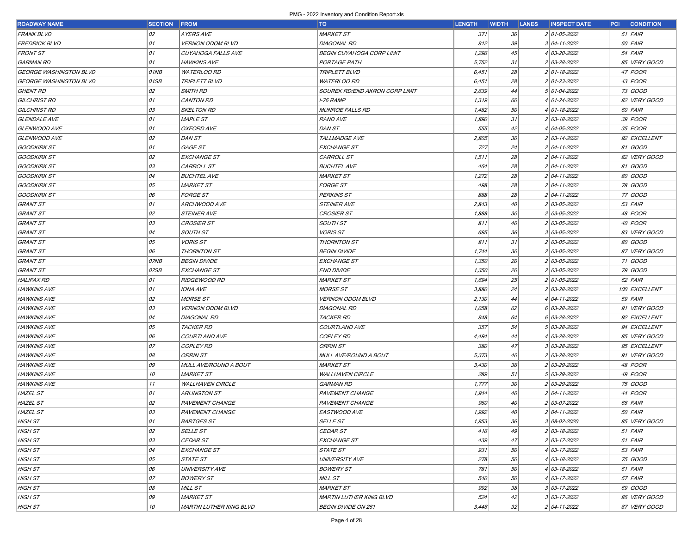| ROADWAY NAME                  | <b>SECTION FROM</b> |                         | <b>TO</b>                        | <b>LENGTH</b> | <b>WIDTH LANES</b> | <b>INSPECT DATE</b> | <b>PCI CONDITION</b> |
|-------------------------------|---------------------|-------------------------|----------------------------------|---------------|--------------------|---------------------|----------------------|
| <i>FRANK BLVD</i>             | 02                  | <b>AYERS AVE</b>        | <b>MARKET ST</b>                 | 371           | 36                 | 2 01-05-2022        | $61$ FAIR            |
| <i>FREDRICK BLVD</i>          | 01                  | <b>VERNON ODOM BLVD</b> | <b>DIAGONAL RD</b>               | 912           | 39                 | $3 04 - 11 - 2022$  | 60 FAIR              |
| <i>FRONT ST</i>               | 01                  | CUYAHOGA FALLS AVE      | <b>BEGIN CUYAHOGA CORP LIMIT</b> | 1,296         | 45                 | 4 03-20-2022        | $54$ FAIR            |
| <b>GARMAN RD</b>              | 01                  | <b>HAWKINS AVE</b>      | PORTAGE PATH                     | 5,752         | 31                 | 2 03-28-2022        | 85 VERY GOOD         |
| GEORGE WASHINGTON BLVD        | 01NB                | <b>WATERLOO RD</b>      | <b>TRIPLETT BLVD</b>             | 6,451         | 28                 | 2 01-18-2022        | 47 <i>POOR</i>       |
| <b>GEORGE WASHINGTON BLVD</b> | 01SB                | <b>TRIPLETT BLVD</b>    | <b>WATERLOO RD</b>               | 6,451         | 28                 | 2 01-23-2022        | 43 <i>POOR</i>       |
| <b>GHENT RD</b>               | 02                  | SMITH RD                | SOUREK RD/END AKRON CORP LIMIT   | 2,639         | 44                 | 5 01-04-2022        | 73 GOOD              |
| GILCHRIST RD                  | 01                  | CANTON RD               | <b>I-76 RAMP</b>                 | 1,319         | 60                 | 4 01-24-2022        | 82 VERY GOOD         |
| GILCHRIST RD                  | 03                  | <b>SKELTON RD</b>       | <b>MUNROE FALLS RD</b>           | 1,482         | 50                 | 4 01-18-2022        | 60 FAIR              |
| <i>GLENDALE AVE</i>           | 01                  | <b>MAPLE ST</b>         | <b>RAND AVE</b>                  | 1,890         | 31                 | 2 03-18-2022        | $39$ POOR            |
| <i>GLENWOOD AVE</i>           | 01                  | <b>OXFORD AVE</b>       | DAN ST                           | 555           | 42                 | 4 04-05-2022        | 35 <i>POOR</i>       |
| <b>GLENWOOD AVE</b>           | 02                  | DAN ST                  | TALLMADGE AVE                    | 2,805         | $30\,$             | 2 03-14-2022        | 92 EXCELLENT         |
| GOODKIRK ST                   | 01                  | <b>GAGE ST</b>          | EXCHANGE ST                      | 727           | 24                 | 2 04-11-2022        | 81 GOOD              |
| GOODKIRK ST                   | 02                  | <b>EXCHANGE ST</b>      | CARROLL ST                       | 1,511         | 28                 | 2 04-11-2022        | 82 VERY GOOD         |
| GOODKIRK ST                   | 03                  | CARROLL ST              | <b>BUCHTEL AVE</b>               | 464           | 28                 | 2 04-11-2022        | 81 GOOD              |
| GOODKIRK ST                   | 04                  | <b>BUCHTEL AVE</b>      | <b>MARKET ST</b>                 | 1,272         | 28                 | 2 04-11-2022        | 80 GOOD              |
| GOODKIRK ST                   | 05                  | <b>MARKET ST</b>        | <i>FORGE ST</i>                  | 498           | 28                 | 2 04-11-2022        | 78 GOOD              |
| GOODKIRK ST                   | 06                  | <b>FORGE ST</b>         | <b>PERKINS ST</b>                | 888           | 28                 | 2 04-11-2022        | 77 GOOD              |
| GRANT ST                      | 01                  | <b>ARCHWOOD AVE</b>     | <b>STEINER AVE</b>               | 2,843         | 40                 | 2 03-05-2022        | $53$ FAIR            |
| GRANT ST                      | 02                  | <b>STEINER AVE</b>      | <b>CROSIER ST</b>                | 1,888         | 30                 | 2 03-05-2022        | 48 <i>POOR</i>       |
| GRANT ST                      | 03                  | <b>CROSIER ST</b>       | <b>SOUTH ST</b>                  | 811           | 40                 | 2 03-05-2022        | 40 <i>POOR</i>       |
| GRANT ST                      | 04                  | <b>SOUTH ST</b>         | <b>VORIS ST</b>                  | 695           | 36                 | 3 03-05-2022        | 83 VERY GOOD         |
| GRANT ST                      | 05                  | <b>VORIS ST</b>         | <b>THORNTON ST</b>               | 811           | 31                 | 2 03-05-2022        | 80 GOOD              |
| GRANT ST                      | 06                  | <b>THORNTON ST</b>      | <b>BEGIN DIVIDE</b>              | 1,744         | 30                 | 2 03-05-2022        | 87 VERY GOOD         |
| GRANT ST                      | 07NB                | <b>BEGIN DIVIDE</b>     | <b>EXCHANGE ST</b>               | 1,350         | 20                 | 2 03-05-2022        | 71 GOOD              |
| <b>GRANT ST</b>               | 07SB                | <b>EXCHANGE ST</b>      | <b>END DIVIDE</b>                | 1,350         | 20                 | 2 03-05-2022        | 79 GOOD              |
| HALIFAX RD                    | 01                  | <b>RIDGEWOOD RD</b>     | <b>MARKET ST</b>                 | 1,694         | 25                 | 2 01-05-2022        | $62$ FAIR            |
| <b>HAWKINS AVE</b>            | 01                  | <b>IONA AVE</b>         | <b>MORSE ST</b>                  | 3,880         | 24                 | 2 03-28-2022        | 100 EXCELLENT        |
| <b>HAWKINS AVE</b>            | 02                  | <b>MORSE ST</b>         | <b>VERNON ODOM BLVD</b>          | 2,130         | 44                 | 4 04-11-2022        | $59$ FAIR            |
| <i>HAWKINS AVE</i>            | 03                  | <b>VERNON ODOM BLVD</b> | DIAGONAL RD                      | 1,058         | 62                 | $6$ 03-28-2022      | 91 VERY GOOD         |
| <b>HAWKINS AVE</b>            | 04                  | DIAGONAL RD             | <b>TACKER RD</b>                 | 948           | 64                 | 6 03-28-2022        | 92 EXCELLENT         |
| <b>HAWKINS AVE</b>            | 05                  | <b>TACKER RD</b>        | COURTLAND AVE                    | 357           | 54                 | 5 03-28-2022        | 94 EXCELLENT         |
| <b>HAWKINS AVE</b>            | 06                  | COURTLAND AVE           | <b>COPLEY RD</b>                 | 4,494         | 44                 | 4 03-28-2022        | 85 VERY GOOD         |
| <b>HAWKINS AVE</b>            | 07                  | <b>COPLEY RD</b>        | <b>ORRIN ST</b>                  | 380           | 47                 | 3 03-28-2022        | 95 EXCELLENT         |
| <i>HAWKINS AVE</i>            | 08                  | <b>ORRIN ST</b>         | MULL AVE/ROUND A BOUT            | 5,373         | 40                 | 2 03-28-2022        | 91 VERY GOOD         |
| <b>HAWKINS AVE</b>            | 09                  | MULL AVE/ROUND A BOUT   | <b>MARKET ST</b>                 | 3,430         | 36                 | 2 03-29-2022        | 48 <i>POOR</i>       |
| <b>HAWKINS AVE</b>            | 10                  | <b>MARKET ST</b>        | <b>WALLHAVEN CIRCLE</b>          | 289           | 51                 | 5 03-29-2022        | 49 <i>POOR</i>       |
| <b>HAWKINS AVE</b>            | 11                  | <b>WALLHAVEN CIRCLE</b> | <b>GARMAN RD</b>                 | 1,777         | 30                 | 2 03-29-2022        | 75 GOOD              |
| <b>HAZEL ST</b>               | 01                  | <b>ARLINGTON ST</b>     | PAVEMENT CHANGE                  | 1,944         | 40                 | 2 04-11-2022        | 44 <i>POOR</i>       |
| HAZEL ST                      | 02                  | PAVEMENT CHANGE         | PAVEMENT CHANGE                  | 960           | 40                 | 2 03-07-2022        | 66 FAIR              |
| HAZEL ST                      | 03                  | <b>PAVEMENT CHANGE</b>  | EASTWOOD AVE                     | 1,992         | 40                 | 2 04-11-2022        | $50$ FAIR            |
| HIGH ST                       | 01                  | <b>BARTGES ST</b>       | <i>SELLE ST</i>                  | 1,953         | 36                 | $3 08-02-2020$      | 85 VERY GOOD         |
| HIGH ST                       | 02                  | <b>SELLE ST</b>         | CEDAR ST                         | 416           | 49                 | 2 03-18-2022        | $51$ FAIR            |
| HIGH ST                       | 03                  | <b>CEDAR ST</b>         | EXCHANGE ST                      | 439           | 47                 | 2 03-17-2022        | $61$ FAIR            |
| HIGH ST                       | 04                  | <b>EXCHANGE ST</b>      | <i>STATE ST</i>                  | 931           | 50                 | 4 03-17-2022        | $53$ FAIR            |
| HIGH ST                       | 05                  | <b>STATE ST</b>         | <b>UNIVERSITY AVE</b>            | 278           | 50                 | 4 03-18-2022        | 75 GOOD              |
| HIGH ST                       | 06                  | <b>UNIVERSITY AVE</b>   | <b>BOWERY ST</b>                 | 781           | 50                 | 4 03-18-2022        | $61$ FAIR            |
| HIGH ST                       | 07                  | <b>BOWERY ST</b>        | MILL ST                          | 540           | 50                 | 4 03-17-2022        | 67 FAIR              |
| HIGH ST                       | 08                  | MILL ST                 | <b>MARKET ST</b>                 | 992           | 38                 | $3 03-17-2022$      | 69 GOOD              |
| HIGH ST                       | 09                  | <b>MARKET ST</b>        | MARTIN LUTHER KING BLVD          | 524           | 42                 | $3 03-17-2022$      | 86 VERY GOOD         |
| HIGH ST                       | 10                  | MARTIN LUTHER KING BLVD | <b>BEGIN DIVIDE ON 261</b>       | 3,446         | 32                 | 2 04-11-2022        | 87 VERY GOOD         |
|                               |                     |                         |                                  |               |                    |                     |                      |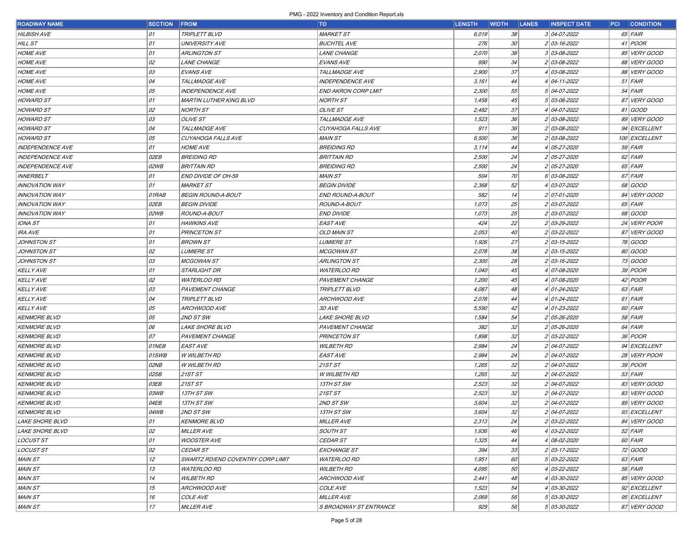| <b>ROADWAY NAME</b>     | <b>SECTION</b> | <b>FROM</b>                       | TO                         | <b>LENGTH</b> | <b>WIDTH</b> | <b>LANES</b> | <b>INSPECT DATE</b> | <b>PCI CONDITION</b> |
|-------------------------|----------------|-----------------------------------|----------------------------|---------------|--------------|--------------|---------------------|----------------------|
| <b>HILBISH AVE</b>      | 01             | TRIPLETT BLVD                     | <b>MARKET ST</b>           | 6,019         | 38           |              | 3 04-07-2022        | $65$ FAIR            |
| HILL ST                 | 01             | <b>UNIVERSITY AVE</b>             | <b>BUCHTEL AVE</b>         | 276           | 30           |              | 2 03-16-2022        | $41$ POOR            |
| <b>HOME AVE</b>         | 01             | <b>ARLINGTON ST</b>               | LANE CHANGE                | <i>2,070</i>  | 38           |              | 3 03-08-2022        | 85 VERY GOOD         |
| <b>HOME AVE</b>         | 02             | <b>LANE CHANGE</b>                | EVANS AVE                  | 990           | 34           |              | 2 03-08-2022        | 88 VERY GOOD         |
| <b>HOME AVE</b>         | 03             | <b>EVANS AVE</b>                  | TALLMADGE AVE              | 2,900         | 37           |              | 4 03-08-2022        | 88 VERY GOOD         |
| <b>HOME AVE</b>         | 04             | TALLMADGE AVE                     | <b>INDEPENDENCE AVE</b>    | 3,161         | 44           |              | 4 04-11-2022        | $51$ FAIR            |
| <b>HOME AVE</b>         | 05             | <i>INDEPENDENCE AVE</i>           | <b>END AKRON CORP LMIT</b> | 2,300         | 55           |              | 5 04-07-2022        | $54$ FAIR            |
| <b>HOWARD ST</b>        | 01             | <b>MARTIN LUTHER KING BLVD</b>    | <b>NORTH ST</b>            | 1,458         | 45           |              | 5 03-08-2022        | 87 VERY GOOD         |
| <b>HOWARD ST</b>        | 02             | <b>NORTH ST</b>                   | <b>OLIVE ST</b>            | 2,492         | 37           |              | 4 04-07-2022        | 81 GOOD              |
| <b>HOWARD ST</b>        | 03             | OLIVE ST                          | <b>TALLMADGE AVE</b>       | 1,523         | 36           |              | 2 03-08-2022        | 89 VERY GOOD         |
| <i>HOWARD ST</i>        | 04             | TALLMADGE AVE                     | CUYAHOGA FALLS AVE         | 911           | 36           |              | 2 03-08-2022        | 94 EXCELLENT         |
| <b>HOWARD ST</b>        | 05             | CUYAHOGA FALLS AVE                | <b>MAIN ST</b>             | 6,500         | 36           |              | 2 03-08-2022        | 100 EXCELLENT        |
| <b>INDEPENDENCE AVE</b> | 01             | <b>HOME AVE</b>                   | <b>BREIDING RD</b>         | 3,114         | 44           |              | 4 05-27-2020        | $59$ FAIR            |
| <b>INDEPENDENCE AVE</b> | <i>02EB</i>    | <b>BREIDING RD</b>                | <b>BRITTAIN RD</b>         | 2,500         | 24           |              | 2 05-27-2020        | $62$ FAIR            |
| <b>INDEPENDENCE AVE</b> | 02WB           | <b>BRITTAIN RD</b>                | <b>BREIDING RD</b>         | 2,500         | 24           |              | 2 05-27-2020        | 65 FAIR              |
| <i><b>INNERBELT</b></i> | 01             | END DIVIDE OF OH-59               | <b>MAIN ST</b>             | 504           | 70           |              | 6 03-08-2022        | 67 FAIR              |
| <b>INNOVATION WAY</b>   | 01             | <b>MARKET ST</b>                  | <b>BEGIN DIVIDE</b>        | 2,368         | 52           |              | 4 03-07-2022        | 68 GOOD              |
| <b>INNOVATION WAY</b>   | 01RAB          | <b>BEGIN ROUND-A-BOUT</b>         | END ROUND-A-BOUT           | 582           | 14           |              | 2 07-01-2020        | 84 VERY GOOD         |
| <b>INNOVATION WAY</b>   | <i>02EB</i>    | <b>BEGIN DIVIDE</b>               | ROUND-A-BOUT               | 1,073         | 25           |              | 2 03-07-2022        | 65 FAIR              |
| <b>INNOVATION WAY</b>   | 02WB           | ROUND-A-BOUT                      | <b>END DIVIDE</b>          | 1,073         | 25           |              | 2 03-07-2022        | 68 GOOD              |
| IONA ST                 | 01             | <b>HAWKINS AVE</b>                | <b>EAST AVE</b>            | 424           | 22           |              | 2 03-29-2022        | 24 VERY POOR         |
| <i>IRA AVE</i>          | 01             | <b>PRINCETON ST</b>               | OLD MAIN ST                | 2,053         | 40           |              | 2 03-22-2022        | 87 VERY GOOD         |
| JOHNSTON ST             | 01             | <b>BROWN ST</b>                   | <b>LUMIERE ST</b>          | 1,926         | 27           |              | 2 03-15-2022        | 78 GOOD              |
| JOHNSTON ST             | 02             | <b>LUMIERE ST</b>                 | <b>MCGOWAN ST</b>          | 2,078         | 38           |              | 2 03-15-2022        | 80 GOOD              |
| JOHNSTON ST             | 03             | <b>MCGOWAN ST</b>                 | <b>ARLINGTON ST</b>        | 2,300         | 28           |              | 2 03-16-2022        | 73 GOOD              |
| <i>KELLY AVE</i>        | 01             | STARLIGHT DR                      | <i>WATERLOO RD</i>         | 1,040         | 45           |              | 4 07-08-2020        | $39$ POOR            |
| <b>KELLY AVE</b>        | 02             | <b>WATERLOO RD</b>                | PAVEMENT CHANGE            | 1,200         | 45           |              | 4 07-08-2020        | $42$ POOR            |
| <b>KELLY AVE</b>        | 03             | <b>PAVEMENT CHANGE</b>            | <b>TRIPLETT BLVD</b>       | 4,087         | 48           |              | 4 01-24-2022        | $63$ FAIR            |
| <b>KELLY AVE</b>        | 04             | <b>TRIPLETT BLVD</b>              | ARCHWOOD AVE               | 2,078         | 44           |              | 4 01-24-2022        | 61 FAIR              |
| KELLYAVE                | 05             | <b>ARCHWOOD AVE</b>               | 3D AVE                     | 5,590         | 42           |              | 4 01-23-2022        | 60 FAIR              |
| <b>KENMORE BLVD</b>     | 05             | 2ND ST SW                         | <b>LAKE SHORE BLVD</b>     | 1,584         | 54           |              | 2 05-26-2020        | 58 FAIR              |
| <b>KENMORE BLVD</b>     | 06             | <b>LAKE SHORE BLVD</b>            | PAVEMENT CHANGE            | 382           | 32           |              | 2 05-26-2020        | 64 FAIR              |
| <b>KENMORE BLVD</b>     | 07             | <b>PAVEMENT CHANGE</b>            | <b>PRINCETON ST</b>        | 1,898         | 32           |              | 2 03-22-2022        | 36 <i>POOR</i>       |
| <b>KENMORE BLVD</b>     | 01NEB          | <b>EASTAVE</b>                    | <b>WILBETH RD</b>          | 2,984         | 24           |              | 2 04-07-2022        | 94 EXCELLENT         |
| <b>KENMORE BLVD</b>     | 01SWB          | W WILBETH RD                      | <b>EAST AVE</b>            | 2,984         | 24           |              | 2 04-07-2022        | 28 VERY POOR         |
| <b>KENMORE BLVD</b>     | <i>02NB</i>    | W WILBETH RD                      | 21ST ST                    | 1,265         | 32           |              | 2 04-07-2022        | $39$ POOR            |
| <b>KENMORE BLVD</b>     | 02SB           | <b>21ST ST</b>                    | <b>W WILBETH RD</b>        | 1,265         | 32           |              | 2 04-07-2022        | $53$ FAIR            |
| <b>KENMORE BLVD</b>     | <i>03EB</i>    | <b>21ST ST</b>                    | 13TH ST SW                 | 2,523         | 32           |              | 2 04-07-2022        | 83 VERY GOOD         |
| <b>KENMORE BLVD</b>     | <i>03WB</i>    | 13TH ST SW                        | 21ST ST                    | 2,523         | 32           |              | 2 04-07-2022        | 83 VERY GOOD         |
| <b>KENMORE BLVD</b>     | <i>04EB</i>    | 13TH ST SW                        | 2ND ST SW                  | 3,604         | 32           |              | 2 04-07-2022        | 89 VERY GOOD         |
| <b>KENMORE BLVD</b>     | 04WB           | 2ND ST SW                         | 13TH ST SW                 | 3,604         | 32           |              | 2 04-07-2022        | 93 EXCELLENT         |
| <b>LAKE SHORE BLVD</b>  | 01             | <b>KENMORE BLVD</b>               | <b>MILLER AVE</b>          | 2,313         | 24           |              | 2 03-22-2022        | 84 VERY GOOD         |
| <b>LAKE SHORE BLVD</b>  | 02             | <b>MILLER AVE</b>                 | SOUTH ST                   | 1,936         | 46           |              | 4 03-22-2022        | $52$ FAIR            |
| <i>LOCUST ST</i>        | 01             | <b>WOOSTER AVE</b>                | <i>CEDAR ST</i>            | 1,325         | 44           |              | 4 08-02-2020        | 60 FAIR              |
| <i>LOCUST ST</i>        | 02             | <b>CEDAR ST</b>                   | <b>EXCHANGE ST</b>         | 394           | 33           |              | 2 03-17-2022        | 72 GOOD              |
| MAIN ST                 | 12             | SWARTZ RD/END COVENTRY CORP LIMIT | <b>WATERLOO RD</b>         | 1,951         | 60           |              | 5 03-22-2022        | $63$ $FAIR$          |
| MAIN ST                 | 13             | <b>WATERLOO RD</b>                | <b>WILBETH RD</b>          | 4,095         | 50           |              | 4 03-22-2022        | $56$ FAIR            |
| <i>MAIN ST</i>          | 14             | <b>WILBETH RD</b>                 | ARCHWOOD AVE               | 2,441         | 48           |              | 4 03-30-2022        | 85 VERY GOOD         |
| MAIN ST                 | 15             | ARCHWOOD AVE                      | COLE AVE                   | 1,523         | 54           |              | 4 03-30-2022        | 92 EXCELLENT         |
| MAIN ST                 | 16             | <b>COLE AVE</b>                   | <b>MILLER AVE</b>          | 2,069         | 56           |              | 5 03-30-2022        | 95 EXCELLENT         |
| MAIN ST                 | 17             | <b>MILLER AVE</b>                 | S BROADWAY ST ENTRANCE     | 929           | 56           |              | 5 03-30-2022        | 87 VERY GOOD         |
|                         |                |                                   |                            |               |              |              |                     |                      |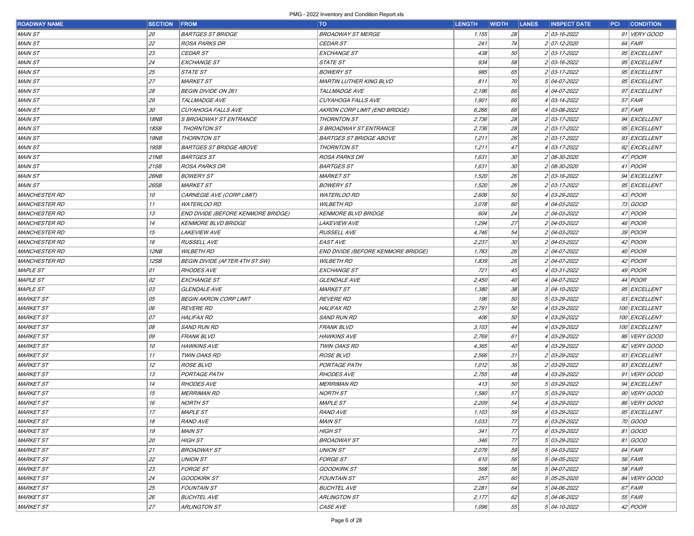| <b>ROADWAY NAME</b>  | <b>SECTION</b> | <b>FROM</b>                           | <b>TO</b>                          | <b>LENGTH</b> | <b>WIDTH</b><br><b>LANES</b> | <b>INSPECT DATE</b> | <b>PCI CONDITION</b> |
|----------------------|----------------|---------------------------------------|------------------------------------|---------------|------------------------------|---------------------|----------------------|
| <b>MAIN ST</b>       | 20             | <b>BARTGES ST BRIDGE</b>              | <b>BROADWAY ST MERGE</b>           | 1,155         | 28                           | 2 03-16-2022        | 91 VERY GOOD         |
| <b>MAIN ST</b>       | 22             | <b>ROSA PARKS DR</b>                  | <b>CEDAR ST</b>                    | 241           | 74                           | 2 07-12-2020        | 64 FAIR              |
| <b>MAIN ST</b>       | 23             | <b>CEDAR ST</b>                       | <b>EXCHANGE ST</b>                 | 438           | 50                           | 2 03-17-2022        | 95 EXCELLENT         |
| <b>MAIN ST</b>       | 24             | <b>EXCHANGE ST</b>                    | <b>STATE ST</b>                    | 934           | 58                           | 2 03-16-2022        | 95 EXCELLENT         |
| <b>MAIN ST</b>       | 25             | <b>STATE ST</b>                       | <b>BOWERY ST</b>                   | 985           | 65                           | 2 03-17-2022        | 95 EXCELLENT         |
| MAIN ST              | 27             | <b>MARKET ST</b>                      | <b>MARTIN LUTHER KING BLVD</b>     | 811           | 70                           | 5 04-07-2022        | 95 EXCELLENT         |
| <b>MAIN ST</b>       | 28             | <b>BEGIN DIVIDE ON 261</b>            | TALLMADGE AVE                      | 2,196         | 66                           | 4 04-07-2022        | 97 EXCELLENT         |
| <b>MAIN ST</b>       | 29             | TALLMADGE AVE                         | CUYAHOGA FALLS AVE                 | 1,901         | 66                           | 4 03-14-2022        | $57$ FAIR            |
| <b>MAIN ST</b>       | 30             | CUYAHOGA FALLS AVE                    | AKRON CORP LIMIT (END BRIDGE)      | 6,266         | 66                           | 4 03-08-2022        | 67 FAIR              |
| <b>MAIN ST</b>       | <b>18NB</b>    | S BROADWAY ST ENTRANCE                | <b>THORNTON ST</b>                 | 2,736         | 28                           | 2 03-17-2022        | 94 EXCELLENT         |
| MAIN ST              | 18SB           | <b>THORNTON ST</b>                    | S BROADWAY ST ENTRANCE             | 2,736         | 28                           | 2 03-17-2022        | 95 EXCELLENT         |
| MAIN ST              | 19NB           | <b>THORNTON ST</b>                    | <b>BARTGES ST BRIDGE ABOVE</b>     | 1,211         | 26                           | 2 03-17-2022        | 93 EXCELLENT         |
| MAIN ST              | 19SB           | <b>BARTGES ST BRIDGE ABOVE</b>        | <b>THORNTON ST</b>                 | 1,211         | 47                           | 4 03-17-2022        | 92 EXCELLENT         |
| <b>MAIN ST</b>       | <i>21NB</i>    | <b>BARTGES ST</b>                     | ROSA PARKS DR                      | 1,631         | 30                           | 2 08-30-2020        | 47 <i>POOR</i>       |
| <b>MAIN ST</b>       | 21SB           | <b>ROSA PARKS DR</b>                  | <b>BARTGES ST</b>                  | 1,631         | 30                           | 2 08-30-2020        | $41$ POOR            |
| <b>MAIN ST</b>       | 26NB           | <b>BOWERY ST</b>                      | <b>MARKET ST</b>                   | 1,520         | 26                           | 2 03-16-2022        | 94 EXCELLENT         |
| <b>MAIN ST</b>       | 26SB           | <b>MARKET ST</b>                      | <b>BOWERY ST</b>                   | 1,520         | 26                           | 2 03-17-2022        | 95 EXCELLENT         |
| <b>MANCHESTER RD</b> | 10             | CARNEGIE AVE (CORP LIMIT)             | <b>WATERLOO RD</b>                 | 2,606         | 50                           | 4 03-29-2022        | $43$ POOR            |
| <b>MANCHESTER RD</b> | 11             | <b>WATERLOO RD</b>                    | <b>WILBETH RD</b>                  | 3,078         | 60                           | 4 04-03-2022        | 73 GOOD              |
| <b>MANCHESTER RD</b> | 13             | END DIVIDE (BEFORE KENMORE BRIDGE)    | <b>KENMORE BLVD BRIDGE</b>         | 604           | 24                           | 2 04-03-2022        | 47 <i>POOR</i>       |
| <b>MANCHESTER RD</b> | 14             | <b>KENMORE BLVD BRIDGE</b>            | <b>LAKEVIEW AVE</b>                | 1,294         | 27                           | 2 04-03-2022        | 46 <i>POOR</i>       |
| <b>MANCHESTER RD</b> | 15             | <b>LAKEVIEW AVE</b>                   | <b>RUSSELL AVE</b>                 | 4,746         | 54                           | 2 04-03-2022        | 39 <i>POOR</i>       |
| <b>MANCHESTER RD</b> | 16             | <b>RUSSELL AVE</b>                    | <b>EAST AVE</b>                    | 2,237         | 30                           | 2 04-03-2022        | $42$ POOR            |
| <b>MANCHESTER RD</b> | <b>12NB</b>    | <b>WILBETH RD</b>                     | END DIVIDE (BEFORE KENMORE BRIDGE) | 1,783         | 26                           | 2 04-07-2022        | 40 <i>POOR</i>       |
| <b>MANCHESTER RD</b> | 12SB           | <b>BEGIN DIVIDE (AFTER 4TH ST SW)</b> | <b>WILBETH RD</b>                  | 1,839         | 26                           | 2 04-07-2022        | $42$ POOR            |
| <b>MAPLE ST</b>      | 01             | <b>RHODES AVE</b>                     | EXCHANGE ST                        | 721           | 45                           | 4 03-31-2022        | $49$ POOR            |
| <b>MAPLE ST</b>      | 02             | <b>EXCHANGE ST</b>                    | <b>GLENDALE AVE</b>                | 2,450         | 40                           | 4 04-07-2022        | 44 <i>POOR</i>       |
| <b>MAPLE ST</b>      | 03             | <b>GLENDALE AVE</b>                   | <b>MARKET ST</b>                   | 1,380         | 38                           | $3 04 - 10 - 2022$  | 95 EXCELLENT         |
| <b>MARKET ST</b>     | 05             | <b>BEGIN AKRON CORP LIMIT</b>         | <b>REVERE RD</b>                   | 196           | 50                           | 5 03-29-2022        | 93 EXCELLENT         |
| <b>MARKET ST</b>     | 06             | <b>REVERE RD</b>                      | <b>HALIFAX RD</b>                  | 2,791         | 50                           | 4 03-29-2022        | 100 EXCELLENT        |
| <b>MARKET ST</b>     | 07             | <b>HALIFAX RD</b>                     | <b>SAND RUN RD</b>                 | 406           | 50                           | 4 03-29-2022        | 100 EXCELLENT        |
| <b>MARKET ST</b>     | 08             | <b>SAND RUN RD</b>                    | <b>FRANK BLVD</b>                  | 3,103         | 44                           | 4 03-29-2022        | 100 EXCELLENT        |
| <b>MARKET ST</b>     | 09             | <b>FRANK BLVD</b>                     | <b>HAWKINS AVE</b>                 | 2,769         | 61                           | 4 03-29-2022        | 86 VERY GOOD         |
| <b>MARKET ST</b>     | 10             | <b>HAWKINS AVE</b>                    | TWIN OAKS RD                       | 4,365         | 40                           | 4 03-29-2022        | 82 VERY GOOD         |
| <b>MARKET ST</b>     | 11             | TWIN OAKS RD                          | <b>ROSE BLVD</b>                   | 2,566         | 31                           | 2 03-29-2022        | 93 EXCELLENT         |
| <b>MARKET ST</b>     | 12             | <b>ROSE BLVD</b>                      | PORTAGE PATH                       | 1,012         | 36                           | 2 03-29-2022        | 93 EXCELLENT         |
| <b>MARKET ST</b>     | 13             | PORTAGE PATH                          | <b>RHODES AVE</b>                  | 2,755         | 48                           | 4 03-29-2022        | 91 VERY GOOD         |
| <b>MARKET ST</b>     | 14             | <b>RHODES AVE</b>                     | <b>MERRIMAN RD</b>                 | 413           | 50                           | 5 03-29-2022        | 94 EXCELLENT         |
| <b>MARKET ST</b>     | 15             | <b>MERRIMAN RD</b>                    | <b>NORTH ST</b>                    | 1,580         | 57                           | 5 03-29-2022        | 90 VERY GOOD         |
| <b>MARKET ST</b>     | 16             | <b>NORTH ST</b>                       | <b>MAPLE ST</b>                    | 2,209         | 54                           | 4 03-29-2022        | 86 VERY GOOD         |
| <b>MARKET ST</b>     | 17             | <b>MAPLE ST</b>                       | <b>RAND AVE</b>                    | 1,103         | 59                           | $403 - 29 - 2022$   | 95 EXCELLENT         |
| <b>MARKET ST</b>     | 18             | <b>RAND AVE</b>                       | <b>MAIN ST</b>                     | 1,033         | 77                           | 6 03-29-2022        | 70 GOOD              |
| <b>MARKET ST</b>     | 19             | <b>MAIN ST</b>                        | <b>HIGH ST</b>                     | 341           | 77                           | 6 03-29-2022        | 81 GOOD              |
| <b>MARKET ST</b>     | 20             | HIGH ST                               | <b>BROADWAY ST</b>                 | 346           | 77                           | 5 03-29-2022        | 81 GOOD              |
| <b>MARKET ST</b>     | 21             | <b>BROADWAY ST</b>                    | <b>UNION ST</b>                    | 2,079         | 59                           | 5 04-03-2022        | $64$ FAIR            |
| <b>MARKET ST</b>     | 22             | <b>UNION ST</b>                       | <b>FORGE ST</b>                    | 610           | 56                           | 5 04-05-2022        | $56$ FAIR            |
| <b>MARKET ST</b>     | 23             | <b>FORGE ST</b>                       | <b>GOODKIRK ST</b>                 | 568           | 56                           | 5 04-07-2022        | $58$ FAIR            |
| <b>MARKET ST</b>     | 24             | <b>GOODKIRK ST</b>                    | <b>FOUNTAIN ST</b>                 | 257           | 60                           | 5 05-25-2020        | 84 VERY GOOD         |
| <b>MARKET ST</b>     | 25             | <b>FOUNTAIN ST</b>                    | <b>BUCHTEL AVE</b>                 | 2,281         | 64                           | 5 04-06-2022        | 67 FAIR              |
| <b>MARKET ST</b>     | 26             | <b>BUCHTEL AVE</b>                    | <b>ARLINGTON ST</b>                | 2,177         | 62                           | 5 04-06-2022        | $55$ FAIR            |
| <b>MARKET ST</b>     | 27             | <b>ARLINGTON ST</b>                   | CASE AVE                           | 1,096         | 55                           | 5 04-10-2022        | $42$ POOR            |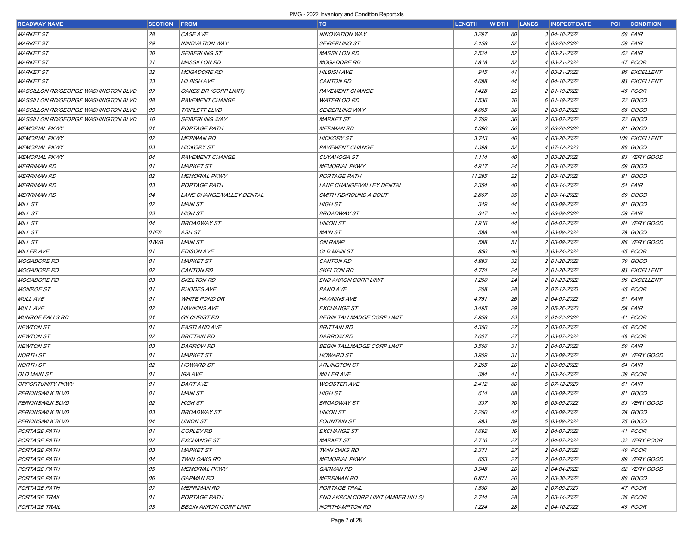| <b>ROADWAY NAME</b>                 | <b>SECTION</b> | <b>FROM</b>                   | <b>TO</b>                          | <b>LENGTH</b>  | <b>WIDTH</b> | <b>LANES</b> | <b>INSPECT DATE</b> | <b>PCI CONDITION</b>        |
|-------------------------------------|----------------|-------------------------------|------------------------------------|----------------|--------------|--------------|---------------------|-----------------------------|
| <i>MARKET ST</i>                    | 28             | CASE AVE                      | <b>INNOVATION WAY</b>              | 3,297          | 60           |              | 3 04-10-2022        | 60 FAIR                     |
| <i>MARKET ST</i>                    | 29             | INNOVATION WAY                | <b>SEIBERLING ST</b>               | 2,158          | 52           |              | 4 03-20-2022        | $59$ FAIR                   |
| <b>MARKET ST</b>                    | 30             | SEIBERLING ST                 | <b>MASSILLON RD</b>                | 2,524          | 52           |              | 4 03-21-2022        | $62$ FAIR                   |
| <b>MARKET ST</b>                    | 31             | <b>MASSILLON RD</b>           | <b>MOGADORE RD</b>                 | 1,818          | 52           |              | 4 03-21-2022        | 47 POOR                     |
| <i>MARKET ST</i>                    | 32             | <i>MOGADORE RD</i>            | <b>HILBISH AVE</b>                 | 945            | 41           |              | 4 03-21-2022        | 95 EXCELLENT                |
| <i>MARKET ST</i>                    | 33             | <i>HILBISH AVE</i>            | <b>CANTON RD</b>                   | 4,088          | 44           |              | 4 04-10-2022        | 93 EXCELLENT                |
| MASSILLON RD/GEORGE WASHINGTON BLVD | 07             | OAKES DR (CORP LIMIT)         | PAVEMENT CHANGE                    | 1,428          | 29           |              | 2 01-19-2022        | 45 <i>POOR</i>              |
| MASSILLON RD/GEORGE WASHINGTON BLVD | 08             | PAVEMENT CHANGE               | <b>WATERLOO RD</b>                 | 1,536          | 70           |              | 6 01-19-2022        | 72 GOOD                     |
| MASSILLON RD/GEORGE WASHINGTON BLVD | 09             | TRIPLETT BLVD                 | SEIBERLING WAY                     | 4,005          | 36           |              | 2 03-07-2022        | 68 GOOD                     |
| MASSILLON RD/GEORGE WASHINGTON BLVD | 10             | SEIBERLING WAY                | <b>MARKET ST</b>                   | 2,769          | 36           |              | 2 03-07-2022        | 72 GOOD                     |
| MEMORIAL PKWY                       | 01             | PORTAGE PATH                  | <b>MERIMAN RD</b>                  | 1,390          | $30\,$       |              | 2 03-20-2022        | 81 GOOD                     |
| <b>MEMORIAL PKWY</b>                | 02             | <i>MERIMAN RD</i>             | <b>HICKORY ST</b>                  | 3,743          | 40           |              | 4 03-20-2022        | 100 EXCELLENT               |
| MEMORIAL PKWY                       | 03             | <b>HICKORY ST</b>             | <b>PAVEMENT CHANGE</b>             | 1,398          | 52           |              | 4 07-12-2020        | 80 GOOD                     |
| MEMORIAL PKWY                       | 04             | PAVEMENT CHANGE               | CUYAHOGA ST                        | 1,114          | 40           |              | 3 03-20-2022        | 83 VERY GOOD                |
| <i>MERRIMAN RD</i>                  | 01             | MARKET ST                     | <b>MEMORIAL PKWY</b>               | 4,917          | 24           |              | 2 03-10-2022        | 69 GOOD                     |
| <i>MERRIMAN RD</i>                  | 02             | MEMORIAL PKWY                 | PORTAGE PATH                       | 11,285         | 22           |              | 2 03-10-2022        | 81 GOOD                     |
| <b>MERRIMAN RD</b>                  | 03             | PORTAGE PATH                  | LANE CHANGE/VALLEY DENTAL          | 2,354          | 40           |              | 4 03-14-2022        | $54$ FAIR                   |
| <b>MERRIMAN RD</b>                  | 04             | LANE CHANGE/VALLEY DENTAL     | SMITH RD/ROUND A BOUT              | 2,867          | 35           |              | 2 03-14-2022        | 69 GOOD                     |
| MILL ST                             | 02             | <b>MAIN ST</b>                | <b>HIGH ST</b>                     | 349            | 44           |              | 4 03-09-2022        | 81 GOOD                     |
| MILL ST                             | 03             | <b>HIGH ST</b>                | <b>BROADWAY ST</b>                 | 347            | 44           |              | 4 03-09-2022        | 58 FAIR                     |
| MILL ST                             | 04             | <b>BROADWAY ST</b>            | <b>UNION ST</b>                    | 1,916          | 44           |              | 4 04-07-2022        | 84 VERY GOOD                |
| MILL ST                             | 01EB           | ASH ST                        | <b>MAIN ST</b>                     | 588            | 48           |              | 2 03-09-2022        | 78 GOOD                     |
| MILL ST                             | 01WB           | <b>MAIN ST</b>                | ON RAMP                            | 588            | 51           |              | 2 03-09-2022        | 86 VERY GOOD                |
| <b>MILLER AVE</b>                   | 01             | <b>EDISON AVE</b>             | <b>OLD MAIN ST</b>                 | 850            | 40           |              | 3 03-24-2022        | 45 <i>POOR</i>              |
| <i>MOGADORE RD</i>                  | 01             | <i>MARKET ST</i>              | <b>CANTON RD</b>                   | 4,883          | 32           |              | 2 01-20-2022        | 70 GOOD                     |
| <i>MOGADORE RD</i>                  | 02             | CANTON RD                     | <b>SKELTON RD</b>                  | 4,774          | 24           |              | 2 01-20-2022        | 93 EXCELLENT                |
| <b>MOGADORE RD</b>                  | 03             | <b>SKELTON RD</b>             | <b>END AKRON CORP LIMIT</b>        | 1,290          | 24           |              | 2 01-23-2022        | 96 EXCELLENT                |
| <b>MONROE ST</b>                    | 01             | <b>RHODES AVE</b>             | <b>RAND AVE</b>                    | 208            | 28           |              | 2 07-12-2020        | 45 <i>POOR</i>              |
| <i>MULL AVE</i>                     | 01             | <b>WHITE POND DR</b>          | <b>HAWKINS AVE</b>                 | 4,751          | 26           |              | 2 04-07-2022        | $51$ FAIR                   |
| <b>MULL AVE</b>                     | 02             | <i>HAWKINS AVE</i>            | <b>EXCHANGE ST</b>                 | 3,495          | 29           |              | 2 05-26-2020        | 58 FAIR                     |
| <i>MUNROE FALLS RD</i>              | 01             | GILCHRIST RD                  | <b>BEGIN TALLMADGE CORP LIMIT</b>  | 2,958          | 23           |              | 2 01-23-2022        | $41$ POOR                   |
| <b>NEWTON ST</b>                    | 01             | EASTLAND AVE                  | <b>BRITTAIN RD</b>                 | 4,300          | 27           |              | 2 03-07-2022        | 45 <i>POOR</i>              |
| <b>NEWTON ST</b>                    | 02             | <b>BRITTAIN RD</b>            | <b>DARROW RD</b>                   | 7,007          | 27           |              | 2 03-07-2022        | 46 <i>POOR</i>              |
| <b>NEWTON ST</b>                    | 03             | <b>DARROW RD</b>              | <b>BEGIN TALLMADGE CORP LIMIT</b>  | 3,506          | 31           |              | 2 04-07-2022        | $50$ FAIR                   |
| <b>NORTH ST</b>                     | 01             | MARKET ST                     | <b>HOWARD ST</b>                   | 3,909          | 31           |              | 2 03-09-2022        | 84 VERY GOOD                |
| NORTH ST                            | 02             | HOWARD ST                     | ARLINGTON ST                       | 7,265          | 26           |              | 2 03-09-2022        | $64$ FAIR                   |
| OLD MAIN ST                         | 01             | IRA AVE                       | <b>MILLER AVE</b>                  | 384            | 41           |              | 2 03-24-2022        | 39 <i>POOR</i>              |
| <b>OPPORTUNITY PKWY</b>             | 01             | DARTAVE                       | <b>WOOSTER AVE</b>                 | 2,412          | 60           |              | 5 07-12-2020        | $61$ FAIR                   |
| PERKINS/MLK BLVD                    | 01             | <b>MAIN ST</b>                | <b>HIGH ST</b>                     | 614            | 68           |              | 4 03-09-2022        | 81 GOOD                     |
| PERKINS/MLK BLVD                    | 02             | <b>HIGH ST</b>                | <b>BROADWAY ST</b>                 | 337            | 70           |              | 6 03-09-2022        | 83 VERY GOOD                |
| PERKINS/MLK BLVD                    | 03             | <b>BROADWAY ST</b>            | UNION ST                           | 2,260          | 47           |              | $403 - 09 - 2022$   | 78 GOOD                     |
| PERKINS/MLK BLVD                    | 04             | <b>UNION ST</b>               | <b>FOUNTAIN ST</b>                 | 983            | 59           |              | 5 03-09-2022        | 75 GOOD                     |
| PORTAGE PATH                        | 01             | <b>COPLEY RD</b>              | <b>EXCHANGE ST</b>                 | 1,692          | 16           |              | 2 04-07-2022        | $41$ POOR                   |
| PORTAGE PATH                        | 02             | EXCHANGE ST                   | <b>MARKET ST</b>                   | 2,716          | 27           |              | 2 04-07-2022        | 32 VERY POOR                |
| PORTAGE PATH                        | 03             | <b>MARKET ST</b>              | <b>TWIN OAKS RD</b>                |                | 27           |              | 2 04-07-2022        | 40 <i>POOR</i>              |
| PORTAGE PATH                        | 04             | <b>TWIN OAKS RD</b>           | <b>MEMORIAL PKWY</b>               | 2,371<br>653   | 27           |              | 2 04-07-2022        | 89 VERY GOOD                |
| PORTAGE PATH                        | 05             | MEMORIAL PKWY                 | <b>GARMAN RD</b>                   | 3,948          | 20           |              | 2 04-04-2022        | 82 VERY GOOD                |
| PORTAGE PATH                        | 06             | <b>GARMAN RD</b>              | <b>MERRIMAN RD</b>                 | 6,871          | 20           |              | 2 03-30-2022        | 80 GOOD                     |
| PORTAGE PATH                        | 07             | <b>MERRIMAN RD</b>            | PORTAGE TRAIL                      |                |              |              | 2 07-09-2020        | 47 <i>POOR</i>              |
| PORTAGE TRAIL                       |                | PORTAGE PATH                  | END AKRON CORP LIMIT (AMBER HILLS) | 1,500          | 20           |              |                     |                             |
| PORTAGE TRAIL                       | 01<br>03       | <b>BEGIN AKRON CORP LIMIT</b> |                                    | 2,744<br>1,224 | 28<br>28     |              | 2 03-14-2022        | 36 <i>POOR</i><br>$49$ POOR |
|                                     |                |                               | <b>NORTHAMPTON RD</b>              |                |              |              | 2 04-10-2022        |                             |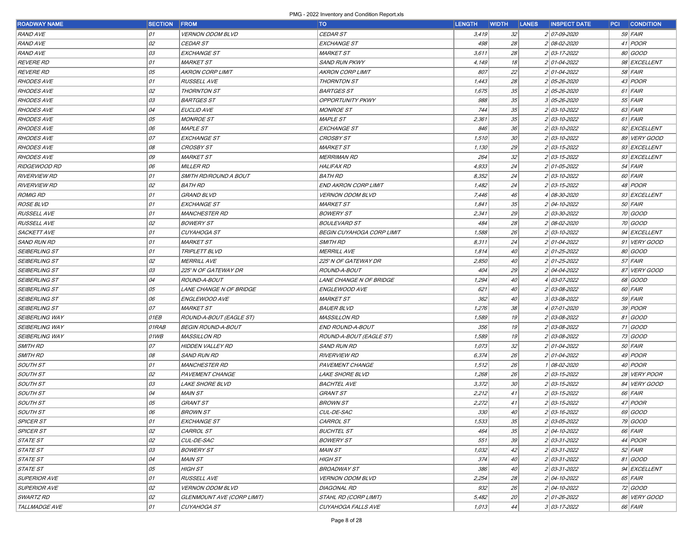| <b>ROADWAY NAME</b>  | <b>SECTION</b> | FROM                       | <b>TO</b>                        | <b>LENGTH</b> | <b>WIDTH LANES</b> | <b>INSPECT DATE</b> | <b>PCI CONDITION</b> |
|----------------------|----------------|----------------------------|----------------------------------|---------------|--------------------|---------------------|----------------------|
| <b>RAND AVE</b>      | 01             | <b>VERNON ODOM BLVD</b>    | CEDAR ST                         | 3,419         | 32                 | 2 07-09-2020        | $59$ FAIR            |
| <b>RAND AVE</b>      | 02             | <b>CEDAR ST</b>            | <b>EXCHANGE ST</b>               | 498           | 28                 | 2 08-02-2020        | $41$ POOR            |
| <b>RAND AVE</b>      | 03             | <b>EXCHANGE ST</b>         | <b>MARKET ST</b>                 | 3,611         | 28                 | 2 03-17-2022        | 80 GOOD              |
| <b>REVERE RD</b>     | 01             | <b>MARKET ST</b>           | <b>SAND RUN PKWY</b>             | 4,149         | 18                 | 2 01-04-2022        | 98 EXCELLENT         |
| <b>REVERE RD</b>     | 05             | AKRON CORP LIMIT           | <b>AKRON CORP LIMIT</b>          | 807           | 22                 | 2 01-04-2022        | 58 FAIR              |
| <b>RHODES AVE</b>    | 01             | <i>RUSSELL AVE</i>         | THORNTON ST                      | 1,443         | 28                 | 2 05-26-2020        | $43$ POOR            |
| <b>RHODES AVE</b>    | 02             | <b>THORNTON ST</b>         | <b>BARTGES ST</b>                | 1,675         | 35                 | 2 05-26-2020        | 61 FAIR              |
| <b>RHODES AVE</b>    | 03             | <b>BARTGES ST</b>          | <b>OPPORTUNITY PKWY</b>          | 988           | 35                 | 3 05-26-2020        | $55$ $FAIR$          |
| <b>RHODES AVE</b>    | 04             | <b>EUCLID AVE</b>          | <b>MONROE ST</b>                 | 744           | 35                 | 2 03-10-2022        | $63$ FAIR            |
| <b>RHODES AVE</b>    | 05             | <b>MONROE ST</b>           | <b>MAPLE ST</b>                  | 2,361         | 35                 | 2 03-10-2022        | $61$ FAIR            |
| <b>RHODES AVE</b>    | 06             | <b>MAPLE ST</b>            | <b>EXCHANGE ST</b>               | 846           | 36                 | 2 03-10-2022        | 92 EXCELLENT         |
| <b>RHODES AVE</b>    | 07             | <b>EXCHANGE ST</b>         | <b>CROSBY ST</b>                 | 1,510         | 30                 | 2 03-10-2022        | 89 VERY GOOD         |
| <b>RHODES AVE</b>    | 08             | <b>CROSBY ST</b>           | <b>MARKET ST</b>                 | 1,130         | 29                 | 2 03-15-2022        | 93 EXCELLENT         |
| <b>RHODES AVE</b>    | 09             | <b>MARKET ST</b>           | <b>MERRIMAN RD</b>               | 264           | 32                 | 2 03-15-2022        | 93 EXCELLENT         |
| <b>RIDGEWOOD RD</b>  | 06             | <i>MILLER RD</i>           | <b>HALIFAX RD</b>                | 4,933         | 24                 | 2 01-05-2022        | $54$ FAIR            |
| <b>RIVERVIEW RD</b>  | 01             | SMITH RD/ROUND A BOUT      | <b>BATH RD</b>                   | 8,352         | 24                 | 2 03-10-2022        | 60 FAIR              |
| <b>RIVERVIEW RD</b>  | 02             | <b>BATH RD</b>             | <b>END AKRON CORP LIMIT</b>      | 1,482         | 24                 | 2 03-15-2022        | 48 POOR              |
| <b>ROMIG RD</b>      | 01             | <b>GRAND BLVD</b>          | <i>VERNON ODOM BLVD</i>          | 7,446         | 46                 | 4 08-30-2020        | 93 EXCELLENT         |
| <b>ROSE BLVD</b>     | 01             | <b>EXCHANGE ST</b>         | <b>MARKET ST</b>                 | 1,841         | 35                 | 2 04-10-2022        | $50$ FAIR            |
| <b>RUSSELL AVE</b>   | 01             | <i>MANCHESTER RD</i>       | <b>BOWERY ST</b>                 | 2,341         | 29                 | 2 03-30-2022        | 70 GOOD              |
| <b>RUSSELL AVE</b>   | 02             | <b>BOWERY ST</b>           | <i>BOULEVARD ST</i>              | 484           | 28                 | 2 08-02-2020        | 70 GOOD              |
| SACKETT AVE          | 01             | CUYAHOGA ST                | <b>BEGIN CUYAHOGA CORP LIMIT</b> | 1,588         | 26                 | 2 03-10-2022        | 94 EXCELLENT         |
| <b>SAND RUN RD</b>   | 01             | <b>MARKET ST</b>           | <b>SMITH RD</b>                  | 8,311         | 24                 | 2 01-04-2022        | 91 VERY GOOD         |
| <b>SEIBERLING ST</b> | 01             | <b>TRIPLETT BLVD</b>       | <b>MERRILL AVE</b>               | 1,814         | 40                 | 2 01-25-2022        | 80 GOOD              |
| <b>SEIBERLING ST</b> | 02             | <b>MERRILL AVE</b>         | 225' N OF GATEWAY DR             | 2,850         | 40                 | 2 01-25-2022        | $57$ FAIR            |
| <b>SEIBERLING ST</b> | 03             | 225' N OF GATEWAY DR       | ROUND-A-BOUT                     | 404           | 29                 | 2 04-04-2022        | 87 VERY GOOD         |
| <b>SEIBERLING ST</b> | 04             | ROUND-A-BOUT               | LANE CHANGE N OF BRIDGE          | 1,294         | 40                 | 4 03-07-2022        | 68 GOOD              |
| <b>SEIBERLING ST</b> | 05             | LANE CHANGE N OF BRIDGE    | ENGLEWOOD AVE                    | 621           | 40                 | 2 03-08-2022        | 60 FAIR              |
| <b>SEIBERLING ST</b> | 06             | ENGLEWOOD AVE              | <b>MARKET ST</b>                 | 362           | 40                 | 3 03-08-2022        | $59$ FAIR            |
| <b>SEIBERLING ST</b> | 07             | <b>MARKET ST</b>           | <b>BAUER BLVD</b>                | 1,276         | 38                 | 4 07-01-2020        | $39$ POOR            |
| SEIBERLING WAY       | 01EB           | ROUND-A-BOUT (EAGLE ST)    | <b>MASSILLON RD</b>              | 1,589         | 19                 | 2 03-08-2022        | 81 GOOD              |
| SEIBERLING WAY       | 01RAB          | <b>BEGIN ROUND-A-BOUT</b>  | END ROUND-A-BOUT                 | 356           | 19                 | 2 03-08-2022        | 71 GOOD              |
| SEIBERLING WAY       | 01WB           | <b>MASSILLON RD</b>        | ROUND-A-BOUT (EAGLE ST)          | 1,589         | 19                 | 2 03-08-2022        | 73 GOOD              |
| SMITH RD             | 07             | <b>HIDDEN VALLEY RD</b>    | <b>SAND RUN RD</b>               | 1,073         | 32                 | 2 01-04-2022        | $50$ FAIR            |
| <b>SMITH RD</b>      | 08             | <b>SAND RUN RD</b>         | <b>RIVERVIEW RD</b>              | 6,374         | 26                 | 2 01-04-2022        | 49 <i>POOR</i>       |
| <b>SOUTH ST</b>      | 01             | <b>MANCHESTER RD</b>       | PAVEMENT CHANGE                  | 1,512         | 26                 | 1 08-02-2020        | 40 <i>POOR</i>       |
| <b>SOUTH ST</b>      | 02             | PAVEMENT CHANGE            | <i>LAKE SHORE BLVD</i>           | 1,268         | 26                 | 2 03-15-2022        | 28 VERY POOR         |
| <b>SOUTH ST</b>      | 03             | <i>LAKE SHORE BLVD</i>     | <b>BACHTEL AVE</b>               | 3,372         | 30                 | 2 03-15-2022        | 84 VERY GOOD         |
| <b>SOUTH ST</b>      | 04             | MAIN ST                    | <b>GRANT ST</b>                  | 2,212         | 41                 | 2 03-15-2022        | 66 FAIR              |
| <b>SOUTH ST</b>      | 05             | <b>GRANT ST</b>            | <b>BROWN ST</b>                  | 2,272         | 41                 | 2 03-15-2022        | 47 <i>POOR</i>       |
| <b>SOUTH ST</b>      | 06             | <b>BROWN ST</b>            | CUL-DE-SAC                       | 330           | 40                 | 2 03-16-2022        | 69 GOOD              |
| <b>SPICER ST</b>     | 01             | <b>EXCHANGE ST</b>         | CARROL ST                        | 1,533         | 35                 | 2 03-05-2022        | 79 GOOD              |
| <b>SPICER ST</b>     | 02             | CARROL ST                  | <b>BUCHTEL ST</b>                | 464           | 35                 | 2 04-10-2022        | 66 FAIR              |
| <i>STATE ST</i>      | 02             | CUL-DE-SAC                 | <b>BOWERY ST</b>                 | 551           | 39                 | 2 03-31-2022        | 44 <i>POOR</i>       |
| <i>STATE ST</i>      | 03             | <b>BOWERY ST</b>           | <b>MAIN ST</b>                   | 1,032         | 42                 | 2 03-31-2022        | $52$ FAIR            |
| <i>STATE ST</i>      | 04             | MAIN ST                    | <b>HIGH ST</b>                   | 374           | 40 <sup>°</sup>    | 2 03-31-2022        | 81 GOOD              |
| <i>STATE ST</i>      | 05             | <b>HIGH ST</b>             | <b>BROADWAY ST</b>               | 386           | 40                 | 2 03-31-2022        | 94 EXCELLENT         |
| <b>SUPERIOR AVE</b>  | 01             | RUSSELL AVE                | <b>VERNON ODOM BLVD</b>          | 2,254         | 28                 | 2 04-10-2022        | $65$ $FAIR$          |
| <b>SUPERIOR AVE</b>  | 02             | <b>VERNON ODOM BLVD</b>    | DIAGONAL RD                      | 932           | 26                 | 2 04-10-2022        | 72 GOOD              |
| SWARTZ RD            | 02             | GLENMOUNT AVE (CORP LIMIT) | STAHL RD (CORP LIMIT)            | 5,482         | 20                 | 2 01-26-2022        | 86 VERY GOOD         |
| TALLMADGE AVE        | 01             | CUYAHOGA ST                | CUYAHOGA FALLS AVE               | 1,013         | 44                 | 3 03-17-2022        | 66 FAIR              |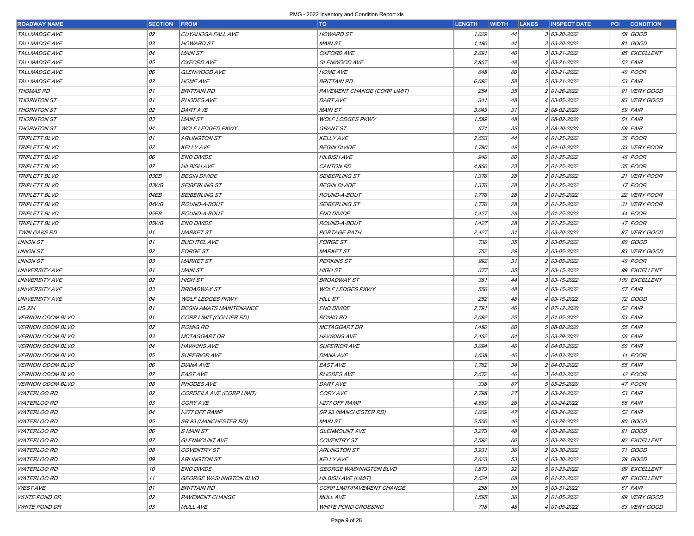| <b>ROADWAY NAME</b>     | <b>SECTION</b> | <b>FROM</b>                    | <b>TO</b>                     | <b>LENGTH</b> | <b>WIDTH</b> | <b>LANES</b><br><b>INSPECT DATE</b> | <b>PCI CONDITION</b> |  |
|-------------------------|----------------|--------------------------------|-------------------------------|---------------|--------------|-------------------------------------|----------------------|--|
| TALLMADGE AVE           | 02             | CUYAHOGA FALL AVE              | <b>HOWARD ST</b>              | 1,029         | 44           | 3 03-20-2022                        | 68 GOOD              |  |
| TALLMADGE AVE           | 03             | <b>HOWARD ST</b>               | <b>MAIN ST</b>                | 1,180         | 44           | 3 03-20-2022                        | 81 GOOD              |  |
| <b>TALLMADGE AVE</b>    | 04             | <b>MAIN ST</b>                 | <b>OXFORD AVE</b>             | 2,691         | 40           | 3 03-21-2022                        | 95 EXCELLENT         |  |
| TALLMADGE AVE           | 05             | <b>OXFORD AVE</b>              | GLENWOOD AVE                  | 2,867         | 48           | 4 03-21-2022                        | $62$ FAIR            |  |
| TALLMADGE AVE           | 06             | GLENWOOD AVE                   | <i>HOME AVE</i>               | 648           | 60           | 4 03-21-2022                        | 40 POOR              |  |
| TALLMADGE AVE           | 07             | <i>HOME AVE</i>                | <b>BRITTAIN RD</b>            | 6,092         | 58           | 5 03-21-2022                        | $63$ $FAIR$          |  |
| THOMAS RD               | 01             | <b>BRITTAIN RD</b>             | PAVEMENT CHANGE (CORP LIMIT)  | 254           | 35           | 2 01-26-2022                        | 91 VERY GOOD         |  |
| <b>THORNTON ST</b>      | 01             | <b>RHODES AVE</b>              | DARTAVE                       | 341           | 48           | 4 03-05-2022                        | 83 VERY GOOD         |  |
| <b>THORNTON ST</b>      | 02             | DARTAVE                        | <b>MAIN ST</b>                | 3,043         | 31           | 2 08-02-2020                        | $59$ FAIR            |  |
| <b>THORNTON ST</b>      | 03             | <b>MAIN ST</b>                 | <b>WOLF LODGES PKWY</b>       | 1,589         | 48           | 4 08-02-2020                        | $64$ FAIR            |  |
| <b>THORNTON ST</b>      | 04             | <b>WOLF LEDGED PKWY</b>        | GRANT ST                      | 671           | 35           | 3 08-30-2020                        | $59$ FAIR            |  |
| <b>TRIPLETT BLVD</b>    | 01             | ARLINGTON ST                   | KELLYAVE                      | 2,603         | 44           | 4 01-25-2022                        | 36 <i>POOR</i>       |  |
| <b>TRIPLETT BLVD</b>    | 02             | KELLYAVE                       | <b>BEGIN DIVIDE</b>           | 1,780         | 49           | 4 04-10-2022                        | 33 VERY POOR         |  |
| TRIPLETT BLVD           | 06             | <b>END DIVIDE</b>              | <b>HILBISH AVE</b>            | 940           | 60           | 5 01-25-2022                        | 46 <i>POOR</i>       |  |
| TRIPLETT BLVD           | 07             | <b>HILBISH AVE</b>             | <b>CANTON RD</b>              | 4,860         | 23           | 2 01-25-2022                        | 35 <i>POOR</i>       |  |
| TRIPLETT BLVD           | 03EB           | <b>BEGIN DIVIDE</b>            | <i>SEIBERLING ST</i>          | 1,376         | 28           | 2 01-25-2022                        | 21 VERY POOR         |  |
| <i>TRIPLETT BLVD</i>    | 03WB           | <b>SEIBERLING ST</b>           | <b>BEGIN DIVIDE</b>           | 1,376         | 28           | 2 01-25-2022                        | 47 <i>POOR</i>       |  |
| <b>TRIPLETT BLVD</b>    | 04EB           | <b>SEIBERLING ST</b>           | ROUND-A-BOUT                  | 1,776         | 28           | 2 01-25-2022                        | 22 VERY POOR         |  |
| <b>TRIPLETT BLVD</b>    | 04WB           | ROUND-A-BOUT                   | SEIBERLING ST                 | 1,776         | 28           | 2 01-25-2022                        | 31 VERY POOR         |  |
| <b>TRIPLETT BLVD</b>    | 05EB           | ROUND-A-BOUT                   | <b>END DIVIDE</b>             | 1,427         | 28           | 2 01-25-2022                        | 44 <i>POOR</i>       |  |
| <b>TRIPLETT BLVD</b>    | 05WB           | <b>END DIVIDE</b>              | ROUND-A-BOUT                  | 1,427         | 28           | 2 01-25-2022                        | 47 <i>POOR</i>       |  |
| TWIN OAKS RD            | 01             | <b>MARKET ST</b>               | PORTAGE PATH                  | 2,427         | 31           | 2 03-20-2022                        | 87 VERY GOOD         |  |
| <b>UNION ST</b>         | 01             | <b>BUCHTEL AVE</b>             | <i>FORGE ST</i>               | 730           | 35           | 2 03-05-2022                        | 80 GOOD              |  |
| <b>UNION ST</b>         | 02             | <b>FORGE ST</b>                | <b>MARKET ST</b>              | 752           | 29           | 2 03-05-2022                        | 83 VERY GOOD         |  |
| <b>UNION ST</b>         | 03             | MARKET ST                      | <b>PERKINS ST</b>             | 992           | 31           | 2 03-05-2022                        | 40 <i>POOR</i>       |  |
| <b>UNIVERSITY AVE</b>   | 01             | <b>MAIN ST</b>                 | HIGH ST                       | 377           | 35           | 2 03-15-2022                        | 99 EXCELLENT         |  |
| <b>UNIVERSITY AVE</b>   | 02             | <b>HIGH ST</b>                 | <b>BROADWAY ST</b>            | 381           | 44           | $3 03 - 15 - 2022$                  | 100 EXCELLENT        |  |
| <b>UNIVERSITY AVE</b>   | 03             | <b>BROADWAY ST</b>             | <b>WOLF LEDGES PKWY</b>       | 556           | 48           | 4 03-15-2022                        | 67 FAIR              |  |
| <b>UNIVERSITY AVE</b>   | 04             | <b>WOLF LEDGES PKWY</b>        | HILL ST                       | 252           | 48           | 4 03-15-2022                        | 72 GOOD              |  |
| <b>US 224</b>           | 01             | <b>BEGIN AMATS MAINTENANCE</b> | <b>END DIVIDE</b>             | 2,791         | 46           | 4 07-12-2020                        | $52$ FAIR            |  |
| <b>VERNON ODOM BLVD</b> | 01             | CORP LIMIT (COLLIER RD)        | <b>ROMIG RD</b>               | 2,092         | 25           | 2 01-05-2022                        | $63$ $FAIR$          |  |
| <b>VERNON ODOM BLVD</b> | 02             | <b>ROMIG RD</b>                | <b>MCTAGGART DR</b>           | 1,480         | 60           | 5 08-02-2020                        | $55$ FAIR            |  |
| <b>VERNON ODOM BLVD</b> | 03             | <b>MCTAGGART DR</b>            | <b>HAWKINS AVE</b>            | 2,462         | 64           | 5 03-29-2022                        | 66 FAIR              |  |
| <b>VERNON ODOM BLVD</b> | 04             | <b>HAWKINS AVE</b>             | <b>SUPERIOR AVE</b>           | 3,094         | 40           | 4 04-03-2022                        | $50$ FAIR            |  |
| <b>VERNON ODOM BLVD</b> | 05             | <b>SUPERIOR AVE</b>            | DIANA AVE                     | 1,638         | 40           | 4 04-03-2022                        | 44 <i>POOR</i>       |  |
| <b>VERNON ODOM BLVD</b> | 06             | <b>DIANA AVE</b>               | <i>EAST AVE</i>               | 1,762         | 34           | 2 04-03-2022                        | $55$ FAIR            |  |
| <b>VERNON ODOM BLVD</b> | 07             | EASTAVE                        | <b>RHODES AVE</b>             | 2,672         | 40           | 3 04-03-2022                        | 42 <i>POOR</i>       |  |
| <b>VERNON ODOM BLVD</b> | 08             | <b>RHODES AVE</b>              | <b>DART AVE</b>               | 338           | 67           | 5 05-25-2020                        | 47 <i>POOR</i>       |  |
| <b>WATERLOO RD</b>      | 02             | CORDEILA AVE (CORP LIMIT)      | CORYAVE                       | 2,798         | 27           | 2 03-24-2022                        | 63 FAIR              |  |
| <b>WATERLOO RD</b>      | 03             | CORYAVE                        | <b>I-277 OFF RAMP</b>         | 4,569         | 26           | 2 03-24-2022                        | 56 FAIR              |  |
| <b>WATERLOO RD</b>      | 04             | I-277 OFF RAMP                 | SR 93 (MANCHESTER RD)         | 1,009         | 4/           | 4 03-24-2022                        | $62$ FAIR            |  |
| <b>WATERLOO RD</b>      | 05             | SR 93 (MANCHESTER RD)          | MAIN ST                       | 5,500         | 40           | $403 - 28 - 2022$                   | 80 GOOD              |  |
| <b>WATERLOO RD</b>      | 06             | S MAIN ST                      | GLENMOUNT AVE                 | 3,273         | 48           | 4 03-28-2022                        | 81 GOOD              |  |
| <b>WATERLOO RD</b>      | 07             | <b>GLENMOUNT AVE</b>           | <b>COVENTRY ST</b>            | 2,592         | 60           | 5 03-28-2022                        | 92 EXCELLENT         |  |
| <b>WATERLOO RD</b>      | 08             | COVENTRY ST                    | ARLINGTON ST                  | 3,931         | 36           | 2 03-30-2022                        | 71 GOOD              |  |
| <b>WATERLOO RD</b>      | 09             | ARLINGTON ST                   | <b>KELLY AVE</b>              | 2,623         | 53           | 4 03-30-2022                        | 78 GOOD              |  |
| <b>WATERLOO RD</b>      | 10             | <b>END DIVIDE</b>              | <b>GEORGE WASHINGTON BLVD</b> | 1,873         | 92           | 5 01-23-2022                        | 99 EXCELLENT         |  |
| <b>WATERLOO RD</b>      | 11             | GEORGE WASHINGTON BLVD         | HILBISH AVE (LIMIT)           | 2,624         | 68           | 6 01-23-2022                        | 97 EXCELLENT         |  |
| <b>WESTAVE</b>          | 01             | <b>BRITTAIN RD</b>             | CORP LIMIT/PAVEMENT CHANGE    | 258           | 55           | 5 03-31-2022                        | $67$ FAIR            |  |
| <b>WHITE POND DR</b>    | 02             | PAVEMENT CHANGE                | <b>MULL AVE</b>               | 1,595         | 36           | 2 01-05-2022                        | 89 VERY GOOD         |  |
| <b>WHITE POND DR</b>    | 03             | <b>MULL AVE</b>                | <b>WHITE POND CROSSING</b>    | 718           | 48           | $4 01-05-2022$                      | 83 VERY GOOD         |  |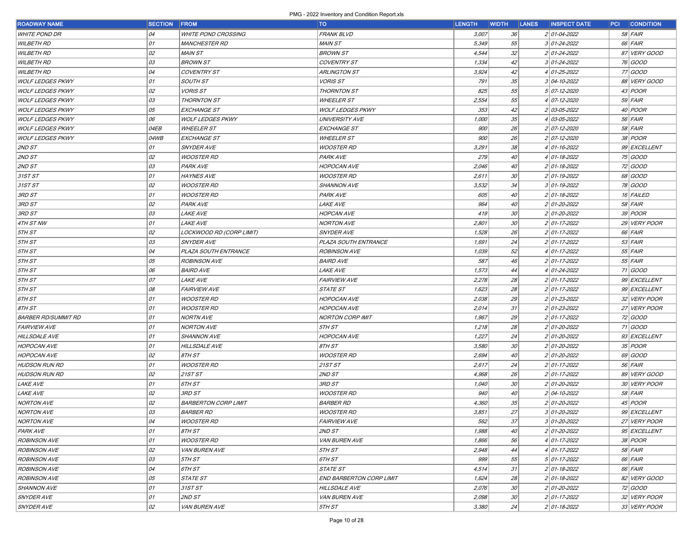| <b>ROADWAY NAME</b>        | <b>SECTION</b> | <b>FROM</b>                 | <b>TO</b>                       | <b>LENGTH</b> | <b>WIDTH</b>    | <b>LANES</b> | <b>INSPECT DATE</b> | <b>PCI CONDITION</b> |
|----------------------------|----------------|-----------------------------|---------------------------------|---------------|-----------------|--------------|---------------------|----------------------|
| <b>WHITE POND DR</b>       | 04             | <b>WHITE POND CROSSING</b>  | <b>FRANK BLVD</b>               | 3,007         | 36              |              | 2 01-04-2022        | 58 FAIR              |
| <b>WILBETH RD</b>          | 01             | <i>MANCHESTER RD</i>        | <b>MAIN ST</b>                  | 5,349         | 55              |              | 3 01-24-2022        | 66 FAIR              |
| <b>WILBETH RD</b>          | 02             | <b>MAIN ST</b>              | <b>BROWN ST</b>                 | 4,544         | 32              |              | 2 01-24-2022        | 87 VERY GOOD         |
| <b>WILBETH RD</b>          | 03             | <b>BROWN ST</b>             | <b>COVENTRY ST</b>              | 1,334         | 42              |              | 3 01-24-2022        | 76 GOOD              |
| <b>WILBETH RD</b>          | 04             | <b>COVENTRY ST</b>          | ARLINGTON ST                    | 3,924         | 42              |              | 4 01-25-2022        | 77 GOOD              |
| <b>WOLF LEDGES PKWY</b>    | 01             | <b>SOUTH ST</b>             | <i>VORIS ST</i>                 | 791           | 35              |              | 3 04-10-2022        | 88 VERY GOOD         |
| <b>WOLF LEDGES PKWY</b>    | 02             | <b>VORIS ST</b>             | <b>THORNTON ST</b>              | 825           | 55              |              | 5 07-12-2020        | 43 <i>POOR</i>       |
| <b>WOLF LEDGES PKWY</b>    | 03             | <b>THORNTON ST</b>          | <b>WHEELER ST</b>               | 2,554         | 55              |              | 4 07-12-2020        | $59$ $FAIR$          |
| <b>WOLF LEDGES PKWY</b>    | 05             | <b>EXCHANGE ST</b>          | <b>WOLF LEDGES PKWY</b>         | 353           | 42              |              | 2 03-05-2022        | 40 <i>POOR</i>       |
| <b>WOLF LEDGES PKWY</b>    | 06             | <b>WOLF LEDGES PKWY</b>     | <b>UNIVERSITY AVE</b>           | 1,000         | 35              |              | 4 03-05-2022        | $56$ FAIR            |
| <b>WOLF LEDGES PKWY</b>    | 04EB           | <b>WHEELER ST</b>           | <b>EXCHANGE ST</b>              | 900           | 26              |              | 2 07-12-2020        | $58$ FAIR            |
| <b>WOLF LEDGES PKWY</b>    | 04WB           | EXCHANGE ST                 | <b>WHEELER ST</b>               | 900           | 26              |              | 2 07-12-2020        | 38 <i>POOR</i>       |
| 2ND ST                     | 01             | SNYDER AVE                  | <b>WOOSTER RD</b>               | 3,291         | 38              |              | 4 01-16-2022        | 99 EXCELLENT         |
| 2ND ST                     | 02             | <b>WOOSTER RD</b>           | <b>PARK AVE</b>                 | 279           | 40              |              | 4 01-18-2022        | 75 GOOD              |
| 2ND ST                     | 03             | <b>PARK AVE</b>             | <b>HOPOCAN AVE</b>              | 2,046         | 40              |              | 2 01-18-2022        | 72 GOOD              |
| 31ST ST                    | 01             | <i>HAYNES AVE</i>           | <b>WOOSTER RD</b>               | 2,611         | 30              |              | 2 01-19-2022        | 68 GOOD              |
| 31STST                     | 02             | <b>WOOSTER RD</b>           | <b>SHANNON AVE</b>              | 3,532         | 34              |              | $3 01-19-2022$      | 78 GOOD              |
| 3RD ST                     | 01             | <b>WOOSTER RD</b>           | <b>PARK AVE</b>                 | 605           | 40              |              | 2 01-18-2022        | 16 FAILED            |
| 3RD ST                     | 02             | <b>PARK AVE</b>             | <b>LAKE AVE</b>                 | 964           | 40              |              | 2 01-20-2022        | 58 FAIR              |
| 3RD ST                     | 03             | <i>LAKE AVE</i>             | <b>HOPCAN AVE</b>               | 419           | 30              |              | 2 01-20-2022        | $39$ POOR            |
| 4TH ST NW                  | 01             | <i>LAKE AVE</i>             | <b>NORTON AVE</b>               | 2,801         | 30              |              | 2 01-17-2022        | 29 VERY POOR         |
| 5TH ST                     | 02             | LOCKWOOD RD (CORP LIMIT)    | <b>SNYDER AVE</b>               | 1,528         | 26              |              | 2 01-17-2022        | 66 FAIR              |
| 5TH ST                     | 03             | <b>SNYDER AVE</b>           | PLAZA SOUTH ENTRANCE            | 1,691         | 24              |              | 201-17-2022         | $53$ FAIR            |
| 5TH ST                     | 04             | PLAZA SOUTH ENTRANCE        | <b>ROBINSON AVE</b>             | 1,039         | 52              |              | 4 01-17-2022        | $55$ $FAIR$          |
| 5TH ST                     | 05             | <b>ROBINSON AVE</b>         | <b>BAIRD AVE</b>                | 587           | 46              |              | 201-17-2022         | $55$ FAIR            |
| 5TH ST                     | 06             | <b>BAIRD AVE</b>            | LAKE AVE                        | 1,573         | 44              |              | 4 01-24-2022        | 71 GOOD              |
| 5TH ST                     | 07             | <i>LAKE AVE</i>             | <b>FAIRVIEW AVE</b>             | 2,278         | 28              |              | 2 01-17-2022        | 99 EXCELLENT         |
| 5TH ST                     | 08             | <b>FAIRVIEW AVE</b>         | <b>STATE ST</b>                 | 1,623         | 28              |              | 2 01-17-2022        | 99 EXCELLENT         |
| 6TH ST                     | 01             | <b>WOOSTER RD</b>           | <b>HOPOCAN AVE</b>              | 2,038         | 29              |              | 2 01-23-2022        | 32 VERY POOR         |
| 8TH ST                     | 01             | <b>WOOSTER RD</b>           | <b>HOPOCAN AVE</b>              | 2,014         | 31              |              | 2 01-23-2022        | 27 VERY POOR         |
| <b>BARBER RD/SUMMIT RD</b> | 01             | <i>NORTN AVE</i>            | <b>NORTON CORP IMIT</b>         | 1,967         | 29              |              | 2 01-17-2022        | 72 GOOD              |
| <b>FAIRVIEW AVE</b>        | 01             | <b>NORTON AVE</b>           | 5TH ST                          | 1,218         | 28              |              | 2 01-20-2022        | 71 GOOD              |
| <b>HILLSDALE AVE</b>       | 01             | <b>SHANNON AVE</b>          | <b>HOPOCAN AVE</b>              | 1,227         | 24              |              | 2 01-20-2022        | 93 EXCELLENT         |
| <b>HOPOCAN AVE</b>         | 01             | <b>HILLSDALE AVE</b>        | 8TH ST                          | 3,580         | 30              |              | 2 01-20-2022        | 35 <i>POOR</i>       |
| <b>HOPOCAN AVE</b>         | 02             | 8TH ST                      | <b>WOOSTER RD</b>               | 2,694         | 40              |              | 2 01-20-2022        | 69 GOOD              |
| <b>HUDSON RUN RD</b>       | 01             | <i>WOOSTER RD</i>           | 21ST ST                         | 2,617         | 24              |              | 2 01-17-2022        | $56$ FAIR            |
| <b>HUDSON RUN RD</b>       | 02             | 21ST ST                     | 2ND ST                          | 4,968         | 26              |              | 2 01-17-2022        | 89 VERY GOOD         |
| <b>LAKE AVE</b>            | 01             | 6TH ST                      | 3RD ST                          | 1,040         | 30 <sup>°</sup> |              | 2 01-20-2022        | 30 VERY POOR         |
| <b>LAKE AVE</b>            | 02             | 3RD ST                      | <b>WOOSTER RD</b>               | 940           | 40              |              | 2 04-10-2022        | 58 FAIR              |
| <b>NORTON AVE</b>          | 02             | <b>BARBERTON CORP LIMIT</b> | <b>BARBER RD</b>                | 4,360         | 35              |              | 2 01-20-2022        | 45 <i>POOR</i>       |
| <b>NORTON AVE</b>          | 03             | <b>BARBER RD</b>            | <i>WOOSTER RD</i>               | 3,851         | 27              |              | $301 - 20 - 2022$   | 99 EXCELLENT         |
| <b>NORTON AVE</b>          | 04             | <b>WOOSTER RD</b>           | <b>FAIRVIEW AVE</b>             | 562           | 37              |              | $3 01-20-2022$      | 27 VERY POOR         |
| <b>PARK AVE</b>            | 01             | 8TH ST                      | 2ND ST                          | 1,988         | 40 <sup>°</sup> |              | 2 01-20-2022        | 95 EXCELLENT         |
| <b>ROBINSON AVE</b>        | 01             | <b>WOOSTER RD</b>           | VAN BUREN AVE                   | 1,866         | 56              |              | 4 01-17-2022        | 38 <i>POOR</i>       |
| <b>ROBINSON AVE</b>        | 02             | <b>VAN BUREN AVE</b>        | 5TH ST                          | 2,948         | 44              |              | 4 01-17-2022        | $58$ FAIR            |
| <b>ROBINSON AVE</b>        | 03             | 5TH ST                      | 6TH ST                          | 999           | 55              |              | $501 - 17 - 2022$   | 66 FAIR              |
| <b>ROBINSON AVE</b>        | 04             | 6TH ST                      | <i>STATE ST</i>                 | 4,514         | 31              |              | 2 01-18-2022        | 66 FAIR              |
| <b>ROBINSON AVE</b>        | 05             | STATE ST                    | <b>END BARBERTON CORP LIMIT</b> | 1,624         | 28              |              | 201-18-2022         | 82 VERY GOOD         |
| <b>SHANNON AVE</b>         | 01             | 31ST ST                     | <b>HILLSDALE AVE</b>            | 2,076         | 30 <sup>°</sup> |              | 2 01-20-2022        | 72 GOOD              |
| SNYDER AVE                 | 01             | 2ND ST                      | <b>VAN BUREN AVE</b>            | 2,098         | 30 <sup>°</sup> |              | 2 01-17-2022        | 32 VERY POOR         |
| SNYDER AVE                 | 02             | <b>VAN BUREN AVE</b>        | 5TH ST                          | 3,380         | 24              |              | 2 01-18-2022        | 33 VERY POOR         |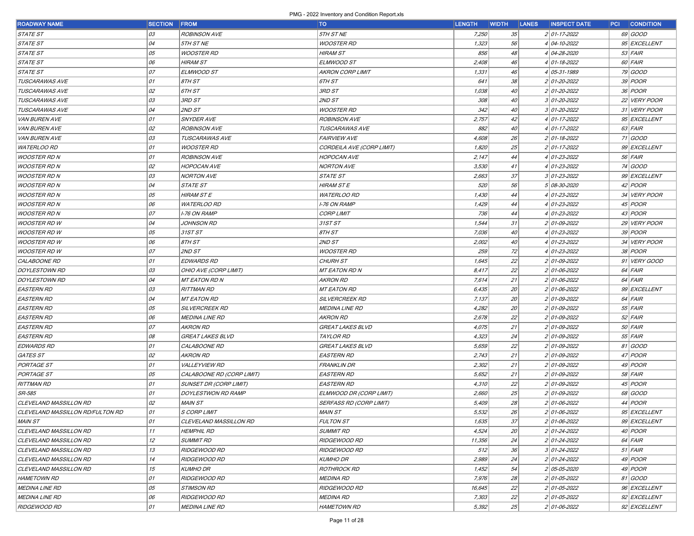| <b>ROADWAY NAME</b>              | <b>SECTION</b> | <b>FROM</b>               | TO                             | <b>LENGTH</b> | <b>WIDTH</b>    | <b>LANES</b> | <b>INSPECT DATE</b> | <b>PCI CONDITION</b> |
|----------------------------------|----------------|---------------------------|--------------------------------|---------------|-----------------|--------------|---------------------|----------------------|
| <b>STATE ST</b>                  | 03             | <b>ROBINSON AVE</b>       | 5TH ST NE                      | 7,250         | 35              |              | 2 01-17-2022        | 69 GOOD              |
| <i>STATE ST</i>                  | 04             | 5TH ST NE                 | <b>WOOSTER RD</b>              | 1,323         | 56              |              | 4 04-10-2022        | 95 EXCELLENT         |
| STATE ST                         | 05             | <b>WOOSTER RD</b>         | <b>HIRAM ST</b>                | 856           | 48              |              | 4 04-28-2020        | $53$ FAIR            |
| <i>STATE ST</i>                  | 06             | HIRAM ST                  | ELMWOOD ST                     | 2,408         | 46              |              | 4 01-18-2022        | 60 FAIR              |
| <b>STATE ST</b>                  | 07             | <b>ELMWOOD ST</b>         | <b>AKRON CORP LIMIT</b>        | 1,331         | 46              |              | 4 05-31-1989        | 79 GOOD              |
| TUSCARAWAS AVE                   | 01             | 8TH ST                    | 6TH ST                         | 641           | 38              |              | 2 01-20-2022        | 39 <i>POOR</i>       |
| TUSCARAWAS AVE                   | 02             | 6TH ST                    | 3RD ST                         | 1,038         | 40              |              | 2 01-20-2022        | 36 <i>POOR</i>       |
| TUSCARAWAS AVE                   | 03             | 3RD ST                    | 2ND ST                         | 308           | 40 <sup>°</sup> |              | 3 01-20-2022        | 22 VERY POOR         |
| TUSCARAWAS AVE                   | 04             | 2ND ST                    | <b>WOOSTER RD</b>              | 342           | 40              |              | 3 01-20-2022        | 31 VERY POOR         |
| <b>VAN BUREN AVE</b>             | 01             | <b>SNYDER AVE</b>         | <b>ROBINSON AVE</b>            | 2,757         | 42              |              | 4 01-17-2022        | 95 EXCELLENT         |
| <b>VAN BUREN AVE</b>             | 02             | <b>ROBINSON AVE</b>       | TUSCARAWAS AVE                 | 882           | 40              |              | 4 01-17-2022        | $63$ FAIR            |
| <b>VAN BUREN AVE</b>             | 03             | TUSCARAWAS AVE            | <b>FAIRVIEW AVE</b>            | 4,608         | 26              |              | 2 01-18-2022        | 71 GOOD              |
| <b>WATERLOO RD</b>               | 01             | <b>WOOSTER RD</b>         | CORDEILA AVE (CORP LIMIT)      | 1,820         | 25              |              | 2 01-17-2022        | 99 EXCELLENT         |
| <b>WOOSTER RD N</b>              | 01             | <b>ROBINSON AVE</b>       | <b>HOPOCAN AVE</b>             | 2,147         | 44              |              | 4 01-23-2022        | 56 FAIR              |
| <b>WOOSTER RD N</b>              | 02             | HOPOCAN AVE               | <b>NORTON AVE</b>              | 3,530         | 41              |              | 4 01-23-2022        | 74 GOOD              |
| <b>WOOSTER RD N</b>              | 03             | <i>NORTON AVE</i>         | <b>STATE ST</b>                | 2,663         | 37              |              | 3 01-23-2022        | 99 EXCELLENT         |
| <b>WOOSTER RD N</b>              | 04             | STATE ST                  | <b>HIRAM ST E</b>              | 520           | 56              |              | 5 08-30-2020        | 42 <i>POOR</i>       |
| <b>WOOSTER RD N</b>              | 05             | <b>HIRAM STE</b>          | <b>WATERLOO RD</b>             | 1,430         | 44              |              | 4 01-23-2022        | 34 VERY POOR         |
| <b>WOOSTER RD N</b>              | 06             | <b>WATERLOO RD</b>        | I-76 ON RAMP                   | 1,429         | 44              |              | 4 01-23-2022        | 45 <i>POOR</i>       |
| <b>WOOSTER RD N</b>              | 07             | I-76 ON RAMP              | <b>CORP LIMIT</b>              | 736           | 44              |              | 4 01-23-2022        | 43 <i>POOR</i>       |
| <b>WOOSTER RD W</b>              | 04             | JOHNSON RD                | 31ST ST                        | 1,544         | 31              |              | 2 01-09-2022        | 29 VERY POOR         |
| <b>WOOSTER RD W</b>              | 05             | 31ST ST                   | 8TH ST                         | 7,036         | 40              |              | 4 01-23-2022        | $39$ POOR            |
| <b>WOOSTER RD W</b>              | 06             | 8TH ST                    | 2ND ST                         | 2,002         | 40 <sup>°</sup> |              | 4 01-23-2022        | 34 VERY POOR         |
| <b>WOOSTER RD W</b>              | 07             | 2ND ST                    | <b>WOOSTER RD</b>              | 259           | 72              |              | 4 01-23-2022        | 38 <i>POOR</i>       |
| CALABOONE RD                     | 01             | <b>EDWARDS RD</b>         | <b>CHURH ST</b>                | 1,645         | 22              |              | 2 01-09-2022        | 91 VERY GOOD         |
| <i>DOYLESTOWN RD</i>             | 03             | OHIO AVE (CORP LIMIT)     | <b>MT EATON RD N</b>           | 8,417         | 22              |              | 2 01-06-2022        | $64$ FAIR            |
| <b>DOYLESTOWN RD</b>             | 04             | MT EATON RD N             | AKRON RD                       | 7,614         | 21              |              | 2 01-06-2022        | $64$ FAIR            |
| EASTERN RD                       | 03             | <b>RITTMAN RD</b>         | <b>MT EATON RD</b>             | 6,435         | 20              |              | 2 01-06-2022        | 99 EXCELLENT         |
| EASTERN RD                       | 04             | <b>MT EATON RD</b>        | <b>SILVERCREEK RD</b>          | 7,137         | 20              |              | 2 01-09-2022        | $64$ FAIR            |
| EASTERN RD                       | 05             | <b>SILVERCREEK RD</b>     | MEDINA LINE RD                 | 4,282         | 20              |              | 2 01-09-2022        | $55$ FAIR            |
| EASTERN RD                       | 06             | MEDINA LINE RD            | <b>AKRON RD</b>                | 2,678         | 22              |              | 2 01-09-2022        | $52$ FAIR            |
| EASTERN RD                       | 07             | <b>AKRON RD</b>           | <b>GREAT LAKES BLVD</b>        | 4,075         | 21              |              | 2 01-09-2022        | $50$ FAIR            |
| EASTERN RD                       | 08             | <b>GREAT LAKES BLVD</b>   | <b>TAYLOR RD</b>               | 4,323         | 24              |              | 2 01-09-2022        | $55$ $FAIR$          |
| <i>EDWARDS RD</i>                | 01             | CALABOONE RD              | <b>GREAT LAKES BLVD</b>        | 5,659         | 22              |              | 2 01-09-2022        | 81 GOOD              |
| GATES ST                         | 02             | AKRON RD                  | <i>EASTERN RD</i>              | 2,743         | 21              |              | 2 01-09-2022        | 47 <i>POOR</i>       |
| <i>PORTAGE ST</i>                | 01             | <b>VALLEYVIEW RD</b>      | FRANKLIN DR                    | 2,302         | 21              |              | 2 01-09-2022        | 49 <i>POOR</i>       |
| PORTAGE ST                       | 05             | CALABOONE RD (CORP LIMIT) | <b>EASTERN RD</b>              | 5,652         | 21              |              | 2 01-09-2022        | $58$ FAIR            |
| <b>RITTMAN RD</b>                | 01             | SUNSET DR (CORP LIMIT)    | <b>EASTERN RD</b>              | 4,310         | 22              |              | 2 01-09-2022        | 45 <i>POOR</i>       |
| SR-585                           | 01             | <b>DOYLESTWON RD RAMP</b> | ELMWOOD DR (CORP LIMIT)        | 2,660         | 25              |              | 2 01-09-2022        | 68 GOOD              |
| CLEVELAND MASSILLON RD           | 02             | <b>MAIN ST</b>            | <b>SERFASS RD (CORP LIMIT)</b> | 5,409         | 28              |              | 2 01-06-2022        | 44 <i>POOR</i>       |
| CLEVELAND MASSILLON RD/FULTON RD | 01             | $ S \textit{CORP LIMIT} $ | <b>MAIN ST</b>                 | 5,532         | 26              |              | 2 01-06-2022        | 95 EXCELLENT         |
| MAIN ST                          | 01             | CLEVELAND MASSILLON RD    | <b>FULTON ST</b>               | 1,635         | 37              |              | 2 01-06-2022        | 99 EXCELLENT         |
| CLEVELAND MASSILLON RD           | 11             | <b>HEMPHIL RD</b>         | <b>SUMMIT RD</b>               | 4,524         | 20              |              | 2 01-24-2022        | $40$ POOR            |
| CLEVELAND MASSILLON RD           | 12             | <b>SUMMIT RD</b>          | RIDGEWOOD RD                   | 11,356        | 24              |              | 2 01-24-2022        | $64$ $FAIR$          |
| CLEVELAND MASSILLON RD           | 13             | RIDGEWOOD RD              | RIDGEWOOD RD                   | 512           | 36              |              | 3 01-24-2022        | $51$ FAIR            |
| CLEVELAND MASSILLON RD           | 14             | RIDGEWOOD RD              | <b>KUMHO DR</b>                | 2,989         | 24              |              | 2 01-24-2022        | 49 <i>POOR</i>       |
| CLEVELAND MASSILLON RD           | 15             | <b>KUMHO DR</b>           | <b>ROTHROCK RD</b>             | 1,452         | 54              |              | 2 05-05-2020        | 49 <i>POOR</i>       |
| <b>HAMETOWN RD</b>               | 01             | RIDGEWOOD RD              | <b>MEDINA RD</b>               | 7,976         | 28              |              | 2 01-05-2022        | 81 GOOD              |
| MEDINA LINE RD                   | 05             | <b>STIMSON RD</b>         | RIDGEWOOD RD                   | 16,645        | 22              |              | 2 01-05-2022        | 96 EXCELLENT         |
| <b>MEDINA LINE RD</b>            | 06             | RIDGEWOOD RD              | <b>MEDINA RD</b>               | 7,303         | 22              |              | 201-05-2022         | 92 EXCELLENT         |
| <b>RIDGEWOOD RD</b>              | 01             | <b>MEDINA LINE RD</b>     | <b>HAMETOWN RD</b>             | 5,392         | 25              |              | 2 01-06-2022        | 92 EXCELLENT         |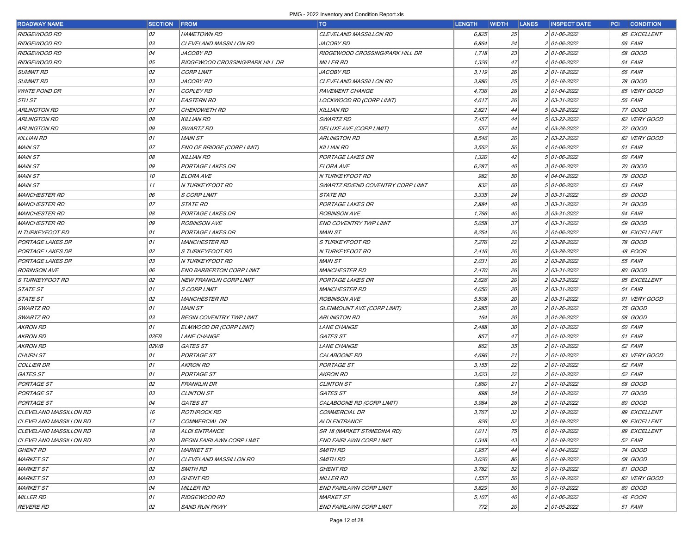| <b>ROADWAY NAME</b>    | <b>SECTION</b> | <b>FROM</b>                       | TO                                | <b>LENGTH</b> | <b>WIDTH</b> | <b>LANES</b> | <b>INSPECT DATE</b> | <b>CONDITION</b><br> PCI |
|------------------------|----------------|-----------------------------------|-----------------------------------|---------------|--------------|--------------|---------------------|--------------------------|
| <b>RIDGEWOOD RD</b>    | 02             | <b>HAMETOWN RD</b>                | CLEVELAND MASSILLON RD            | 6,825         | 25           |              | 2 01-06-2022        | 95 EXCELLENT             |
| RIDGEWOOD RD           | 03             | <b>CLEVELAND MASSILLON RD</b>     | <i>JACOBY RD</i>                  | 6,864         | 24           |              | 2 01-06-2022        | 66 FAIR                  |
| RIDGEWOOD RD           | 04             | <b>JACOBY RD</b>                  | RIDGEWOOD CROSSING/PARK HILL DR   | 1,718         | 23           |              | 201-06-2022         | 68 GOOD                  |
| RIDGEWOOD RD           | 05             | RIDGEWOOD CROSSING/PARK HILL DR   | <b>MILLER RD</b>                  | 1,326         | 47           |              | 4 01-06-2022        | 64 FAIR                  |
| <b>SUMMIT RD</b>       | 02             | <b>CORP LIMIT</b>                 | <b>JACOBY RD</b>                  | 3,119         | 26           |              | 201-18-2022         | 66 FAIR                  |
| <b>SUMMIT RD</b>       | 03             | JACOBY RD                         | <b>CLEVELAND MASSILLON RD</b>     | 3,980         | 25           |              | 2 01-18-2022        | 78 GOOD                  |
| <b>WHITE POND DR</b>   | 01             | <b>COPLEY RD</b>                  | <b>PAVEMENT CHANGE</b>            | 4,736         | 26           |              | 2 01-04-2022        | 85 VERY GOOD             |
| 5TH ST                 | 01             | <b>EASTERN RD</b>                 | LOCKWOOD RD (CORP LIMIT)          | 4,617         | 26           |              | 2 03-31-2022        | $56$ $FAIR$              |
| <b>ARLINGTON RD</b>    | 07             | <b>CHENOWETH RD</b>               | <b>KILLIAN RD</b>                 | 2,821         | 44           |              | 5 03-28-2022        | 77 GOOD                  |
| ARLINGTON RD           | 08             | <b>KILLIAN RD</b>                 | <b>SWARTZ RD</b>                  | 7,457         | 44           |              | 5 03-22-2022        | 82 VERY GOOD             |
| <b>ARLINGTON RD</b>    | 09             | <b>SWARTZ RD</b>                  | DELUXE AVE (CORP LIMIT)           | 557           | 44           |              | 4 03-28-2022        | 72 GOOD                  |
| <b>KILLIAN RD</b>      | 01             | <b>MAIN ST</b>                    | <b>ARLINGTON RD</b>               | 8,546         | 20           |              | 2 03-22-2022        | 82 VERY GOOD             |
| <b>MAIN ST</b>         | 07             | <b>END OF BRIDGE (CORP LIMIT)</b> | <b>KILLIAN RD</b>                 | 3,562         | 50           |              | 4 01-06-2022        | 61 FAIR                  |
| <b>MAIN ST</b>         | 08             | <b>KILLIAN RD</b>                 | PORTAGE LAKES DR                  | 1,320         | 42           |              | 5 01-06-2022        | 60 FAIR                  |
| <b>MAIN ST</b>         | 09             | <b>PORTAGE LAKES DR</b>           | ELORA AVE                         | 6,287         | 40           |              | 3 01-06-2022        | 70 GOOD                  |
| <b>MAIN ST</b>         | 10             | <b>ELORA AVE</b>                  | N TURKEYFOOT RD                   | 982           | 50           |              | 4 04-04-2022        | 79 GOOD                  |
| <b>MAIN ST</b>         | 11             | N TURKEYFOOT RD                   | SWARTZ RD/END COVENTRY CORP LIMIT | 832           | 60           |              | 5 01-06-2022        | 63 FAIR                  |
| <b>MANCHESTER RD</b>   | 06             | <b>S CORP LIMIT</b>               | <i>STATE RD</i>                   | 3,335         | 24           |              | 3 03-31-2022        | 69 GOOD                  |
| <b>MANCHESTER RD</b>   | 07             | <b>STATE RD</b>                   | PORTAGE LAKES DR                  | 2,884         | 40           |              | 3 03-31-2022        | 74 GOOD                  |
| <b>MANCHESTER RD</b>   | 08             | <b>PORTAGE LAKES DR</b>           | <b>ROBINSON AVE</b>               | 1,766         | 40           |              | 3 03-31-2022        | 64 FAIR                  |
| <b>MANCHESTER RD</b>   | 09             | <b>ROBINSON AVE</b>               | <b>END COVENTRY TWP LIMIT</b>     | 5,058         | 37           |              | 4 03-31-2022        | 69 GOOD                  |
| N TURKEYFOOT RD        | 01             | PORTAGE LAKES DR                  | <b>MAIN ST</b>                    | 8,254         | 20           |              | 2 01-06-2022        | 94 EXCELLENT             |
| PORTAGE LAKES DR       | 01             | <b>MANCHESTER RD</b>              | S TURKEYFOOT RD                   | 7,276         | 22           |              | 2 03-28-2022        | 78 GOOD                  |
| PORTAGE LAKES DR       | 02             | S TURKEYFOOT RD                   | N TURKEYFOOT RD                   | 2,416         | 20           |              | 2 03-28-2022        | 48 POOR                  |
| PORTAGE LAKES DR       | 03             | N TURKEYFOOT RD                   | <b>MAIN ST</b>                    | 2,031         | 20           |              | 2 03-28-2022        | $55$ $FA$                |
| <b>ROBINSON AVE</b>    | 06             | <b>END BARBERTON CORP LIMIT</b>   | <b>MANCHESTER RD</b>              | 2,470         | 26           |              | 2 03-31-2022        | 80 GOOD                  |
| S TURKEYFOOT RD        | 02             | NEW FRANKLIN CORP LIMIT           | PORTAGE LAKES DR                  | 2,626         | 20           |              | 2 03-23-2022        | 95 EXCELLENT             |
| <i>STATE ST</i>        | 01             | <b>S CORP LIMIT</b>               | <i><b>MANCHESTER RD</b></i>       | 4,050         | 20           |              | 2 03-31-2022        | $64$ FAIR                |
| <i>STATE ST</i>        | 02             | <b>MANCHESTER RD</b>              | <b>ROBINSON AVE</b>               | 5,508         | 20           |              | 2 03-31-2022        | 91 VERY GOOD             |
| SWARTZ RD              | 01             | <b>MAIN ST</b>                    | GLENMOUNT AVE (CORP LIMIT)        | 2,985         | 20           |              | 2 01-26-2022        | 75 GOOD                  |
| SWARTZ RD              | 03             | <b>BEGIN COVENTRY TWP LIMIT</b>   | <b>ARLINGTON RD</b>               | 164           | 20           |              | 3 01-26-2022        | 68 GOOD                  |
| AKRON RD               | 01             | ELMWOOD DR (CORP LIMIT)           | <b>LANE CHANGE</b>                | 2,488         | 30           |              | 2 01-10-2022        | 60 FAIR                  |
| AKRON RD               | 02EB           | <b>LANE CHANGE</b>                | GATES ST                          | 857           | 47           |              | $3 01-10-2022$      | 61 FAIR                  |
| AKRON RD               | 02WB           | <b>GATES ST</b>                   | <i>LANE CHANGE</i>                | 862           | 35           |              | 2 01-10-2022        | 62 FAIR                  |
| <b>CHURH ST</b>        | 01             | <b>PORTAGE ST</b>                 | CALABOONE RD                      | 4,696         | 21           |              | 2 01-10-2022        | 83 VERY GOOD             |
| <b>COLLIER DR</b>      | 01             | <b>AKRON RD</b>                   | <b>PORTAGE ST</b>                 | 3,155         | 22           |              | 2 01-10-2022        | $62$ FAIR                |
| GATES ST               | 01             | <b>PORTAGE ST</b>                 | <b>AKRON RD</b>                   | 3,623         | 22           |              | 2 01-10-2022        | $62$ FAIR                |
| <b>PORTAGE ST</b>      | 02             | <b>FRANKLIN DR</b>                | <b>CLINTON ST</b>                 | 1,860         | 21           |              | 2 01-10-2022        | 68 GOOD                  |
| <b>PORTAGE ST</b>      | 03             | <b>CLINTON ST</b>                 | GATES ST                          | 898           | 54           |              | 2 01-10-2022        | 77 GOOD                  |
| <b>PORTAGE ST</b>      | 04             | <b>GATES ST</b>                   | CALABOONE RD (CORP LIMIT)         | 3,984         | 26           |              | 2 01-10-2022        | 80 GOOD                  |
| CLEVELAND MASSILLON RD | 16             | <b>ROTHROCK RD</b>                | COMMERCIAL DR                     | 3,767         | 32           |              | $201 - 19 - 2022$   | 99 EXCELLENT             |
| CLEVELAND MASSILLON RD | 17             | <b>COMMERCIAL DR</b>              | <b>ALDI ENTRANCE</b>              | 926           | 52           |              | $3 01-19-2022$      | 99 EXCELLENT             |
| CLEVELAND MASSILLON RD | 18             | <b>ALDI ENTRANCE</b>              | SR 18 (MARKET ST/MEDINA RD)       | 1,011         | 75           |              | $6$ 01-19-2022      | 99 EXCELLENT             |
| CLEVELAND MASSILLON RD | 20             | <b>BEGIN FAIRLAWN CORP LIMIT</b>  | END FAIRLAWN CORP LIMIT           | 1,348         | 43           |              | 2 01-19-2022        | $52$ FAIR                |
| <i>GHENT RD</i>        | 01             | <b>MARKET ST</b>                  | SMITH RD                          | 1,957         | 44           |              | 4 01-04-2022        | 74 GOOD                  |
| <i>MARKET ST</i>       | 01             | CLEVELAND MASSILLON RD            | SMITH RD                          | 3,020         | 80           |              | 5 01-19-2022        | 68 GOOD                  |
| <i>MARKET ST</i>       | 02             | <b>SMITH RD</b>                   | <b>GHENT RD</b>                   | 3,782         | 52           |              | 5 01-19-2022        | 81 GOOD                  |
| <i>MARKET ST</i>       | 03             | <b>GHENT RD</b>                   | <b>MILLER RD</b>                  | 1,557         | 50           |              | $501 - 19 - 2022$   | 82 VERY GOOD             |
| <i>MARKET ST</i>       | 04             | <b>MILLER RD</b>                  | END FAIRLAWN CORP LIMIT           | 3,829         | 50           |              | 5 01-19-2022        | 80 GOOD                  |
| <i>MILLER RD</i>       | 01             | RIDGEWOOD RD                      | <b>MARKET ST</b>                  | 5,107         | 40           |              | 4 01-06-2022        | 46 <i>POOR</i>           |
| <i>REVERE RD</i>       | 02             | <b>SAND RUN PKWY</b>              | <b>END FAIRLAWN CORP LIMIT</b>    | 772           | 20           |              | 2 01-05-2022        | $51$ FAIR                |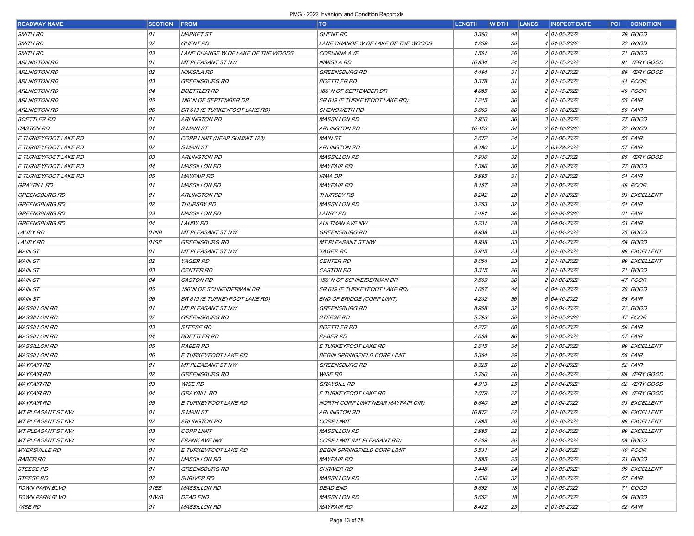| ROADWAY NAME          | <b>SECTION FROM</b> |                                    | <b>TO</b>                           | <b>LENGTH</b> | <b>WIDTH</b> | <b>LANES</b> | <b>INSPECT DATE</b> | <b>PCI CONDITION</b> |
|-----------------------|---------------------|------------------------------------|-------------------------------------|---------------|--------------|--------------|---------------------|----------------------|
| <b>SMITH RD</b>       | 01                  | <b>MARKET ST</b>                   | <b>GHENT RD</b>                     | 3,300         | 48           |              | 4 01-05-2022        | 79 GOOD              |
| SMITH RD              | 02                  | <b>GHENT RD</b>                    | LANE CHANGE W OF LAKE OF THE WOODS  | 1,259         | 50           |              | 4 01-05-2022        | 72 GOOD              |
| SMITH RD              | 03                  | LANE CHANGE W OF LAKE OF THE WOODS | <b>CORUNNA AVE</b>                  | 1,501         | 26           |              | 2 01-05-2022        | 71 GOOD              |
| ARLINGTON RD          | 01                  | <b>MT PLEASANT ST NW</b>           | <b>NIMISILA RD</b>                  | 10,834        | 24           |              | 2 01-15-2022        | 91 VERY GOOD         |
| ARLINGTON RD          | 02                  | NIMISILA RD                        | <b>GREENSBURG RD</b>                | 4,494         | 31           |              | 2 01-10-2022        | 88 VERY GOOD         |
| ARLINGTON RD          | 03                  | GREENSBURG RD                      | <b>BOETTLER RD</b>                  | 3,378         | 31           |              | 2 01-15-2022        | 44 <i>POOR</i>       |
| ARLINGTON RD          | 04                  | <b>BOETTLER RD</b>                 | <i>180' N OF SEPTEMBER DR</i>       | 4,085         | 30           |              | 2 01-15-2022        | 40 <i>POOR</i>       |
| ARLINGTON RD          | 05                  | 180' N OF SEPTEMBER DR             | SR 619 (E TURKEYFOOT LAKE RD)       | 1,245         | 30           |              | $4 01-16-2022$      | 65 FAIR              |
| ARLINGTON RD          | 06                  | SR 619 (E TURKEYFOOT LAKE RD)      | <b>CHENOWETH RD</b>                 | 5,069         | 60           |              | $5$ 01-16-2022      | $59$ FAIR            |
| <i>BOETTLER RD</i>    | 01                  | <b>ARLINGTON RD</b>                | <i>MASSILLON RD</i>                 | 7,920         | 36           |              | $3 01-10-2022$      | 77 GOOD              |
| <b>CASTON RD</b>      | 01                  | S MAIN ST                          | ARLINGTON RD                        | 10,423        | 34           |              | 2 01-10-2022        | 72 GOOD              |
| E TURKEYFOOT LAKE RD  | 01                  | CORP LIMIT (NEAR SUMMIT 123)       | MAIN ST                             | 2,672         | 24           |              | 2 01-06-2022        | $55$ FAIR            |
| E TURKEYFOOT LAKE RD  | 02                  | <b>SMAIN ST</b>                    | ARLINGTON RD                        | 8,180         | 32           |              | 2 03-29-2022        | $57$ FAIR            |
| E TURKEYFOOT LAKE RD  | 03                  | <b>ARLINGTON RD</b>                | <b>MASSILLON RD</b>                 | 7,936         | 32           |              | $3 01-15-2022$      | 85 VERY GOOD         |
| E TURKEYFOOT LAKE RD  | 04                  | <b>MASSILLON RD</b>                | <i>MAYFAIR RD</i>                   | 7,386         | 30           |              | 2 01-10-2022        | 77 GOOD              |
| E TURKEYFOOT LAKE RD  | 05                  | <b>MAYFAIR RD</b>                  | IRMA DR                             | 5,895         | 31           |              | 2 01-10-2022        | $64$ FAIR            |
| GRAYBILL RD           | 01                  | <b>MASSILLON RD</b>                | <i>MAYFAIR RD</i>                   | 8,157         | 28           |              | 2 01-05-2022        | 49 <i>POOR</i>       |
| GREENSBURG RD         | 01                  | ARLINGTON RD                       | <b>THURSBY RD</b>                   | 8,242         | 28           |              | 2 01-10-2022        | 93 EXCELLENT         |
| GREENSBURG RD         | 02                  | THURSBY RD                         | <i>MASSILLON RD</i>                 | 3,253         | 32           |              | 2 01-10-2022        | 64 FAIR              |
| GREENSBURG RD         | 03                  | <b>MASSILLON RD</b>                | <i>LAUBY RD</i>                     | 7,491         | 30           |              | 2 04-04-2022        | $61$ FAIR            |
| GREENSBURG RD         | 04                  | <i>LAUBY RD</i>                    | <b>AULTMAN AVE NW</b>               | 5,231         | 28           |              | 2 04-04-2022        | $63$ FAIR            |
| <i>LAUBY RD</i>       | 01NB                | <b>MT PLEASANT ST NW</b>           | <b>GREENSBURG RD</b>                | 8,938         | 33           |              | 2 01-04-2022        | 75 GOOD              |
| <i>LAUBY RD</i>       | 01SB                | GREENSBURG RD                      | MT PLEASANT ST NW                   | 8,938         | 33           |              | 2 01-04-2022        | 68 GOOD              |
| MAIN ST               | 01                  | <b>MT PLEASANT ST NW</b>           | YAGER RD                            | 5,945         | 23           |              | 2 01-10-2022        | 99 EXCELLENT         |
| MAIN ST               | 02                  | YAGER RD                           | <b>CENTER RD</b>                    | 8,054         | 23           |              | $2 01-10-2022$      | 99 EXCELLENT         |
| MAIN ST               | 03                  | <b>CENTER RD</b>                   | <b>CASTON RD</b>                    | 3,315         | 26           |              | 2 01-10-2022        | 71 GOOD              |
| MAIN ST               | 04                  | <b>CASTON RD</b>                   | 150' N OF SCHNEIDERMAN DR           | 7,509         | 30           |              | 2 01-06-2022        | 47 <i>POOR</i>       |
| MAIN ST               | 05                  | 150' N OF SCHNEIDERMAN DR          | SR 619 (E TURKEYFOOT LAKE RD)       | 1,007         | 44           |              | 4 04-10-2022        | 70 GOOD              |
| MAIN ST               | 06                  | SR 619 (E TURKEYFOOT LAKE RD)      | END OF BRIDGE (CORP LIMIT)          | 4,282         | 56           |              | 5 04-10-2022        | 66 FAIR              |
| <i>MASSILLON RD</i>   | 01                  | <b>MT PLEASANT ST NW</b>           | GREENSBURG RD                       | 8,908         | 32           |              | 5 01-04-2022        | 72 GOOD              |
| <i>MASSILLON RD</i>   | 02                  | GREENSBURG RD                      | <b>STEESE RD</b>                    | 5,793         | 30           |              | 2 01-05-2022        | 47 POOR              |
| <i>MASSILLON RD</i>   | 03                  | <b>STEESE RD</b>                   | <b>BOETTLER RD</b>                  | 4,272         | 60           |              | 5 01-05-2022        | $59$ FAIR            |
| <b>MASSILLON RD</b>   | 04                  | <b>BOETTLER RD</b>                 | <b>RABER RD</b>                     | 2,658         | 86           |              | 5 01-05-2022        | 67 FAIR              |
| <b>MASSILLON RD</b>   | 05                  | <b>RABER RD</b>                    | E TURKEYFOOT LAKE RD                | 2,645         | 34           |              | 2 01-05-2022        | 99 EXCELLENT         |
| <i>MASSILLON RD</i>   | 06                  | E TURKEYFOOT LAKE RD               | <b>BEGIN SPRINGFIELD CORP LIMIT</b> | 5,364         | 29           |              | 2 01-05-2022        | 56 FAIR              |
| <b>MAYFAIR RD</b>     | 01                  | <b>MT PLEASANT ST NW</b>           | GREENSBURG RD                       | 8,325         | 26           |              | 2 01-04-2022        | $52$ FAIR            |
| <i>MAYFAIR RD</i>     | 02                  | GREENSBURG RD                      | <b>WISE RD</b>                      | 5,760         | 26           |              | 2 01-04-2022        | 88 VERY GOOD         |
| <i>MAYFAIR RD</i>     | 03                  | <b>WISE RD</b>                     | <b>GRAYBILL RD</b>                  | 4,913         | 25           |              | 2 01-04-2022        | 82 VERY GOOD         |
| <i>MAYFAIR RD</i>     | 04                  | <b>GRAYBILL RD</b>                 | E TURKEYFOOT LAKE RD                | 7,079         | 22           |              | 2 01-04-2022        | 86 VERY GOOD         |
| <i>MAYFAIR RD</i>     | 05                  | E TURKEYFOOT LAKE RD               | NORTH CORP LIMIT NEAR MAYFAIR CIR)  | 6,640         | 25           |              | 2 01-04-2022        | 93 EXCELLENT         |
| MT PLEASANT ST NW     | 01                  | S MAIN ST                          | ARLINGTON RD                        | 10,872        | 22           |              | $201 - 10 - 2022$   | 99 EXCELLENT         |
| MT PLEASANT ST NW     | 02                  | <b>ARLINGTON RD</b>                | <b>CORP LIMIT</b>                   | 1,985         | 20           |              | $2 01-10-2022$      | 99 EXCELLENT         |
| MT PLEASANT ST NW     | 03                  | <b>CORP LIMIT</b>                  | <b>MASSILLON RD</b>                 | 2,885         | 22           |              | 2 01-04-2022        | 99 EXCELLENT         |
| MT PLEASANT ST NW     | 04                  | <b>FRANK AVE NW</b>                | CORP LIMIT (MT PLEASANT RD)         | 4,209         | 26           |              | 2 01-04-2022        | 68 GOOD              |
| <i>MYERSVILLE RD</i>  | 01                  | E TURKEYFOOT LAKE RD               | <b>BEGIN SPRINGFIELD CORP LIMIT</b> | 5,531         | 24           |              | 2 01-04-2022        | 40 <i>POOR</i>       |
| <i>RABER RD</i>       | 01                  | <b>MASSILLON RD</b>                | <b>MAYFAIR RD</b>                   | 7,885         | 25           |              | 2 01-05-2022        | 73 GOOD              |
| <i>STEESE RD</i>      | 01                  | GREENSBURG RD                      | <b>SHRIVER RD</b>                   | 5,448         | 24           |              | 2 01-05-2022        | 99 EXCELLENT         |
| <i>STEESE RD</i>      | 02                  | <b>SHRIVER RD</b>                  | <b>MASSILLON RD</b>                 | 1,630         | 32           |              | 3 01-05-2022        | 67 FAIR              |
| <b>TOWN PARK BLVD</b> | 01EB                | <b>MASSILLON RD</b>                | <b>DEAD END</b>                     | 5,652         | 18           |              | 2 01-05-2022        | 71 GOOD              |
| TOWN PARK BLVD        | 01WB                | <b>DEAD END</b>                    | <b>MASSILLON RD</b>                 | 5,652         | 18           |              | 2 01-05-2022        | 68 GOOD              |
| <i>WISE RD</i>        | 01                  | <b>MASSILLON RD</b>                | <b>MAYFAIR RD</b>                   | 8,422         | 23           |              | 2 01-05-2022        | $62$ FAIR            |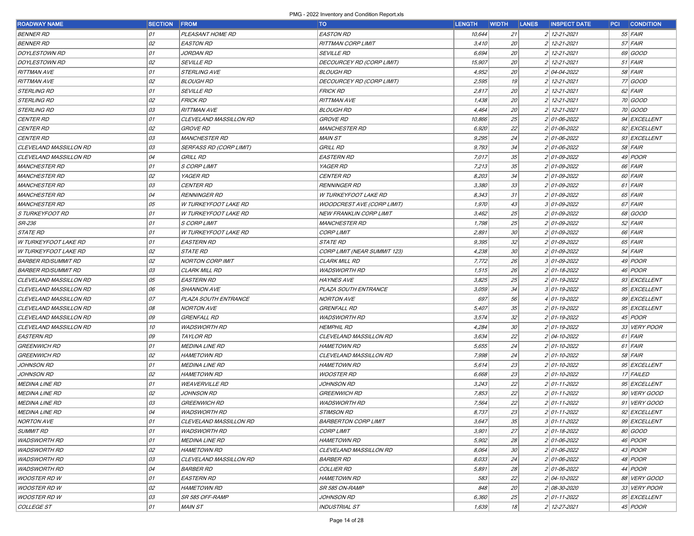| <b>ROADWAY NAME</b>           | <b>SECTION</b> | <b>FROM</b>             | <b>TO</b>                         | <b>LENGTH</b> | <b>WIDTH</b>    | <b>LANES</b> | <b>INSPECT DATE</b> | PCI | <b>CONDITION</b> |
|-------------------------------|----------------|-------------------------|-----------------------------------|---------------|-----------------|--------------|---------------------|-----|------------------|
| <b>BENNER RD</b>              | 01             | PLEASANT HOME RD        | <b>EASTON RD</b>                  | 10,644        | 21              |              | 2 12-21-2021        |     | $55$ FAIR        |
| <b>BENNER RD</b>              | 02             | <b>EASTON RD</b>        | <b>RITTMAN CORP LIMIT</b>         | 3,410         | 20              |              | 2 12-21-2021        |     | $57$ FAIR        |
| <b>DOYLESTOWN RD</b>          | 01             | JORDAN RD               | <b>SEVILLE RD</b>                 | 6,694         | 20              |              | 2 12-21-2021        |     | 69 GOOD          |
| <b>DOYLESTOWN RD</b>          | 02             | <b>SEVILLE RD</b>       | DECOURCEY RD (CORP LIMIT)         | 15,907        | 20              |              | 2 12-21-2021        |     | $51$ FAIR        |
| <b>RITTMAN AVE</b>            | 01             | <i>STERLING AVE</i>     | <b>BLOUGH RD</b>                  | 4,952         | 20              |              | 2 04-04-2022        |     | 58 FAIR          |
| <b>RITTMAN AVE</b>            | 02             | BLOUGH RD               | DECOURCEY RD (CORP LIMIT)         | 2,595         | 19              |              | 2 12-21-2021        |     | 77 GOOD          |
| <b>STERLING RD</b>            | 01             | <i>SEVILLE RD</i>       | <b>FRICK RD</b>                   | 2,817         | 20              |              | 12-21-2021          |     | $62$ FAIR        |
| <b>STERLING RD</b>            | 02             | <i>FRICK RD</i>         | <b>RITTMAN AVE</b>                | 1,438         | 20              |              | 2 12-21-2021        |     | 70 GOOD          |
| <b>STERLING RD</b>            | 03             | RITTMAN AVE             | <b>BLOUGH RD</b>                  | 4,464         | 20              |              | 2 12-21-2021        |     | 70 GOOD          |
| <i>CENTER RD</i>              | 01             | CLEVELAND MASSILLON RD  | <b>GROVE RD</b>                   | 10,866        | 25              |              | 2 01-06-2022        |     | 94 EXCELLENT     |
| <b>CENTER RD</b>              | 02             | <i>GROVE RD</i>         | <i><b>MANCHESTER RD</b></i>       | 6,920         | 22              |              | 2 01-06-2022        |     | 92 EXCELLENT     |
| <b>CENTER RD</b>              | 03             | <i>MANCHESTER RD</i>    | <b>MAIN ST</b>                    | 9,295         | 24              |              | 201-06-2022         |     | 93 EXCELLENT     |
| CLEVELAND MASSILLON RD        | 03             | SERFASS RD (CORP LIMIT) | <b>GRILL RD</b>                   | 9,793         | 34              |              | 201-06-2022         |     | $58$ FAIR        |
| CLEVELAND MASSILLON RD        | 04             | <b>GRILL RD</b>         | <b>EASTERN RD</b>                 | 7,017         | 35              |              | 2 01-09-2022        |     | $49$ POOR        |
| <b>MANCHESTER RD</b>          | 01             | S CORP LIMIT            | YAGER RD                          | 7,213         | 35              |              | 2 01-09-2022        |     | 66 FAIR          |
| <b>MANCHESTER RD</b>          | 02             | YAGER RD                | <i>CENTER RD</i>                  | 8,203         | 34              |              | 2 01-09-2022        |     | 60 FAIR          |
| <b>MANCHESTER RD</b>          | 03             | <b>CENTER RD</b>        | <b>RENNINGER RD</b>               | 3,380         | 33              |              | 2 01-09-2022        |     | $61$ FAIR        |
| <b>MANCHESTER RD</b>          | 04             | <i>RENNINGER RD</i>     | <b>W TURKEYFOOT LAKE RD</b>       | 8,343         | 31              |              | 2 01-09-2022        |     | 65 FAIR          |
| <b>MANCHESTER RD</b>          | 05             | W TURKEYFOOT LAKE RD    | <b>WOODCREST AVE (CORP LIMIT)</b> | 1,970         | 43              |              | 3 01-09-2022        |     | 67 FAIR          |
| S TURKEYFOOT RD               | 01             | W TURKEYFOOT LAKE RD    | NEW FRANKLIN CORP LIMIT           | 3,462         | 25              |              | 2 01-09-2022        |     | 68 GOOD          |
| <i>SR-236</i>                 | 01             | <i>S CORP LIMIT</i>     | <b>MANCHESTER RD</b>              | 1,798         | 25              |              | 2 01-09-2022        |     | $52$ FAIR        |
| <b>STATE RD</b>               | 01             | W TURKEYFOOT LAKE RD    | <b>CORP LIMIT</b>                 | 2,891         | 30 <sup>°</sup> |              | 2 01-09-2022        |     | 66 FAIR          |
| <b>W TURKEYFOOT LAKE RD</b>   | 01             | EASTERN RD              | <b>STATE RD</b>                   | 9,395         | 32              |              | 201-09-2022         |     | 65 FAIR          |
| <b>W TURKEYFOOT LAKE RD</b>   | 02             | <i>STATE RD</i>         | CORP LIMIT (NEAR SUMMIT 123)      | 4,238         | 30 <sup>°</sup> |              | 2 01-09-2022        |     | $54$ FAIR        |
| <b>BARBER RD/SUMMIT RD</b>    | 02             | NORTON CORP IMIT        | CLARK MILL RD                     | 7,772         | 26              |              | 3 01-09-2022        |     | 49 <i>POOR</i>   |
| <b>BARBER RD/SUMMIT RD</b>    | 03             | CLARK MILL RD           | <b>WADSWORTH RD</b>               | 1,515         | 26              |              | 2 01-18-2022        |     | 46 <i>POOR</i>   |
| CLEVELAND MASSILLON RD        | 05             | EASTERN RD              | <b>HAYNES AVE</b>                 | 3,825         | 25              |              | 2 01-19-2022        |     | 93 EXCELLENT     |
| CLEVELAND MASSILLON RD        | 06             | SHANNON AVE             | PLAZA SOUTH ENTRANCE              | 3,059         | 34              |              | 3 01-19-2022        |     | 95 EXCELLENT     |
| <b>CLEVELAND MASSILLON RD</b> | 07             | PLAZA SOUTH ENTRANCE    | <b>NORTON AVE</b>                 | 697           | 56              |              | 4 01-19-2022        |     | 99 EXCELLENT     |
| CLEVELAND MASSILLON RD        | 08             | <i>NORTON AVE</i>       | <b>GRENFALL RD</b>                | 5,407         | 35              |              | 2 01-19-2022        |     | 95 EXCELLENT     |
| CLEVELAND MASSILLON RD        | 09             | GRENFALL RD             | <b>WADSWORTH RD</b>               | 3,574         | 32              |              | 2 01-19-2022        |     | $45$ POOR        |
| CLEVELAND MASSILLON RD        | 10             | <b>WADSWORTH RD</b>     | <b>HEMPHIL RD</b>                 | 4,284         | 30 <sup>°</sup> |              | 2 01-19-2022        |     | 33 VERY POOR     |
| <b>EASTERN RD</b>             | 09             | <b>TAYLOR RD</b>        | CLEVELAND MASSILLON RD            | 3,634         | 22              |              | 2 04-10-2022        |     | $61$ FAIR        |
| <b>GREENWICH RD</b>           | 01             | MEDINA LINE RD          | <b>HAMETOWN RD</b>                | 5,655         | 24              |              | 2 01-10-2022        |     | $61$ FAIR        |
| <b>GREENWICH RD</b>           | 02             | <i>HAMETOWN RD</i>      | CLEVELAND MASSILLON RD            | 7,998         | 24              |              | 2 01-10-2022        |     | 58 FAIR          |
| JOHNSON RD                    | 01             | MEDINA LINE RD          | <b>HAMETOWN RD</b>                | 5,614         | 23              |              | 201-10-2022         |     | 95 EXCELLENT     |
| <b>JOHNSON RD</b>             | 02             | <i>HAMETOWN RD</i>      | <i>WOOSTER RD</i>                 | 6,668         | 23              |              | 201-10-2022         |     | 17 FAILED        |
| <b>MEDINA LINE RD</b>         | 01             | <b>WEAVERVILLE RD</b>   | JOHNSON RD                        | 3,243         | 22              |              | 2 01-11-2022        |     | 95 EXCELLENT     |
| <b>MEDINA LINE RD</b>         | 02             | JOHNSON RD              | <b>GREENWICH RD</b>               | 7,853         | 22              |              | 2 01-11-2022        |     | 90 VERY GOOD     |
| <b>MEDINA LINE RD</b>         | 03             | <b>GREENWICH RD</b>     | <b>WADSWORTH RD</b>               | 7,564         | 22              |              | 2 01-11-2022        |     | 91 VERY GOOD     |
| <b>MEDINA LINE RD</b>         | 04             | <b>WADSWORTH RD</b>     | STIMSON RD                        | 8,737         | 23              |              | $201 - 11 - 2022$   |     | 92 EXCELLENT     |
| <b>NORTON AVE</b>             | 01             | CLEVELAND MASSILLON RD  | <b>BARBERTON CORP LIMIT</b>       | 3,647         | 35              |              | $3 01-11-2022$      |     | 99 EXCELLENT     |
| <b>SUMMIT RD</b>              | 01             | <b>WADSWORTH RD</b>     | <b>CORP LIMIT</b>                 | 3,901         | 27              |              | 2 01-18-2022        |     | 80 GOOD          |
| <b>WADSWORTH RD</b>           | 01             | <i>MEDINA LINE RD</i>   | <b>HAMETOWN RD</b>                | 5,902         | 28              |              | 2 01-06-2022        |     | 46 <i>POOR</i>   |
| <b>WADSWORTH RD</b>           | 02             | <i>HAMETOWN RD</i>      | CLEVELAND MASSILLON RD            | 8,064         | 30              |              | 2 01-06-2022        |     | $43$ POOR        |
| <b>WADSWORTH RD</b>           | 03             | CLEVELAND MASSILLON RD  | <b>BARBER RD</b>                  | 8,033         | 24              |              | 2 01-06-2022        |     | 48 <i>POOR</i>   |
| <b>WADSWORTH RD</b>           | 04             | <i>BARBER RD</i>        | <b>COLLIER RD</b>                 | 5,891         | 28              |              | 2 01-06-2022        |     | 44 <i>POOR</i>   |
| <b>WOOSTER RD W</b>           | 01             | EASTERN RD              | <b>HAMETOWN RD</b>                | 583           | 22              |              | 2 04-10-2022        |     | 88 VERY GOOD     |
| <b>WOOSTER RD W</b>           | 02             | <i>HAMETOWN RD</i>      | SR 585 ON-RAMP                    | 848           | 20              |              | 2 08-30-2020        |     | 33 VERY POOR     |
| <b>WOOSTER RD W</b>           | 03             | SR 585 OFF-RAMP         | JOHNSON RD                        | 6,360         | 25              |              | 2 01-11-2022        |     | 95 EXCELLENT     |
| <b>COLLEGE ST</b>             | 01             | MAIN ST                 | <b>INDUSTRIAL ST</b>              | 1,639         | 18              |              | 2 12-27-2021        |     | 45 <i>POOR</i>   |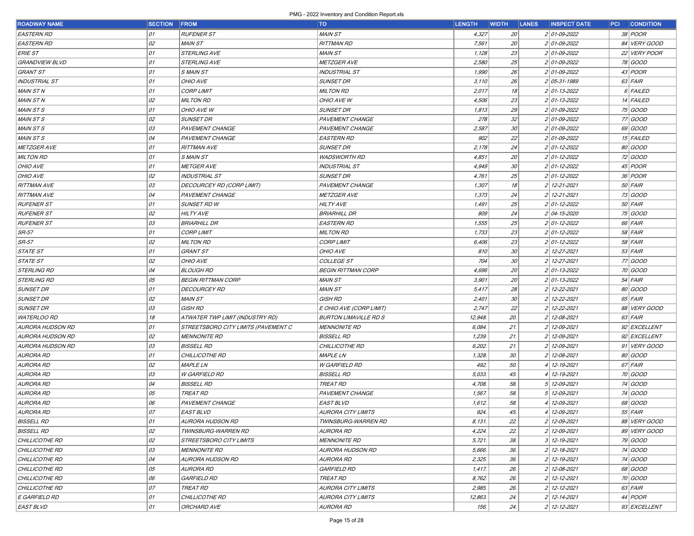| <b>ROADWAY NAME</b>     | <b>SECTION</b> | <b>FROM</b>                         | <b>TO</b>                    | <b>LENGTH</b> | <b>WIDTH</b>    | <b>LANES</b> | <b>INSPECT DATE</b> | <b>PCI CONDITION</b> |
|-------------------------|----------------|-------------------------------------|------------------------------|---------------|-----------------|--------------|---------------------|----------------------|
| <b>EASTERN RD</b>       | 01             | <i>RUFENER ST</i>                   | <b>MAIN ST</b>               | 4,327         | 20              |              | 2 01-09-2022        | 38 POOR              |
| <b>EASTERN RD</b>       | 02             | MAIN ST                             | <b>RITTMAN RD</b>            | 7,561         | 20              |              | 2 01-09-2022        | 84 VERY GOOD         |
| <b>ERIE ST</b>          | 01             | <b>STERLING AVE</b>                 | <b>MAIN ST</b>               | 1,128         | 23              |              | 2 01-09-2022        | 22 VERY POOR         |
| <b>GRANDVIEW BLVD</b>   | 01             | <b>STERLING AVE</b>                 | <b>METZGER AVE</b>           | 2,580         | 25              |              | 2 01-09-2022        | 78 GOOD              |
| <b>GRANT ST</b>         | 01             | S MAIN ST                           | <b>INDUSTRIAL ST</b>         | 1,990         | 26              |              | 2 01-09-2022        | $43$ POOR            |
| <b>INDUSTRIAL ST</b>    | 01             | <i>OHIO AVE</i>                     | <b>SUNSET DR</b>             | 3,110         | 26              |              | 2 05-31-1989        | 63 FAIR              |
| <b>MAIN STN</b>         | 01             | <b>CORP LIMIT</b>                   | <b>MILTON RD</b>             | 2,017         | 18              |              | 2 01-13-2022        | 6 FAILED             |
| <b>MAIN STN</b>         | 02             | <b>MILTON RD</b>                    | OHIO AVE W                   | 4,506         | 23              |              | 2 01-13-2022        | 14 FAILED            |
| MAIN STS                | 01             | <i>OHIO AVE W</i>                   | <b>SUNSET DR</b>             | 1,813         | 29              |              | 2 01-09-2022        | 75 GOOD              |
| <b>MAIN STS</b>         | 02             | <i>SUNSET DR</i>                    | PAVEMENT CHANGE              | 278           | 32              |              | 2 01-09-2022        | 77 GOOD              |
| MAIN ST S               | 03             | PAVEMENT CHANGE                     | PAVEMENT CHANGE              | 2,587         | 30 <sup>°</sup> |              | 2 01-09-2022        | 69 GOOD              |
| <b>MAIN STS</b>         | 04             | PAVEMENT CHANGE                     | <b>EASTERN RD</b>            | 902           | 22              |              | 2 01-09-2022        | 15 FAILED            |
| <b>METZGER AVE</b>      | 01             | <b>RITTMAN AVE</b>                  | <b>SUNSET DR</b>             | 2,178         | 24              |              | 2 01-12-2022        | 80 GOOD              |
| <b>MILTON RD</b>        | 01             | S MAIN ST                           | <b>WADSWORTH RD</b>          | 4,851         | 20              |              | 2 01-12-2022        | 72 GOOD              |
| OHIO AVE                | 01             | <i>METGER AVE</i>                   | <b>INDUSTRIAL ST</b>         | 4,949         | 30 <sup>°</sup> |              | 2 01-12-2022        | $45$ POOR            |
| OHIO AVE                | 02             | INDUSTRIAL ST                       | <b>SUNSET DR</b>             | 4,761         | 25              |              | 2 01-12-2022        | 36 <i>POOR</i>       |
| <b>RITTMAN AVE</b>      | 03             | DECOURCEY RD (CORP LIMIT)           | PAVEMENT CHANGE              | 1,307         | 18              |              | 2 12-21-2021        | $50$ FAIR            |
| <b>RITTMAN AVE</b>      | 04             | PAVEMENT CHANGE                     | <b>METZGER AVE</b>           | 1,373         | 24              |              | 2 12-21-2021        | 73 GOOD              |
| <b>RUFENER ST</b>       | 01             | SUNSET RD W                         | <b>HILTY AVE</b>             | 1,491         | 25              |              | 2 01-12-2022        | $50$ FAIR            |
| <b>RUFENER ST</b>       | 02             | <i><b>HILTY AVE</b></i>             | <b>BRIARHILL DR</b>          | 809           | 24              |              | 2 04-15-2020        | 75 GOOD              |
| <b>RUFENER ST</b>       | 03             | <b>BRIARHILL DR</b>                 | <b>EASTERN RD</b>            | 1,555         | 25              |              | 2 01-12-2022        | 66 FAIR              |
| <b>SR-57</b>            | 01             | <b>CORP LIMIT</b>                   | <b>MILTON RD</b>             | 1,733         | 23              |              | 2 01-12-2022        | 58 FAIR              |
| <b>SR-57</b>            | 02             | <b>MILTON RD</b>                    | <b>CORP LIMIT</b>            | 6,406         | 23              |              | 201-12-2022         | 58 FAIR              |
| STATE ST                | 01             | GRANT ST                            | OHIO AVE                     | 810           | 30 <sup>°</sup> |              | 2 12-27-2021        | $53$ FAIR            |
| <b>STATE ST</b>         | 02             | <i>OHIO AVE</i>                     | <b>COLLEGE ST</b>            | 704           | 30 <sup>°</sup> |              | 2 12-27-2021        | 77 GOOD              |
| <b>STERLING RD</b>      | 04             | BLOUGH RD                           | <b>BEGIN RITTMAN CORP</b>    | 4,696         | 20              |              | 2 01-13-2022        | 70 GOOD              |
| <b>STERLING RD</b>      | 05             | BEGIN RITTMAN CORP                  | <b>MAIN ST</b>               | 3,901         | 20 <sup>°</sup> |              | 2 01-13-2022        | $54$ FAIR            |
| <b>SUNSET DR</b>        | 01             | <i>DECOURCEY RD</i>                 | <b>MAIN ST</b>               | 5,417         | 28              |              | 2 12-22-2021        | 80 GOOD              |
| <b>SUNSET DR</b>        | 02             | MAIN ST                             | GISH RD                      | 2,401         | 30 <sup>°</sup> |              | 2 12-22-2021        | $65$ FAIR            |
| <b>SUNSET DR</b>        | 03             | GISH RD                             | E OHIO AVE (CORP LIMIT)      | 2,747         | 22              |              | 12-22-2021          | 88 VERY GOOD         |
| <b>WATERLOO RD</b>      | 18             | ATWATER TWP LIMIT (INDUSTRY RD)     | <b>BURTON LIMAVILLE RD S</b> | 12,948.       | 20.             |              | 12-08-2021          | 63 FAIR              |
| <b>AURORA HUDSON RD</b> | 01             | STREETSBORO CITY LIMITS (PAVEMENT C | <b>MENNONITE RD</b>          | 6,084.        | 21.             |              | 12-09-2021          | 92 EXCELLENT         |
| <b>AURORA HUDSON RD</b> | 02             | <b>MENNONITE RD</b>                 | <b>BISSELL RD</b>            | 1,239.        | 21.             |              | 2 12-09-2021        | 92 EXCELLENT         |
| AURORA HUDSON RD        | 03             | <b>BISSELL RD</b>                   | CHILLICOTHE RD               | 6,202.        | 21.             |              | 12-09-2021          | 91 VERY GOOD         |
| <b>AURORA RD</b>        | 01             | CHILLICOTHE RD                      | <b>MAPLE LN</b>              | 1,328.        | 30.             |              | 12-08-2021          | 80 GOOD              |
| <b>AURORA RD</b>        | 02             | <i>MAPLE LN</i>                     | <b>W GARFIELD RD</b>         | 492.          | 50.             |              | 12-19-2021          | 67 FAIR              |
| <b>AURORA RD</b>        | 03             | W GARFIELD RD                       | <b>BISSELL RD</b>            | 5,033.        | 45.             |              | 12-19-2021          | 70 GOOD              |
| <b>AURORA RD</b>        | 04             | <b>BISSELL RD</b>                   | <b>TREAT RD</b>              | 4,708.        | 58.             |              | 5 12-09-2021        | 74 GOOD              |
| <b>AURORA RD</b>        | 05             | <b>TREAT RD</b>                     | PAVEMENT CHANGE              | 1,567.        | 58.             |              | 12-09-2021          | 74 GOOD              |
| <b>AURORA RD</b>        | 06             | PAVEMENT CHANGE                     | EAST BLVD                    | 1,612.        | 58.             |              | 12-09-2021          | 68 GOOD              |
| <b>AURORA RD</b>        | 07             | EAST BLVD                           | AURORA CITY LIMITS           | 924.          | 45.             |              | 4 12-09-2021        | $55$ FAIR            |
| <b>BISSELL RD</b>       | 01             | AURORA HUDSON RD                    | TWINSBURG-WARREN RD          | 8,131.        | 22.             |              | 2 12-09-2021        | 88 VERY GOOD         |
| <b>BISSELL RD</b>       | 02             | TWINSBURG-WARREN RD                 | AURORA RD                    | 4,224.        | 22.             |              | 2 12-09-2021        | 89 VERY GOOD         |
| CHILLICOTHE RD          | 02             | <i>STREETSBORO CITY LIMITS</i>      | <b>MENNONITE RD</b>          | 5,721.        | 38.             |              | $3 12 - 19 - 2021$  | 79 GOOD              |
| CHILLICOTHE RD          | 03             | <i>MENNONITE RD</i>                 | AURORA HUDSON RD             | 5,666.        | 36.             |              | 2 12-18-2021        | 74 GOOD              |
| CHILLICOTHE RD          | 04             | AURORA HUDSON RD                    | AURORA RD                    | 2,325.        | 36.             |              | 2 12-19-2021        | 74 GOOD              |
| CHILLICOTHE RD          | 05             | AURORA RD                           | GARFIELD RD                  | 1,417.        | 26.             |              | 2 12-08-2021        | 68 GOOD              |
| CHILLICOTHE RD          | 06             | GARFIELD RD                         | <b>TREAT RD</b>              | 8,762.        | 26.             |              | 2 12-12-2021        | 70 GOOD              |
| CHILLICOTHE RD          | 07             | <b>TREAT RD</b>                     | <b>AURORA CITY LIMITS</b>    | 2,985.        | 26.             |              | 2 12-12-2021        | $63$ FAIR            |
| E GARFIELD RD           | 01             | CHILLICOTHE RD                      | <b>AURORA CITY LIMITS</b>    | 12,863.       | 24.             |              | 2 12-14-2021        | 44 <i>POOR</i>       |
| <b>EAST BLVD</b>        | 01             | ORCHARD AVE                         | AURORA RD                    | 156.          | 24.             |              | 2 12-12-2021        | 93 EXCELLENT         |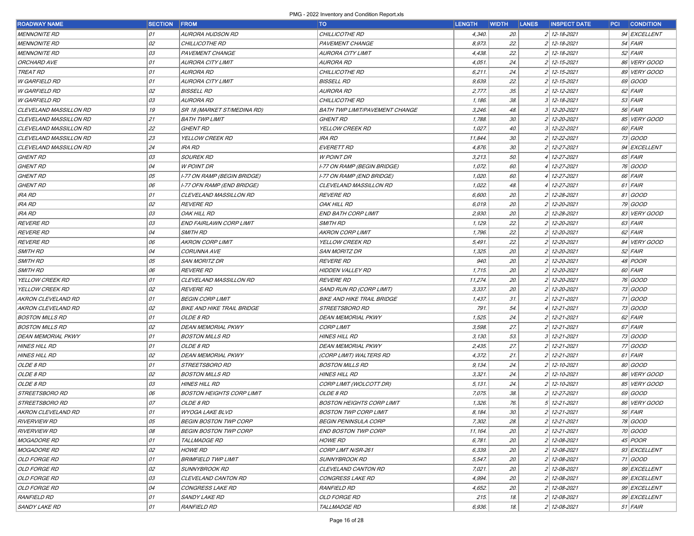| ROADWAY NAME           | <b>SECTION FROM</b> |                                  | <b>TO</b>                             | <b>LENGTH</b> | <b>WIDTH</b> | <b>LANES</b> | <b>INSPECT DATE</b> | <b>PCI CONDITION</b> |
|------------------------|---------------------|----------------------------------|---------------------------------------|---------------|--------------|--------------|---------------------|----------------------|
| <i>MENNONITE RD</i>    | 01                  | AURORA HUDSON RD                 | CHILLICOTHE RD                        | 4,340.        | 20.          |              | 2 12-18-2021        | 94 EXCELLENT         |
| <b>MENNONITE RD</b>    | 02                  | CHILLICOTHE RD                   | PAVEMENT CHANGE                       | 8,973.        | 22.          |              | 2 12-18-2021        | $54$ FAIR            |
| <i>MENNONITE RD</i>    | 03                  | <b>PAVEMENT CHANGE</b>           | AURORA CITY LIMIT                     | 4,438.        | 22.          |              | 2 12-18-2021        | $52$ FAIR            |
| ORCHARD AVE            | 01                  | <b>AURORA CITY LIMIT</b>         | AURORA RD                             | 4,051         | 24.          |              | 2 12-15-2021        | 86 VERY GOOD         |
| <i>TREAT RD</i>        | 01                  | AURORA RD                        | CHILLICOTHE RD                        | 6,211.        | 24.          |              | 2 12-15-2021        | 89 VERY GOOD         |
| W GARFIELD RD          | 01                  | <b>AURORA CITY LIMIT</b>         | <b>BISSELL RD</b>                     | 9,639.        | 22.          |              | 2 12-15-2021        | 69 GOOD              |
| <b>W GARFIELD RD</b>   | 02                  | <b>BISSELL RD</b>                | AURORA RD                             | 2,777         | 35.          |              | 2 12-12-2021        | 62 FAIR              |
| <b>W GARFIELD RD</b>   | 03                  | <b>AURORA RD</b>                 | CHILLICOTHE RD                        | 1,186.        | 38.          |              | $3 12 - 18 - 2021$  | $53$ FAIR            |
| CLEVELAND MASSILLON RD | 19                  | SR 18 (MARKET ST/MEDINA RD)      | <b>BATH TWP LIMIT/PAVEMENT CHANGE</b> | 3,246.        | 48.          |              | 3 12-20-2021        | 56 FAIR              |
| CLEVELAND MASSILLON RD | 21                  | <b>BATH TWP LIMIT</b>            | <b>GHENT RD</b>                       | 1,788.        | 30.          |              | 2 12-20-2021        | 85 VERY GOOD         |
| CLEVELAND MASSILLON RD | 22                  | <b>GHENT RD</b>                  | YELLOW CREEK RD                       | 1,027.        | 40.          |              | 3 12-22-2021        | 60 FAIR              |
| CLEVELAND MASSILLON RD | 23                  | YELLOW CREEK RD                  | IRA RD                                | 11,844        | 30.          |              | 2 12-22-2021        | 73 GOOD              |
| CLEVELAND MASSILLON RD | 24                  | IRA RD                           | <b>EVERETT RD</b>                     | 4,876.        | 30.          |              | 2 12-27-2021        | 94 EXCELLENT         |
| GHENT RD               | 03                  | <b>SOUREK RD</b>                 | <b>W POINT DR</b>                     | 3,213.        | 50.          |              | 4 12-27-2021        | 65 FAIR              |
| <b>GHENT RD</b>        | 04                  | <b>W POINT DR</b>                | I-77 ON RAMP (BEGIN BRIDGE)           | 1,072.        | 60.          |              | 4 12-27-2021        | 76 GOOD              |
| <b>GHENT RD</b>        | 05                  | I-77 ON RAMP (BEGIN BRIDGE)      | I-77 ON RAMP (END BRIDGE)             | 1,020.        | 60.          |              | 4 12-27-2021        | 66 FAIR              |
| <b>GHENT RD</b>        | 06                  | I-77 OFN RAMP (END BRIDGE)       | CLEVELAND MASSILLON RD                | 1,022.        | 48.          |              | 4 12-27-2021        | 61 FAIR              |
| IRA RD                 | 01                  | CLEVELAND MASSILLON RD           | <b>REVERE RD</b>                      | 6,600.        | 20.          |              | 2 12-28-2021        | 81 GOOD              |
| IRA RD                 | 02                  | <b>REVERE RD</b>                 | OAK HILL RD                           | 6,019.        | 20.          |              | 2 12-20-2021        | 79 GOOD              |
| IRA RD                 | 03                  | OAK HILL RD                      | END BATH CORP LIMIT                   | 2,930.        | 20.          |              | 2 12-28-2021        | 83 VERY GOOD         |
| <i>REVERE RD</i>       | 03                  | <b>END FAIRLAWN CORP LIMIT</b>   | <b>SMITH RD</b>                       | 1,129.        | 22.          |              | 2 12-20-2021        | $63$ FAIR            |
| <i>REVERE RD</i>       | 04                  | <b>SMITH RD</b>                  | AKRON CORP LIMIT                      | 1,796.        | 22.          |              | 2 12-20-2021        | 62 FAIR              |
| <i>REVERE RD</i>       | 06                  | <b>AKRON CORP LIMIT</b>          | <b>YELLOW CREEK RD</b>                | 5,491         | 22.          |              | 2 12-20-2021        | 84 VERY GOOD         |
| <i>SMITH RD</i>        | 04                  | CORUNNA AVE                      | <b>SAN MORITZ DR</b>                  | 1,325.        | 20.          |              | 2 12-20-2021        | $52$ FAIR            |
| <i>SMITH RD</i>        | 05                  | <b>SAN MORITZ DR</b>             | <b>REVERE RD</b>                      | 940.          | 20.          |              | 2 12-20-2021        | 48 <i>POOR</i>       |
| SMITH RD               | 06                  | <b>REVERE RD</b>                 | <b>HIDDEN VALLEY RD</b>               | 1,715.        | 20.          |              | 2 12-20-2021        | 60 FAIR              |
| YELLOW CREEK RD        | 01                  | CLEVELAND MASSILLON RD           | <b>REVERE RD</b>                      | 11,274        | 20.          |              | 2 12-20-2021        | 76 GOOD              |
| YELLOW CREEK RD        | 02                  | <b>REVERE RD</b>                 | SAND RUN RD (CORP LIMIT)              | 3,337.        | 20.          |              | 2 12-20-2021        | 73 GOOD              |
| AKRON CLEVELAND RD     | 01                  | <b>BEGIN CORP LIMIT</b>          | BIKE AND HIKE TRAIL BRIDGE            | 1,437.        | 31.          |              | 2 12-21-2021        | 71 GOOD              |
| AKRON CLEVELAND RD     | 02                  | BIKE AND HIKE TRAIL BRIDGE       | STREETSBORO RD                        | 791.          | 54.          |              | 4 12-21-2021        | 73 GOOD              |
| <b>BOSTON MILLS RD</b> | 01                  | OLDE 8 RD                        | DEAN MEMORIAL PKWY                    | 1,525.        | 24.          |              | 2 12-21-2021        | $62$ FAIR            |
| <b>BOSTON MILLS RD</b> | 02                  | <b>DEAN MEMORIAL PKWY</b>        | <b>CORP LIMIT</b>                     | 3,598.        | 27.          |              | 2 12-21-2021        | 67 FAIR              |
| DEAN MEMORIAL PKWY     | 01                  | <b>BOSTON MILLS RD</b>           | <b>HINES HILL RD</b>                  | 3,130.        | 53.          |              | $3 12 - 21 - 2021$  | 73 GOOD              |
| HINES HILL RD          | 01                  | OLDE 8 RD                        | DEAN MEMORIAL PKWY                    | 2,435.        | 27.          |              | 2 12-21-2021        | 77 GOOD              |
| HINES HILL RD          | 02                  | <b>DEAN MEMORIAL PKWY</b>        | (CORP LIMIT) WALTERS RD               | 4,372.        | 21.          |              | 2 12-21-2021        | $61$ FAIR            |
| <b>OLDE 8 RD</b>       | 01                  | STREETSBORO RD                   | <b>BOSTON MILLS RD</b>                | 9,134.        | 24.          |              | 2 12-10-2021        | 80 GOOD              |
| <b>OLDE 8 RD</b>       | 02                  | <b>BOSTON MILLS RD</b>           | <b>HINES HILL RD</b>                  | 3,321         | 24.          |              | 2 12-10-2021        | 86 VERY GOOD         |
| <i>OLDE 8 RD</i>       | 03                  | <b>HINES HILL RD</b>             | CORP LIMIT (WOLCOTT DR)               | 5, 131.       | 24.          |              | 2 12-10-2021        | 85 VERY GOOD         |
| <i>STREETSBORO RD</i>  | 06                  | <b>BOSTON HEIGHTS CORP LIMIT</b> | OLDE 8 RD                             | 7,075.        | 38.          |              | 2 12-27-2021        | 69 GOOD              |
| <i>STREETSBORO RD</i>  | 07                  | <b>OLDE 8 RD</b>                 | <b>BOSTON HEIGHTS CORP LIMIT</b>      | 1,326.        | 76.          |              | 5 12-21-2021        | 86 VERY GOOD         |
| AKRON CLEVELAND RD     | 01                  | WYOGA LAKE BLVD                  | <b>BOSTON TWP CORP LIMIT</b>          | 8,184.        | 30.          |              | 2 12-21-2021        | $56$ $FAIR$          |
| <i>RIVERVIEW RD</i>    | 05                  | <b>BEGIN BOSTON TWP CORP</b>     | <b>BEGIN PENINSULA CORP</b>           | 7,302.        | 28.          |              | 2 12-21-2021        | 78 GOOD              |
| <i>RIVERVIEW RD</i>    | 08                  | <b>BEGIN BOSTON TWP CORP</b>     | <b>END BOSTON TWP CORP</b>            | 11,164.       | 20.          |              | 2 12-21-2021        | 70 GOOD              |
| <i>MOGADORE RD</i>     | 01                  | TALLMADGE RD                     | <i>HOWE RD</i>                        | 6,781.        | 20.          |              | 2 12-08-2021        | 45 <i>POOR</i>       |
| <i>MOGADORE RD</i>     | 02                  | <b>HOWE RD</b>                   | CORP LIMT N/SR-261                    | 6,339.        | 20.          |              | 2 12-08-2021        | 93 EXCELLENT         |
| OLD FORGE RD           | 01                  | <b>BRIMFIELD TWP LIMIT</b>       | <b>SUNNYBROOK RD</b>                  | 5,547.        | 20.          |              | 2 12-08-2021        | 71 GOOD              |
| OLD FORGE RD           | 02                  | <b>SUNNYBROOK RD</b>             | CLEVELAND CANTON RD                   | 7,021.        | 20.          |              | 2 12-08-2021        | 99 EXCELLENT         |
| <b>OLD FORGE RD</b>    | 03                  | CLEVELAND CANTON RD              | <b>CONGRESS LAKE RD</b>               | 4,994.        | 20.          |              | 2 12-08-2021        | 99 EXCELLENT         |
| OLD FORGE RD           | 04                  | <b>CONGRESS LAKE RD</b>          | <i>RANFIELD RD</i>                    | 4,652.        | 20.          |              | 2 12-08-2021        | 99 EXCELLENT         |
| <i>RANFIELD RD</i>     | 01                  | <i>SANDY LAKE RD</i>             | <i>OLD FORGE RD</i>                   | 215.          | 18.          |              | 2 12-08-2021        | 99 EXCELLENT         |
| <i>SANDY LAKE RD</i>   | 01                  | <b>RANFIELD RD</b>               | TALLMADGE RD                          | 6,936.        | 18.          |              | 2 12-08-2021        | $51$ FAIR            |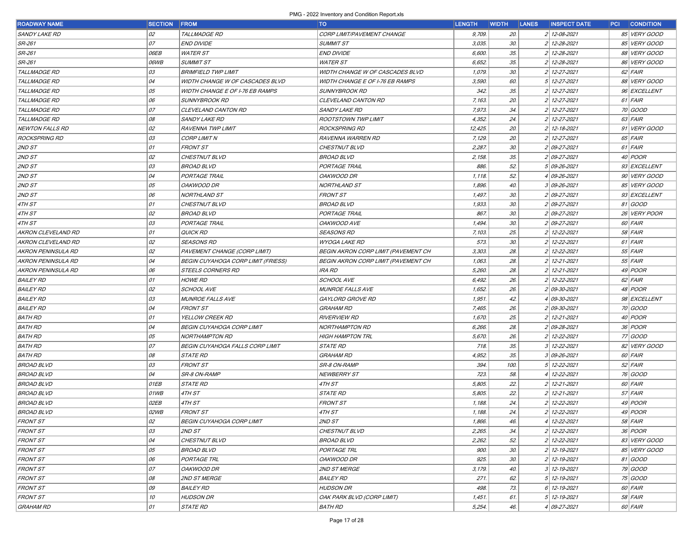| 02<br>85 VERY GOOD<br><b>SANDY LAKE RD</b><br><b>TALLMADGE RD</b><br>CORP LIMIT/PAVEMENT CHANGE<br>9,709.<br>20.<br>2 12-08-2021                                         |              |
|--------------------------------------------------------------------------------------------------------------------------------------------------------------------------|--------------|
|                                                                                                                                                                          |              |
| 07<br><b>END DIVIDE</b><br><b>SUMMIT ST</b><br>3,035.<br>30.<br>2 12-28-2021<br>SR-261                                                                                   | 85 VERY GOOD |
| 35.<br>06EB<br><b>WATER ST</b><br><b>END DIVIDE</b><br>2 12-28-2021<br>SR-261<br>6,600.                                                                                  | 88 VERY GOOD |
| 35.<br>SR-261<br><i>06WB</i><br><b>SUMMIT ST</b><br><b>WATER ST</b><br>6,652.<br>2 12-28-2021                                                                            | 86 VERY GOOD |
| TALLMADGE RD<br>03<br>30.<br>2 12-27-2021<br>$62$ FAIR<br><b>BRIMFIELD TWP LIMIT</b><br><b>WIDTH CHANGE W OF CASCADES BLVD</b><br>1,079.                                 |              |
| 04<br>60.<br>TALLMADGE RD<br>WIDTH CHANGE W OF CASCADES BLVD<br><b>WIDTH CHANGE E OF I-76 EB RAMPS</b><br>3,590.<br>5 12-27-2021                                         | 88 VERY GOOD |
| TALLMADGE RD<br>05<br>342.<br>35.<br>2 12-27-2021<br>96 EXCELLENT<br><b>WIDTH CHANGE E OF I-76 EB RAMPS</b><br><b>SUNNYBROOK RD</b>                                      |              |
| 06<br>TALLMADGE RD<br>20.<br>2 12-27-2021<br>61 FAIR<br><b>SUNNYBROOK RD</b><br>CLEVELAND CANTON RD<br>7,163.                                                            |              |
| 07<br>34.<br>70 GOOD<br>TALLMADGE RD<br>CLEVELAND CANTON RD<br><b>SANDY LAKE RD</b><br>7,973.<br>2 12-27-2021                                                            |              |
| 08<br>4,352.<br>24.<br>2 12-27-2021<br>$63$ FAIR<br>TALLMADGE RD<br><b>SANDY LAKE RD</b><br><b>ROOTSTOWN TWP LIMIT</b>                                                   |              |
| 02<br>20.<br><b>NEWTON FALLS RD</b><br><b>RAVENNA TWP LIMIT</b><br><b>ROCKSPRING RD</b><br>12,425.<br>2 12-18-2021                                                       | 91 VERY GOOD |
| <b>ROCKSPRING RD</b><br>03<br>20.<br>2 12-27-2021<br>65 FAIR<br>CORP LIMIT N<br><b>RAVENNA WARREN RD</b><br>7, 129.                                                      |              |
| 01<br>2,287.<br>30.<br>2 09-27-2021<br>$61$ FAIR<br>2ND ST<br><b>FRONT ST</b><br><b>CHESTNUT BLVD</b>                                                                    |              |
| 02<br>35.<br>2 09-27-2021<br>40 <i>POOR</i><br>2ND ST<br>CHESTNUT BLVD<br><b>BROAD BLVD</b><br>2,158.                                                                    |              |
| 03<br>886.<br>52.<br>93 EXCELLENT<br>2ND ST<br><b>BROAD BLVD</b><br>PORTAGE TRAIL<br>5 09-26-2021                                                                        |              |
| 04<br>52.<br>2ND ST<br>PORTAGE TRAIL<br>OAKWOOD DR<br>1,118.<br>4 09-26-2021                                                                                             | 90 VERY GOOD |
| 05<br>OAKWOOD DR<br><b>NORTHLAND ST</b><br>3 09-26-2021<br>2ND ST<br>1,896.<br>40.                                                                                       | 85 VERY GOOD |
| 06<br>30.<br>2 09-27-2021<br>93 EXCELLENT<br>2ND ST<br><b>NORTHLAND ST</b><br><b>FRONT ST</b><br>1,497.                                                                  |              |
| 01<br>30.<br>2 09-27-2021<br>81 GOOD<br>4TH ST<br>CHESTNUT BLVD<br><b>BROAD BLVD</b><br>1,933.                                                                           |              |
| 02<br>867.<br>30.<br>2 09-27-2021<br>26 VERY POOR<br>4TH ST<br><b>BROAD BLVD</b><br>PORTAGE TRAIL                                                                        |              |
| 03<br>30.<br>60 FAIR<br>4TH ST<br>PORTAGE TRAIL<br>OAKWOOD AVE<br>1,494<br>2 09-27-2021                                                                                  |              |
| AKRON CLEVELAND RD<br>01<br><b>QUICK RD</b><br><b>SEASONS RD</b><br>25.<br>2 12-22-2021<br>58 FAIR<br>7, 103.                                                            |              |
| 02<br><b>SEASONS RD</b><br>573.<br>30.<br>2 12-22-2021<br>$61$ FAIR<br><b>AKRON CLEVELAND RD</b><br><b>WYOGA LAKE RD</b>                                                 |              |
| 28.<br>$55$ FAIR<br><b>AKRON PENINSULA RD</b><br>02<br>PAVEMENT CHANGE (CORP LIMIT)<br><b>BEGIN AKRON CORP LIMIT (PAVEMENT CH</b><br>3,303.<br>2 12-22-2021              |              |
| 04<br>28.<br>$55$ FAIR<br><b>AKRON PENINSULA RD</b><br><b>BEGIN CUYAHOGA CORP LIMIT (FRIESS)</b><br><b>BEGIN AKRON CORP LIMIT (PAVEMENT CH</b><br>1,063.<br>2 12-21-2021 |              |
| 06<br><b>IRA RD</b><br>28.<br>49 <i>POOR</i><br><b>AKRON PENINSULA RD</b><br>STEELS CORNERS RD<br>5,260.<br>2 12-21-2021                                                 |              |
| <b>BAILEY RD</b><br>01<br><b>HOWE RD</b><br><b>SCHOOL AVE</b><br>26.<br>2 12-22-2021<br>62 FAIR<br>6,492.                                                                |              |
| 02<br><b>BAILEY RD</b><br><b>SCHOOL AVE</b><br>26.<br>2 09-30-2021<br>48 POOR<br><i>MUNROE FALLS AVE</i><br>1,652.                                                       |              |
| 03<br>42.<br>98 EXCELLENT<br><b>BAILEY RD</b><br><b>MUNROE FALLS AVE</b><br>GAYLORD GROVE RD<br>1,951<br>4 09-30-2021                                                    |              |
| 04<br>26.<br>70 GOOD<br><b>BAILEY RD</b><br><b>FRONT ST</b><br><b>GRAHAM RD</b><br>7,465.<br>2 09-30-2021                                                                |              |
| 01<br>25.<br>40 <i>POOR</i><br><b>BATH RD</b><br>YELLOW CREEK RD<br><b>RIVERVIEW RD</b><br>1,670.<br>2 12-21-2021                                                        |              |
| 04<br><b>BEGIN CUYAHOGA CORP LIMIT</b><br><b>NORTHAMPTON RD</b><br>28.<br>2 09-28-2021<br>36 <i>POOR</i><br><b>BATH RD</b><br>6,266.                                     |              |
| <b>BATH RD</b><br>05<br><b>NORTHAMPTON RD</b><br>26.<br>2 12-22-2021<br>77 GOOD<br><b>HIGH HAMPTON TRL</b><br>5,670.                                                     |              |
| 07<br>718.<br>35.<br><b>BATH RD</b><br><b>BEGIN CUYAHOGA FALLS CORP LIMIT</b><br><i><b>STATE RD</b></i><br>3 12-22-2021                                                  | 82 VERY GOOD |
| 08<br>4,952.<br>35.<br>60 FAIR<br><b>BATH RD</b><br><i>STATE RD</i><br><b>GRAHAM RD</b><br>3 09-26-2021                                                                  |              |
| 03<br><b>FRONT ST</b><br>SR-8 ON-RAMP<br>100.<br>$52$ FAIR<br><b>BROAD BLVD</b><br>394.<br>5 12-22-2021                                                                  |              |
| 04<br>SR-8 ON-RAMP<br>NEWBERRY ST<br>723.<br>76 GOOD<br><b>BROAD BLVD</b><br>58.<br>4 12-22-2021                                                                         |              |
| 4TH ST<br>22.<br>60 FAIR<br><b>BROAD BLVD</b><br>01EB<br><i>STATE RD</i><br>5,805.<br>2 12-21-2021                                                                       |              |
| $57$ FAIR<br>22.<br><b>BROAD BLVD</b><br>01WB<br>4TH ST<br><i>STATE RD</i><br>5,805.<br>2 12-21-2021                                                                     |              |
| 02EB<br>4TH ST<br><b>FRONT ST</b><br>1,188.<br>24.<br>49 <i>POOR</i><br><b>BROAD BLVD</b><br>2 12-22-2021                                                                |              |
| 49 POOR<br><b>FRONT ST</b><br>4TH ST<br><b>BROAD BLVD</b><br>02WB<br>2 12-22-2021<br>1,188.<br>24.                                                                       |              |
| <b>BEGIN CUYAHOGA CORP LIMIT</b><br>2ND ST<br>4 12-22-2021<br>$58$ FAIR<br><i>FRONT ST</i><br>02<br>1,866.<br>46.                                                        |              |
| <b>FRONT ST</b><br>03<br>CHESTNUT BLVD<br>2 12-22-2021<br>36 <i>POOR</i><br>2ND ST<br>2,265.<br>34.                                                                      |              |
| 04<br>52.<br>2 12-22-2021<br><i>FRONT ST</i><br>CHESTNUT BLVD<br><b>BROAD BLVD</b><br>2,262.                                                                             | 83 VERY GOOD |
| 05<br>PORTAGE TRL<br>900.<br>30.<br><b>FRONT ST</b><br><b>BROAD BLVD</b><br>2 12-19-2021                                                                                 | 85 VERY GOOD |
| 06<br>PORTAGE TRL<br>OAKWOOD DR<br>925.<br>30.<br>81 GOOD<br><i>FRONT ST</i><br>2 12-19-2021                                                                             |              |
| 79 GOOD<br><b>FRONT ST</b><br>07<br>OAKWOOD DR<br>2ND ST MERGE<br>3, 179.<br>40.<br>$3 12 - 19 - 2021$                                                                   |              |
| 08<br>2ND ST MERGE<br><b>BAILEY RD</b><br>62.<br>$5$ 12-19-2021<br>75 GOOD<br><b>FRONT ST</b><br>271.                                                                    |              |
| 60 FAIR<br><i>FRONT ST</i><br>09<br><i>BAILEY RD</i><br><b>HUDSON DR</b><br>498.<br>73.<br>$6$ 12-19-2021                                                                |              |
| <b>HUDSON DR</b><br>OAK PARK BLVD (CORP LIMIT)<br>$5$ 12-19-2021<br>58 FAIR<br><i>FRONT ST</i><br>10<br>1,451.<br>61.                                                    |              |
| $60$ FAIR<br><b>GRAHAM RD</b><br>01<br><i>STATE RD</i><br><b>BATH RD</b><br>4 09-27-2021<br>5,254.<br>46.                                                                |              |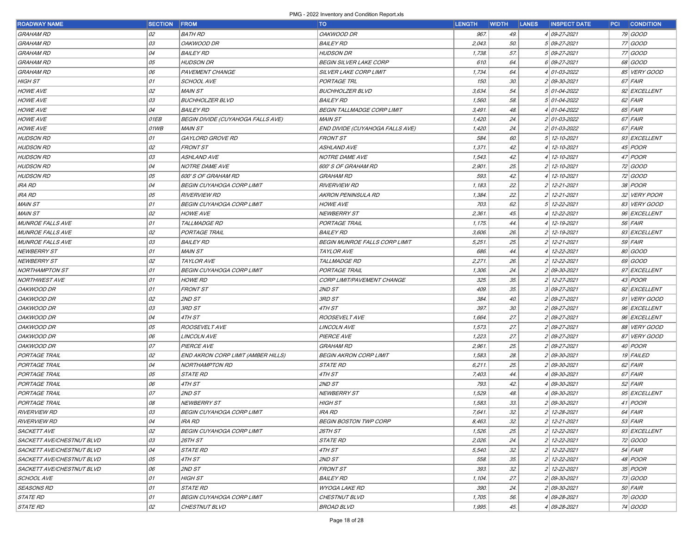| <b>ROADWAY NAME</b>       | <b>SECTION</b> | <b>FROM</b>                               | <b>TO</b>                            | <b>LENGTH</b> | <b>WIDTH</b> | <b>LANES</b> | <b>INSPECT DATE</b> | <b>PCI CONDITION</b> |
|---------------------------|----------------|-------------------------------------------|--------------------------------------|---------------|--------------|--------------|---------------------|----------------------|
| <b>GRAHAM RD</b>          | 02             | <b>BATH RD</b>                            | OAKWOOD DR                           | 967.          | 49.          |              | 4 09-27-2021        | 79 GOOD              |
| <b>GRAHAM RD</b>          | 03             | OAKWOOD DR                                | <b>BAILEY RD</b>                     | 2,043.        | 50.          |              | 5 09-27-2021        | 77 GOOD              |
| <b>GRAHAM RD</b>          | 04             | <b>BAILEY RD</b>                          | <b>HUDSON DR</b>                     | 1,738.        | 57.          |              | 5 09-27-2021        | 77 GOOD              |
| <b>GRAHAM RD</b>          | 05             | <b>HUDSON DR</b>                          | <b>BEGIN SILVER LAKE CORP</b>        | 610.          | 64.          |              | 6 09-27-2021        | 68 GOOD              |
| <b>GRAHAM RD</b>          | 06             | <b>PAVEMENT CHANGE</b>                    | SILVER LAKE CORP LIMIT               | 1,734.        | 64.          |              | 4 01-03-2022        | 85 VERY GOOD         |
| <b>HIGH ST</b>            | 01             | <b>SCHOOL AVE</b>                         | PORTAGE TRL                          | 150.          | 30.          |              | 2 09-30-2021        | 67 FAIR              |
| <b>HOWE AVE</b>           | 02             | <b>MAIN ST</b>                            | <b>BUCHHOLZER BLVD</b>               | 3,634.        | 54.          |              | 5 01-04-2022        | 92 EXCELLENT         |
| <b>HOWE AVE</b>           | 03             | <b>BUCHHOLZER BLVD</b>                    | <b>BAILEY RD</b>                     | 1,560.        | 58.          |              | 5 01-04-2022        | $62$ FAIR            |
| <b>HOWE AVE</b>           | 04             | <b>BAILEY RD</b>                          | <b>BEGIN TALLMADGE CORP LIMIT</b>    | 3,491.        | 48.          |              | 4 01-04-2022        | 65 FAIR              |
| <b>HOWE AVE</b>           | 01EB           | <b>BEGIN DIVIDE (CUYAHOGA FALLS AVE)</b>  | <b>MAIN ST</b>                       | 1,420.        | 24.          |              | 2 01-03-2022        | 67 FAIR              |
| <b>HOWE AVE</b>           | 01WB           | <b>MAIN ST</b>                            | END DIVIDE (CUYAHOGA FALLS AVE)      | 1,420.        | 24.          |              | 2 01-03-2022        | 67 FAIR              |
| <b>HUDSON RD</b>          | 01             | GAYLORD GROVE RD                          | <b>FRONT ST</b>                      | 584.          | 60.          |              | 5 12-10-2021        | 93 EXCELLENT         |
| <b>HUDSON RD</b>          | 02             | <b>FRONT ST</b>                           | <b>ASHLAND AVE</b>                   | 1,371.        | 42.          |              | 4 12-10-2021        | 45 <i>POOR</i>       |
| <b>HUDSON RD</b>          | 03             | <b>ASHLAND AVE</b>                        | <b>NOTRE DAME AVE</b>                | 1,543.        | 42.          |              | 4 12-10-2021        | 47 <i>POOR</i>       |
| <b>HUDSON RD</b>          | 04             | <b>NOTRE DAME AVE</b>                     | 600'S OF GRAHAM RD                   | 2,901.        | 25.          |              | 2 12-10-2021        | 72 GOOD              |
| <b>HUDSON RD</b>          | 05             | <b>600' S OF GRAHAM RD</b>                | <b>GRAHAM RD</b>                     | 593.          | 42.          |              | 4 12-10-2021        | 72 GOOD              |
| IRA RD                    | 04             | <b>BEGIN CUYAHOGA CORP LIMIT</b>          | <b>RIVERVIEW RD</b>                  | 1,183.        | 22.          |              | 2 12-21-2021        | 38 <i>POOR</i>       |
| IRA RD                    | 05             | <b>RIVERVIEW RD</b>                       | <b>AKRON PENINSULA RD</b>            | 1,384.        | 22.          |              | 2 12-21-2021        | 32 VERY POOR         |
| <b>MAIN ST</b>            | 01             | <b>BEGIN CUYAHOGA CORP LIMIT</b>          | <b>HOWE AVE</b>                      | 703.          | 62.          |              | 5 12-22-2021        | 83 VERY GOOD         |
| <b>MAIN ST</b>            | 02             | <b>HOWE AVE</b>                           | <b>NEWBERRY ST</b>                   | 2,361.        | 45.          |              | 4 12-22-2021        | 96 EXCELLENT         |
| <b>MUNROE FALLS AVE</b>   | 01             | <b>TALLMADGE RD</b>                       | PORTAGE TRAIL                        | 1, 175.       | 44.          |              | 4 12-19-2021        | $56$ FAIR            |
| <b>MUNROE FALLS AVE</b>   | 02             | <b>PORTAGE TRAIL</b>                      | <b>BAILEY RD</b>                     | 3,606.        | 26.          |              | 2 12-19-2021        | 93 EXCELLENT         |
| <b>MUNROE FALLS AVE</b>   | 03             | <b>BAILEY RD</b>                          | <b>BEGIN MUNROE FALLS CORP LIMIT</b> | 5,251.        | 25.          |              | 2 12-21-2021        | $59$ FAIR            |
| NEWBERRY ST               | 01             | <b>MAIN ST</b>                            | <b>TAYLOR AVE</b>                    | 686.          | 44.          |              | 4 12-22-2021        | 80 GOOD              |
| <b>NEWBERRY ST</b>        | 02             | <b>TAYLOR AVE</b>                         | TALLMADGE RD                         | 2,271         | 26.          |              | 2 12-22-2021        | 69 GOOD              |
| <b>NORTHAMPTON ST</b>     | 01             | <b>BEGIN CUYAHOGA CORP LIMIT</b>          | PORTAGE TRAIL                        | 1,306.        | 24.          |              | 2 09-30-2021        | 97 EXCELLENT         |
| <b>NORTHWEST AVE</b>      | 01             | <b>HOWE RD</b>                            | CORP LIMIT/PAVEMENT CHANGE           | 325.          | 35.          |              | 2 12-27-2021        | $43$ POOR            |
| OAKWOOD DR                | 01             | <b>FRONT ST</b>                           | 2ND ST                               | 409.          | 35.          |              | $3 09-27-2021$      | 92 EXCELLENT         |
| OAKWOOD DR                | 02             | 2ND ST                                    | 3RD ST                               | 384.          | 40.          |              | 2 09-27-2021        | 91 VERY GOOD         |
| <i>OAKWOOD DR</i>         | 03             | 3RD ST                                    | 4TH ST                               | 397.          | 30.          |              | 2 09-27-2021        | 96 EXCELLENT         |
| OAKWOOD DR                | 04             | 4TH ST                                    | ROOSEVELTAVE                         | 1,664.        | 27.          |              | 2 09-27-2021        | 96 EXCELLENT         |
| OAKWOOD DR                | 05             | <b>ROOSEVELT AVE</b>                      | LINCOLN AVE                          | 1,573.        | 27.          |              | 2 09-27-2021        | 88 VERY GOOD         |
| OAKWOOD DR                | 06             | <b>LINCOLN AVE</b>                        | <b>PIERCE AVE</b>                    | 1,223.        | 27.          |              | 2 09-27-2021        | 87 VERY GOOD         |
| OAKWOOD DR                | 07             | <b>PIERCE AVE</b>                         | <b>GRAHAM RD</b>                     | 2,961.        | 25.          |              | 2 09-27-2021        | 40 <i>POOR</i>       |
| PORTAGE TRAIL             | 02             | <b>END AKRON CORP LIMIT (AMBER HILLS)</b> | <b>BEGIN AKRON CORP LIMIT</b>        | 1,583.        | 28.          |              | 2 09-30-2021        | 19 FAILED            |
| PORTAGE TRAIL             | 04             | <b>NORTHAMPTON RD</b>                     | <i>STATE RD</i>                      | 6,211.        | 25.          |              | 2 09-30-2021        | $62$ FAIR            |
| PORTAGE TRAIL             | 05             | <b>STATE RD</b>                           | 4TH ST                               | 7,403.        | 44.          |              | 4 09-30-2021        | 67 FAIR              |
| PORTAGE TRAIL             | 06             | 4TH ST                                    | 2ND ST                               | 793.          | 42.          |              | 4 09-30-2021        | $52$ FAIR            |
| PORTAGE TRAIL             | 07             | 2ND ST                                    | NEWBERRY ST                          | 1,529.        | 48.          |              | 4 09-30-2021        | 95 EXCELLENT         |
| PORTAGE TRAIL             | 08             | <b>NEWBERRY ST</b>                        | <b>HIGH ST</b>                       | 1,583.        | 33.          |              | 2 09-30-2021        | $41$ POOR            |
| <b>RIVERVIEW RD</b>       | 03             | <b>BEGIN CUYAHOGA CORP LIMIT</b>          | <b>IRA RD</b>                        | 7,641.        | 32.          |              | 2 12-28-2021        | $64$ FAIR            |
| <b>RIVERVIEW RD</b>       | 04             | <b>IRA RD</b>                             | <b>BEGIN BOSTON TWP CORP</b>         | 8,463.        | 32.          |              | 2 12-21-2021        | $53$ FAIR            |
| <b>SACKETT AVE</b>        | 02             | <b>BEGIN CUYAHOGA CORP LIMIT</b>          | 26TH ST                              | 1,526.        | 25.          |              | 2 12-22-2021        | 93 EXCELLENT         |
| SACKETT AVE/CHESTNUT BLVD | 03             | <b>26TH ST</b>                            | <i>STATE RD</i>                      | 2,026.        | 24.          |              | 2 12-22-2021        | 72 GOOD              |
| SACKETT AVE/CHESTNUT BLVD | 04             | <i>STATE RD</i>                           | 4TH ST                               | 5,540.        | 32.          |              | 2 12-22-2021        | $54$ FAIR            |
| SACKETT AVE/CHESTNUT BLVD | 05             | 4TH ST                                    | 2ND ST                               | 558.          | 35.          |              | 2 12-22-2021        | 48 <i>POOR</i>       |
| SACKETT AVE/CHESTNUT BLVD | 06             | 2ND ST                                    | <b>FRONT ST</b>                      | 393.          | 32.          |              | 2 12-22-2021        | $35$ POOR            |
| <b>SCHOOL AVE</b>         | 01             | <b>HIGH ST</b>                            | <b>BAILEY RD</b>                     | 1,104.        | 27.          |              | 2 09-30-2021        | 73 GOOD              |
| <b>SEASONS RD</b>         | 01             | <b>STATE RD</b>                           | <b>WYOGA LAKE RD</b>                 | 390.          | 24.          |              | 2 09-30-2021        | $50$ FAIR            |
| <i>STATE RD</i>           | 01             | <b>BEGIN CUYAHOGA CORP LIMIT</b>          | CHESTNUT BLVD                        | 1,705.        | 56.          |              | 4 09-28-2021        | 70 GOOD              |
| <i>STATE RD</i>           | 02             | CHESTNUT BLVD                             | <b>BROAD BLVD</b>                    | 1,995.        | 45.          |              | 4 09-28-2021        | 74 GOOD              |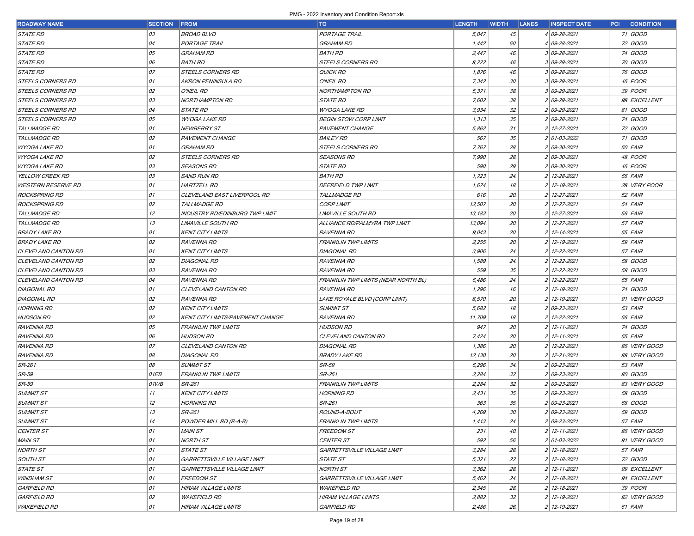| <b>ROADWAY NAME</b>       | <b>SECTION FROM</b> |                                  | <b>TO</b>                           | <b>LENGTH</b> | <b>WIDTH</b> | <b>LANES</b> | <b>INSPECT DATE</b> | <b>PCI CONDITION</b> |
|---------------------------|---------------------|----------------------------------|-------------------------------------|---------------|--------------|--------------|---------------------|----------------------|
| <i>STATE RD</i>           | 03                  | <b>BROAD BLVD</b>                | PORTAGE TRAIL                       | 5,047.        | 45.          |              | 4 09-28-2021        | 71 GOOD              |
| <i>STATE RD</i>           | 04                  | PORTAGE TRAIL                    | GRAHAM RD                           | 1,442.        | 60.          |              | 4 09-28-2021        | 72 GOOD              |
| <b>STATE RD</b>           | 05                  | <b>GRAHAM RD</b>                 | <b>BATH RD</b>                      | 2,447         | 46.          |              | 3 09-28-2021        | 74 GOOD              |
| <b>STATE RD</b>           | 06                  | <b>BATH RD</b>                   | STEELS CORNERS RD                   | 8,222.        | 46.          |              | 3 09-29-2021        | 70 GOOD              |
| <b>STATE RD</b>           | 07                  | STEELS CORNERS RD                | <b>QUICK RD</b>                     | 1,876.        | 46.          |              | 3 09-28-2021        | 76 GOOD              |
| STEELS CORNERS RD         | 01                  | AKRON PENINSULA RD               | O'NEIL RD                           | 7,342.        | 30.          |              | 3 09-29-2021        | 46 <i>POOR</i>       |
| STEELS CORNERS RD         | 02                  | O'NEIL RD                        | <b>NORTHAMPTON RD</b>               | 5,371         | 38.          |              | 3 09-29-2021        | 39 <i>POOR</i>       |
| STEELS CORNERS RD         | 03                  | <b>NORTHAMPTON RD</b>            | <b>STATE RD</b>                     | 7,602.        | 38.          |              | 2 09-29-2021        | 98 EXCELLENT         |
| STEELS CORNERS RD         | 04                  | <b>STATE RD</b>                  | <b>WYOGA LAKE RD</b>                | 3,934         | 32.          |              | 2 09-29-2021        | 81 GOOD              |
| STEELS CORNERS RD         | 05                  | <b>WYOGA LAKE RD</b>             | <b>BEGIN STOW CORP LIMIT</b>        | 1,313.        | 35.          |              | 2 09-28-2021        | 74 GOOD              |
| TALLMADGE RD              | 01                  | <b>NEWBERRY ST</b>               | PAVEMENT CHANGE                     | 5,862.        | 31.          |              | 2 12-27-2021        | 72 GOOD              |
| TALLMADGE RD              | 02                  | PAVEMENT CHANGE                  | <b>BAILEY RD</b>                    | 567           | 35.          |              | 2 01-03-2022        | 71 GOOD              |
| <b>WYOGA LAKE RD</b>      | 01                  | <b>GRAHAM RD</b>                 | STEELS CORNERS RD                   | 7,767.        | 28.          |              | 2 09-30-2021        | 60 FAIR              |
| <b>WYOGA LAKE RD</b>      | 02                  | STEELS CORNERS RD                | <b>SEASONS RD</b>                   | 7,990.        | 28.          |              | 2 09-30-2021        | 48 POOR              |
| <b>WYOGA LAKE RD</b>      | 03                  | <b>SEASONS RD</b>                | <i><b>STATE RD</b></i>              | 590.          | 29.          |              | 2 09-30-2021        | 46 <i>POOR</i>       |
| YELLOW CREEK RD           | 03                  | <b>SAND RUN RD</b>               | <b>BATH RD</b>                      | 1,723.        | 24.          |              | 2 12-28-2021        | 66 FAIR              |
| <b>WESTERN RESERVE RD</b> | 01                  | <b>HARTZELL RD</b>               | <b>DEERFIELD TWP LIMIT</b>          | 1,674.        | 18.          |              | 2 12-19-2021        | 28 VERY POOR         |
| <b>ROCKSPRING RD</b>      | 01                  | CLEVELAND EAST LIVERPOOL RD      | <b>TALLMADGE RD</b>                 | 616.          | 20.          |              | 2 12-27-2021        | $52$ FAIR            |
| <b>ROCKSPRING RD</b>      | 02                  | <b>TALLMADGE RD</b>              | <b>CORP LIMIT</b>                   | 12,507.       | 20.          |              | 2 12-27-2021        | 64 FAIR              |
| TALLMADGE RD              | 12                  | INDUSTRY RD/EDINBURG TWP LIMIT   | <i>LIMAVILLE SOUTH RD</i>           | 13, 183.      | 20.          |              | 2 12-27-2021        | 56 FAIR              |
| TALLMADGE RD              | 13                  | <b>LIMAVILLE SOUTH RD</b>        | ALLIANCE RD/PALMYRA TWP LIMIT       | 13,094        | 20.          |              | 2 12-27-2021        | $57$ FAIR            |
| <b>BRADY LAKE RD</b>      | 01                  | <b>KENT CITY LIMITS</b>          | <b>RAVENNA RD</b>                   | 9,043.        | 20.          |              | 2 12-14-2021        | 65 FAIR              |
| <b>BRADY LAKE RD</b>      | 02                  | <b>RAVENNA RD</b>                | <b>FRANKLIN TWP LIMITS</b>          | 2,255.        | 20.          |              | 2 12-19-2021        | $59$ FAIR            |
| CLEVELAND CANTON RD       | 01                  | <b>KENT CITY LIMITS</b>          | <b>DIAGONAL RD</b>                  | 3,906.        | 24.          |              | 2 12-22-2021        | 67 FAIR              |
| CLEVELAND CANTON RD       | 02                  | <b>DIAGONAL RD</b>               | <b>RAVENNA RD</b>                   | 1,589.        | 24.          |              | 2 12-22-2021        | 68 GOOD              |
| CLEVELAND CANTON RD       | 03                  | <b>RAVENNA RD</b>                | <b>RAVENNA RD</b>                   | 559.          | 35.          |              | 2 12-22-2021        | 68 GOOD              |
| CLEVELAND CANTON RD       | 04                  | <b>RAVENNA RD</b>                | FRANKLIN TWP LIMITS (NEAR NORTH BL) | 6,486.        | 24.          |              | 2 12-22-2021        | 65 FAIR              |
| DIAGONAL RD               | 01                  | CLEVELAND CANTON RD              | <b>RAVENNA RD</b>                   | 1,296.        | 16.          |              | 2 12-19-2021        | 74 GOOD              |
| DIAGONAL RD               | 02                  | <b>RAVENNA RD</b>                | LAKE ROYALE BLVD (CORP LIMIT)       | 8,570.        | 20.          |              | 2 12-19-2021        | 91 VERY GOOD         |
| <b>HORNING RD</b>         | 02                  | <b>KENT CITY LIMITS</b>          | <b>SUMMIT ST</b>                    | 5,682.        | 18.          |              | 2 09-23-2021        | 63 FAIR              |
| <b>HUDSON RD</b>          | 02                  | KENT CITY LIMITS/PAVEMENT CHANGE | <b>RAVENNA RD</b>                   | 11,709.       | 18.          |              | 2 12-22-2021        | 66 FAIR              |
| <b>RAVENNA RD</b>         | 05                  | FRANKLIN TWP LIMITS              | <b>HUDSON RD</b>                    | 947.          | 20.          |              | 2 12-11-2021        | 74 GOOD              |
| <b>RAVENNA RD</b>         | 06                  | <b>HUDSON RD</b>                 | CLEVELAND CANTON RD                 | 7,424.        | 20.          |              | 2 12-11-2021        | 65 FAIR              |
| <b>RAVENNA RD</b>         | 07                  | CLEVELAND CANTON RD              | <b>DIAGONAL RD</b>                  | 1,386.        | 20.          |              | 2 12-22-2021        | 86 VERY GOOD         |
| <b>RAVENNA RD</b>         | 08                  | DIAGONAL RD                      | <b>BRADY LAKE RD</b>                | 12, 130.      | 20.          |              | 2 12-21-2021        | 88 VERY GOOD         |
| SR-261                    | 08                  | <b>SUMMIT ST</b>                 | SR-59                               | 6,296.        | 34.          |              | 2 09-23-2021        | $53$ FAIR            |
| <i>SR-59</i>              | <i>01EB</i>         | FRANKLIN TWP LIMITS              | SR-261                              | 2,284         | 32.          |              | 2 09-23-2021        | 80 GOOD              |
| <i>SR-59</i>              | 01WB                | SR-261                           | <b>FRANKLIN TWP LIMITS</b>          | 2,284         | 32.          |              | 2 09-23-2021        | 83 VERY GOOD         |
| <b>SUMMIT ST</b>          | 11                  | <b>KENT CITY LIMITS</b>          | <b>HORNING RD</b>                   | 2,431         | 35.          |              | 2 09-23-2021        | 68 GOOD              |
| <b>SUMMIT ST</b>          | 12                  | <b>HORNING RD</b>                | SR-261                              | 363.          | 35.          |              | 2 09-23-2021        | 68 GOOD              |
| <b>SUMMIT ST</b>          | 13                  | $SR-261$                         | ROUND-A-BOUT                        | 4,269.        | 30.          |              | 2 09-23-2021        | 69 GOOD              |
| <b>SUMMIT ST</b>          | 14                  | POWDER MILL RD (R-A-B)           | FRANKLIN TWP LIMITS                 | 1,413.        | 24.          |              | 2 09-23-2021        | 67 FAIR              |
| <b>CENTER ST</b>          | 01                  | <b>MAIN ST</b>                   | <b>FREEDOM ST</b>                   | 231.          | 40.          |              | $2$ 12-11-2021      | 86 VERY GOOD         |
| MAIN ST                   | 01                  | <b>NORTH ST</b>                  | <b>CENTER ST</b>                    | 592.          | 56.          |              | 2 01-03-2022        | 91 VERY GOOD         |
| NORTH ST                  | 01                  | $\overline{STATEST}$             | GARRETTSVILLE VILLAGE LIMIT         | 3,284.        | 28.          |              | 2 12-18-2021        | $57$ FAIR            |
| SOUTH ST                  | 01                  | GARRETTSVILLE VILLAGE LIMIT      | <i>STATE ST</i>                     | 5,321.        | 22.          |              | 2 12-18-2021        | 72 GOOD              |
| <i>STATE ST</i>           | 01                  | GARRETTSVILLE VILLAGE LIMIT      | NORTH ST                            | 3,362.        | 28.          |              | 2 12-11-2021        | 99 EXCELLENT         |
| <b>WINDHAM ST</b>         | 01                  | <b>FREEDOM ST</b>                | GARRETTSVILLE VILLAGE LIMIT         | 5,462.        | 24.          |              | 2 12-18-2021        | 94 EXCELLENT         |
| <b>GARFIELD RD</b>        | 01                  | HIRAM VILLAGE LIMITS             | <b>WAKEFIELD RD</b>                 | 2,345.        | 28.          |              | 2 12-18-2021        | 39 <i>POOR</i>       |
| GARFIELD RD               | 02                  | <b>WAKEFIELD RD</b>              | <b>HIRAM VILLAGE LIMITS</b>         | 2,882.        | 32.          |              | 2 12-19-2021        | 82 VERY GOOD         |
| <b>WAKEFIELD RD</b>       | 01                  | <b>HIRAM VILLAGE LIMITS</b>      | <i>GARFIELD RD</i>                  | 2,486.        | 26.          |              | 2 12-19-2021        | $61$ FAIR            |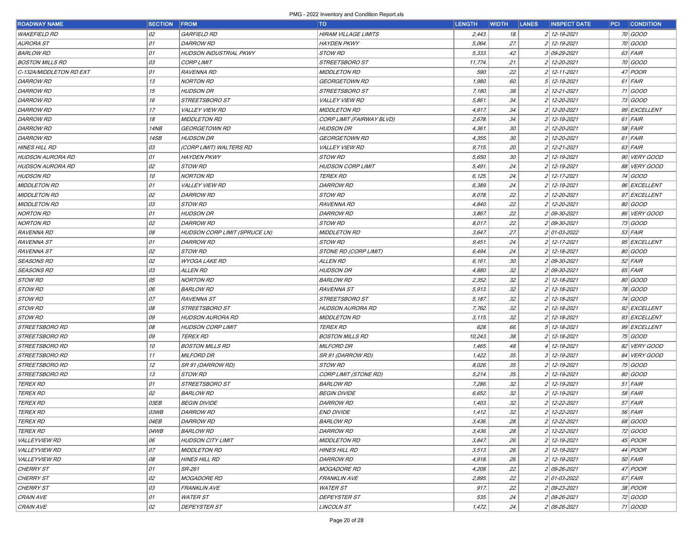| <b>ROADWAY NAME</b>     | <b>SECTION</b> | <b>FROM</b>                          | TO                          | <b>LENGTH</b> | <b>WIDTH</b> | <b>LANES</b> | <b>INSPECT DATE</b> | <b>CONDITION</b><br> PCI |
|-------------------------|----------------|--------------------------------------|-----------------------------|---------------|--------------|--------------|---------------------|--------------------------|
| <b>WAKEFIELD RD</b>     | 02             | <b>GARFIELD RD</b>                   | <b>HIRAM VILLAGE LIMITS</b> | 2,443.        | 18.          |              | 2 12-19-2021        | 70 GOOD                  |
| AURORA ST               | 01             | <b>DARROW RD</b>                     | <b>HAYDEN PKWY</b>          | 5,064.        | 27.          |              | 2 12-19-2021        | 70 GOOD                  |
| <b>BARLOW RD</b>        | 01             | <b>HUDSON INDUSTRIAL PKWY</b>        | <b>STOW RD</b>              | 5,333.        | 42.          |              | 3 09-29-2021        | $63$ FAIR                |
| <b>BOSTON MILLS RD</b>  | 03             | <b>CORP LIMIT</b>                    | STREETSBORO ST              | 11,774.       | 21.          |              | 2 12-20-2021        | 70 GOOD                  |
| C-132A/MIDDLETON RD EXT | 01             | <b>RAVENNA RD</b>                    | <b>MIDDLETON RD</b>         | 590.          | 22.          |              | 2 12-11-2021        | 47 <i>POOR</i>           |
| <b>DARROW RD</b>        | 13             | <b>NORTON RD</b>                     | <b>GEORGETOWN RD</b>        | 1,980.        | 60.          |              | 5 12-19-2021        | $61$ FAIR                |
| <b>DARROW RD</b>        | 15             | <b>HUDSON DR</b>                     | STREETSBORO ST              | 7,180.        | 38.          |              | 2 12-21-2021        | 71 GOOD                  |
| <b>DARROW RD</b>        | 16             | STREETSBORO ST                       | <b>VALLEY VIEW RD</b>       | 5,861.        | 34.          |              | 2 12-20-2021        | 73 GOOD                  |
| <b>DARROW RD</b>        | 17             | <b>VALLEY VIEW RD</b>                | <b>MIDDLETON RD</b>         | 4,917.        | 34.          |              | 2 12-20-2021        | 99 EXCELLENT             |
| <b>DARROW RD</b>        | 18             | <b>MIDDLETON RD</b>                  | CORP LIMIT (FAIRWAY BLVD)   | 2,678.        | 34.          |              | 2 12-19-2021        | 61 FAIR                  |
| <b>DARROW RD</b>        | 14NB           | <b>GEORGETOWN RD</b>                 | <b>HUDSON DR</b>            | 4,361.        | 30.          |              | 2 12-20-2021        | 58 FAIR                  |
| <b>DARROW RD</b>        | 14SB           | <b>HUDSON DR</b>                     | <b>GEORGETOWN RD</b>        | 4,355.        | 30.          |              | 2 12-20-2021        | $61$ FAIR                |
| HINES HILL RD           | 03             | (CORP LIMIT) WALTERS RD              | <i>VALLEY VIEW RD</i>       | 9,715.        | 20.          |              | 2 12-21-2021        | $63$ FAIR                |
| <b>HUDSON AURORA RD</b> | 01             | <b>HAYDEN PKWY</b>                   | <b>STOW RD</b>              | 5,650.        | 30.          |              | 2 12-19-2021        | 90 VERY GOOD             |
| <b>HUDSON AURORA RD</b> | 02             | <b>STOW RD</b>                       | <b>HUDSON CORP LIMIT</b>    | 5,491         | 24.          |              | 2 12-19-2021        | 88 VERY GOOD             |
| <b>HUDSON RD</b>        | 10             | <b>NORTON RD</b>                     | <b>TEREX RD</b>             | 6, 125.       | 24.          |              | 2 12-17-2021        | 74 GOOD                  |
| <b>MIDDLETON RD</b>     | 01             | <b>VALLEY VIEW RD</b>                | <b>DARROW RD</b>            | 6,389.        | 24.          |              | 2 12-19-2021        | 96 EXCELLENT             |
| <b>MIDDLETON RD</b>     | 02             | <b>DARROW RD</b>                     | <b>STOW RD</b>              | 8,078.        | 22.          |              | 2 12-20-2021        | 97 EXCELLENT             |
| <b>MIDDLETON RD</b>     | 03             | STOW RD                              | <b>RAVENNA RD</b>           | 4,840.        | 22.          |              | 2 12-20-2021        | 80 GOOD                  |
| <b>NORTON RD</b>        | 01             | <b>HUDSON DR</b>                     | <b>DARROW RD</b>            | 3,867.        | 22.          |              | 2 09-30-2021        | 86 VERY GOOD             |
| <b>NORTON RD</b>        | 02             | <b>DARROW RD</b>                     | <b>STOW RD</b>              | 8,017.        | 22.          |              | 2 09-30-2021        | 73 GOOD                  |
| <b>RAVENNA RD</b>       | 08             | <b>HUDSON CORP LIMIT (SPRUCE LN)</b> | <b>MIDDLETON RD</b>         | 3,647.        | 27.          |              | 2 01-03-2022        | $53$ FAIR                |
| <b>RAVENNA ST</b>       | 01             | <b>DARROW RD</b>                     | STOW RD                     | 9,451.        | 24.          |              | 2 12-17-2021        | 95 EXCELLENT             |
| <b>RAVENNA ST</b>       | 02             | <b>STOW RD</b>                       | STONE RD (CORP LIMIT)       | 6,494.        | 24.          |              | 2 12-18-2021        | 80 GOOD                  |
| <b>SEASONS RD</b>       | 02             | <b>WYOGA LAKE RD</b>                 | <b>ALLEN RD</b>             | 6,161         | 30.          |              | 2 09-30-2021        | $52$ FAIR                |
| <b>SEASONS RD</b>       | 03             | <b>ALLEN RD</b>                      | <b>HUDSON DR</b>            | 4,880.        | 32.          |              | 2 09-30-2021        | 65 FAIR                  |
| STOW RD                 | 05             | <b>NORTON RD</b>                     | <b>BARLOW RD</b>            | 2,352.        | 32.          |              | 2 12-18-2021        | 80 GOOD                  |
| <b>STOW RD</b>          | 06             | <b>BARLOW RD</b>                     | <b>RAVENNA ST</b>           | 5,913.        | 32.          |              | 2 12-18-2021        | 78 GOOD                  |
| <i>STOW RD</i>          | 07             | <b>RAVENNA ST</b>                    | STREETSBORO ST              | 5,187.        | 32.          |              | 2 12-18-2021        | 74 GOOD                  |
| <i>STOW RD</i>          | 08             | STREETSBORO ST                       | <b>HUDSON AURORA RD</b>     | 7,762.        | 32.          |              | 2 12-18-2021        | 92 EXCELLENT             |
| STOW RD                 | 09             | <b>HUDSON AURORA RD</b>              | <b>MIDDLETON RD</b>         | 3, 115.       | 32.          |              | 2 12-18-2021        | 93 EXCELLENT             |
| STREETSBORO RD          | 08             | <b>HUDSON CORP LIMIT</b>             | <b>TEREX RD</b>             | 628.          | 66.          |              | 5 12-18-2021        | 99 EXCELLENT             |
| STREETSBORO RD          | 09             | <i>TEREX RD</i>                      | <b>BOSTON MILLS RD</b>      | 10,243.       | 38.          |              | 2 12-18-2021        | 75 GOOD                  |
| STREETSBORO RD          | 10             | <b>BOSTON MILLS RD</b>               | <b>MILFORD DR</b>           | 1,465.        | 48.          |              | 4 12-19-2021        | 82 VERY GOOD             |
| STREETSBORO RD          | 11             | <b>MILFORD DR</b>                    | SR 91 (DARROW RD)           | 1,422.        | 35.          |              | $3 12 - 19 - 2021$  | 84 VERY GOOD             |
| STREETSBORO RD          | 12             | SR 91 (DARROW RD)                    | STOW RD                     | 8,026.        | 35.          |              | 2 12-19-2021        | 75 GOOD                  |
| STREETSBORO RD          | 13             | <b>STOW RD</b>                       | CORP LIMIT (STONE RD)       | 5,214.        | 35.          |              | 2 12-19-2021        | 80 GOOD                  |
| <i>TEREX RD</i>         | 01             | STREETSBORO ST                       | <b>BARLOW RD</b>            | 7,286.        | 32.          |              | 2 12-19-2021        | $51$ FAIR                |
| <i>TEREX RD</i>         | 02             | <b>BARLOW RD</b>                     | <b>BEGIN DIVIDE</b>         | 6,652.        | 32.          |              | 2 12-19-2021        | 58 FAIR                  |
| <b>TEREX RD</b>         | 03EB           | <b>BEGIN DIVIDE</b>                  | <b>DARROW RD</b>            | 1,403.        | 32.          |              | 2 12-22-2021        | $57$ FAIR                |
| <b>TEREX RD</b>         | 03WB           | DARROW RD                            | END DIVIDE                  | 1,412.        | 32.          |              | 2 12-22-2021        | $56$ FAIR                |
| <b>TEREX RD</b>         | <i>04EB</i>    | DARROW RD                            | <b>BARLOW RD</b>            | 3,436.        | 28.          |              | 2 12-22-2021        | 68 GOOD                  |
| <i>TEREX RD</i>         | 04WB           | <b>BARLOW RD</b>                     | <b>DARROW RD</b>            | 3,436.        | 28.          |              | 2 12-22-2021        | 72 GOOD                  |
| <b>VALLEYVIEW RD</b>    | 06             | <b>HUDSON CITY LIMIT</b>             | <b>MIDDLETON RD</b>         | 3,847.        | 26.          |              | 2 12-19-2021        | 45 <i>POOR</i>           |
| <b>VALLEYVIEW RD</b>    | 07             | <b>MIDDLETON RD</b>                  | <b>HINES HILL RD</b>        | 3,513.        | 26.          |              | 2 12-19-2021        | 44 <i>POOR</i>           |
| <b>VALLEYVIEW RD</b>    | 08             | <b>HINES HILL RD</b>                 | <b>DARROW RD</b>            | 4,918.        | 26.          |              | 2 12-19-2021        | $50$ FAIR                |
| <b>CHERRY ST</b>        | 01             | <i>SR-261</i>                        | <b>MOGADORE RD</b>          | 4,208.        | 22.          |              | 2 09-26-2021        | 47 <i>POOR</i>           |
| <b>CHERRY ST</b>        | 02             | <b>MOGADORE RD</b>                   | <b>FRANKLIN AVE</b>         | 2,895.        | 22.          |              | 2 01-03-2022        | 67 FAIR                  |
| <b>CHERRY ST</b>        | 03             | <b>FRANKLIN AVE</b>                  | <b>WATER ST</b>             | 917.          | 22.          |              | 2 09-23-2021        | 38 <i>POOR</i>           |
| CRAIN AVE               | 01             | <b>WATER ST</b>                      | <b>DEPEYSTER ST</b>         | 535.          | 24.          |              | 2 09-26-2021        | 72 GOOD                  |
| <b>CRAIN AVE</b>        | 02             | <b>DEPEYSTER ST</b>                  | <b>LINCOLN ST</b>           | 1,472.        | 24.          |              | 2 09-26-2021        | 71 GOOD                  |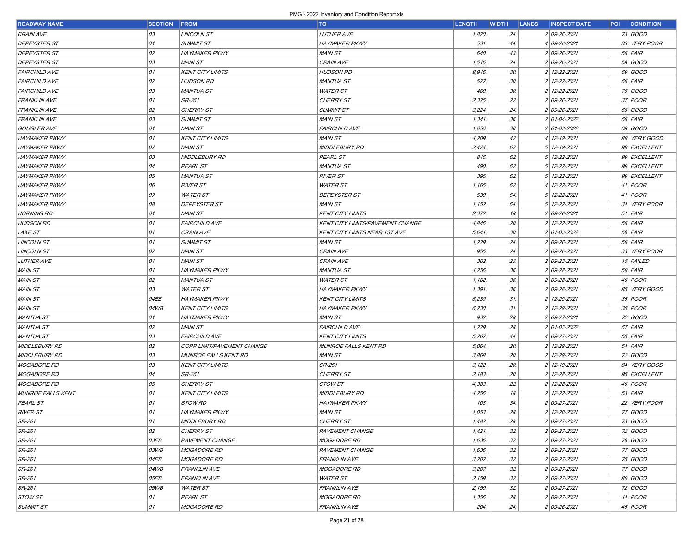| <b>ROADWAY NAME</b>      | <b>SECTION FROM</b> |                             | <b>TO</b>                               | <b>LENGTH</b> | <b>WIDTH</b> | <b>LANES</b> | <b>INSPECT DATE</b> | <b>PCI CONDITION</b> |
|--------------------------|---------------------|-----------------------------|-----------------------------------------|---------------|--------------|--------------|---------------------|----------------------|
| CRAIN AVE                | 03                  | <b>LINCOLN ST</b>           | <b>LUTHER AVE</b>                       | 1,820.        | 24.          |              | 2 09-26-2021        | 73 GOOD              |
| <b>DEPEYSTER ST</b>      | 01                  | <b>SUMMIT ST</b>            | <b>HAYMAKER PKWY</b>                    | 531.          | 44.          |              | 4 09-26-2021        | 33 VERY POOR         |
| <b>DEPEYSTER ST</b>      | 02                  | <b>HAYMAKER PKWY</b>        | <b>MAIN ST</b>                          | 640.          | 43.          |              | 2 09-26-2021        | 56 FAIR              |
| <b>DEPEYSTER ST</b>      | 03                  | <b>MAIN ST</b>              | CRAIN AVE                               | 1,516.        | 24.          |              | 2 09-26-2021        | 68 GOOD              |
| <b>FAIRCHILD AVE</b>     | 01                  | <b>KENT CITY LIMITS</b>     | <b>HUDSON RD</b>                        | 8,916.        | 30.          |              | 2 12-22-2021        | 69 GOOD              |
| <b>FAIRCHILD AVE</b>     | 02                  | <b>HUDSON RD</b>            | <b>MANTUA ST</b>                        | 527.          | 30.          |              | 2 12-22-2021        | 66 FAIR              |
| <b>FAIRCHILD AVE</b>     | 03                  | <b>MANTUA ST</b>            | <b>WATER ST</b>                         | 460.          | 30.          |              | 2 12-22-2021        | 75 GOOD              |
| <b>FRANKLIN AVE</b>      | 01                  | SR-261                      | <b>CHERRY ST</b>                        | 2,375.        | 22.          |              | 2 09-26-2021        | 37 <i>POOR</i>       |
| <b>FRANKLIN AVE</b>      | 02                  | CHERRY ST                   | <b>SUMMIT ST</b>                        | 3,224.        | 24.          |              | 2 09-26-2021        | 68 GOOD              |
| <i>FRANKLIN AVE</i>      | 03                  | <b>SUMMIT ST</b>            | <b>MAIN ST</b>                          | 1,341.        | 36.          |              | 2 01-04-2022        | 66 FAIR              |
| <b>GOUGLER AVE</b>       | 01                  | <b>MAIN ST</b>              | <b>FAIRCHILD AVE</b>                    | 1,656.        | 36.          |              | 2 01-03-2022        | 68 GOOD              |
| <b>HAYMAKER PKWY</b>     | 01                  | <b>KENT CITY LIMITS</b>     | <b>MAIN ST</b>                          | 4,209.        | 42.          |              | 4 12-19-2021        | 89 VERY GOOD         |
| <b>HAYMAKER PKWY</b>     | 02                  | <b>MAIN ST</b>              | <b>MIDDLEBURY RD</b>                    | 2,424.        | 62.          |              | 5 12-19-2021        | 99 EXCELLENT         |
| <b>HAYMAKER PKWY</b>     | 03                  | <b>MIDDLEBURY RD</b>        | PEARL ST                                | 816.          | 62.          |              | 5 12-22-2021        | 99 EXCELLENT         |
| <b>HAYMAKER PKWY</b>     | 04                  | PEARL ST                    | <b>MANTUA ST</b>                        | 490.          | 62.          |              | 5 12-22-2021        | 99 EXCELLENT         |
| <b>HAYMAKER PKWY</b>     | 05                  | <b>MANTUA ST</b>            | <b>RIVER ST</b>                         | 395.          | 62.          |              | 5 12-22-2021        | 99 EXCELLENT         |
| <b>HAYMAKER PKWY</b>     | 06                  | <b>RIVER ST</b>             | <b>WATER ST</b>                         | 1,165.        | 62.          |              | 4 12-22-2021        | $41$ POOR            |
| <b>HAYMAKER PKWY</b>     | 07                  | <b>WATER ST</b>             | <b>DEPEYSTER ST</b>                     | 530.          | 64.          |              | 5 12-22-2021        | $41$ POOR            |
| <b>HAYMAKER PKWY</b>     | 08                  | <b>DEPEYSTER ST</b>         | <b>MAIN ST</b>                          | 1, 152.       | 64.          |              | 5 12-22-2021        | 34 VERY POOR         |
| <b>HORNING RD</b>        | 01                  | <b>MAIN ST</b>              | <b>KENT CITY LIMITS</b>                 | 2,372.        | 18.          |              | 2 09-26-2021        | $51$ FAIR            |
| <b>HUDSON RD</b>         | 01                  | <b>FAIRCHILD AVE</b>        | <b>KENT CITY LIMITS/PAVEMENT CHANGE</b> | 4,846.        | 20.          |              | 2 12-22-2021        | 56 FAIR              |
| <b>LAKE ST</b>           | 01                  | CRAIN AVE                   | <b>KENT CITY LIMITS NEAR 1ST AVE</b>    | 5,641.        | 30.          |              | 2 01-03-2022        | 66 FAIR              |
| <b>LINCOLN ST</b>        | 01                  | <b>SUMMIT ST</b>            | <b>MAIN ST</b>                          | 1,279.        | 24.          |              | 2 09-26-2021        | 56 FAIR              |
| <b>LINCOLN ST</b>        | 02                  | <b>MAIN ST</b>              | CRAIN AVE                               | 955.          | 24.          |              | 2 09-26-2021        | 33 VERY POOR         |
| <b>LUTHER AVE</b>        | 01                  | <b>MAIN ST</b>              | CRAIN AVE                               | 302.          | 23.          |              | 2 09-23-2021        | 15 FAILED            |
| <b>MAIN ST</b>           | 01                  | <b>HAYMAKER PKWY</b>        | <b>MANTUA ST</b>                        | 4,256.        | 36.          |              | 2 09-28-2021        | $59$ FAIR            |
| <b>MAIN ST</b>           | 02                  | <b>MANTUA ST</b>            | <b>WATER ST</b>                         | 1,162.        | 36.          |              | 2 09-28-2021        | 46 <i>POOR</i>       |
| <b>MAIN ST</b>           | 03                  | <b>WATER ST</b>             | <b>HAYMAKER PKWY</b>                    | 1,391.        | 36.          |              | 2 09-28-2021        | 85 VERY GOOD         |
| <b>MAIN ST</b>           | 04EB                | <b>HAYMAKER PKWY</b>        | <b>KENT CITY LIMITS</b>                 | 6,230.        | 31.          |              | 2 12-29-2021        | 35 <i>POOR</i>       |
| <b>MAIN ST</b>           | 04WB                | <b>KENT CITY LIMITS</b>     | <b>HAYMAKER PKWY</b>                    | 6,230.        | 31.          |              | 2 12-29-2021        | 35 <i>POOR</i>       |
| <b>MANTUA ST</b>         | 01                  | <b>HAYMAKER PKWY</b>        | <b>MAIN ST</b>                          | 932.          | 28.          |              | 2 09-27-2021        | 72 GOOD              |
| <b>MANTUA ST</b>         | 02                  | <b>MAIN ST</b>              | <b>FAIRCHILD AVE</b>                    | 1,779.        | 28.          |              | 2 01-03-2022        | 67 FAIR              |
| <b>MANTUA ST</b>         | 03                  | <b>FAIRCHILD AVE</b>        | <b>KENT CITY LIMITS</b>                 | 5,267.        | 44.          |              | 4 09-27-2021        | $55$ FAIR            |
| <b>MIDDLEBURY RD</b>     | 02                  | CORP LIMIT/PAVEMENT CHANGE  | <b>MUNROE FALLS KENT RD</b>             | 5,064.        | 20.          |              | 2 12-29-2021        | $54$ FAIR            |
| <b>MIDDLEBURY RD</b>     | 03                  | <b>MUNROE FALLS KENT RD</b> | <b>MAIN ST</b>                          | 3,868.        | 20.          |              | 2 12-29-2021        | 72 GOOD              |
| <b>MOGADORE RD</b>       | 03                  | <b>KENT CITY LIMITS</b>     | SR-261                                  | 3, 122.       | 20.          |              | 2 12-19-2021        | 84 VERY GOOD         |
| <b>MOGADORE RD</b>       | 04                  | SR-261                      | CHERRY ST                               | 2,183.        | 20.          |              | 2 12-28-2021        | 95 EXCELLENT         |
| <b>MOGADORE RD</b>       | 05                  | <b>CHERRY ST</b>            | STOW ST                                 | 4,383.        | 22.          |              | 2 12-28-2021        | 46 <i>POOR</i>       |
| <b>MUNROE FALLS KENT</b> | 01                  | <b>KENT CITY LIMITS</b>     | <b>MIDDLEBURY RD</b>                    | 4,256.        | 18.          |              | 2 12-22-2021        | $53$ FAIR            |
| PEARL ST                 | 01                  | <b>STOW RD</b>              | <b>HAYMAKER PKWY</b>                    | 108.          | 34.          |              | 2 09-27-2021        | 22 VERY POOR         |
| <b>RIVER ST</b>          | 01                  | <b>HAYMAKER PKWY</b>        | MAIN ST                                 | 1,053.        | 28.          |              | 2 12-20-2021        | 77 GOOD              |
| SR-261                   | 01                  | MIDDLEBURY RD               | CHERRY ST                               | 1,482.        | 28.          |              | 2 09-27-2021        | 73 GOOD              |
| SR-261                   | 02                  | CHERRY ST                   | PAVEMENT CHANGE                         | 1,421.        | 32.          |              | 2 09-27-2021        | 72 GOOD              |
| SR-261                   | 03EB                | <b>PAVEMENT CHANGE</b>      | <b>MOGADORE RD</b>                      | 1,636.        | 32.          |              | 2 09-27-2021        | 76 GOOD              |
| SR-261                   | 03WB                | <b>MOGADORE RD</b>          | PAVEMENT CHANGE                         | 1,636.        | 32.          |              | 2 09-27-2021        | 77 GOOD              |
| SR-261                   | <i>04EB</i>         | <b>MOGADORE RD</b>          | <b>FRANKLIN AVE</b>                     | 3,207.        | 32.          |              | 2 09-27-2021        | 75 GOOD              |
| SR-261                   | 04WB                | <b>FRANKLIN AVE</b>         | <b>MOGADORE RD</b>                      | 3,207.        | 32.          |              | 2 09-27-2021        | 77 GOOD              |
| SR-261                   | <i>05EB</i>         | <b>FRANKLIN AVE</b>         | <b>WATER ST</b>                         | 2,159.        | 32.          |              | 2 09-27-2021        | 80 GOOD              |
| <i>SR-261</i>            | 05WB                | <b>WATER ST</b>             | <b>FRANKLIN AVE</b>                     | 2,159.        | 32.          |              | 2 09-27-2021        | 72 GOOD              |
| STOW ST                  | 01                  | PEARL ST                    | <b>MOGADORE RD</b>                      | 1,356.        | 28.          |              | 2 09-27-2021        | 44 <i>POOR</i>       |
| <b>SUMMIT ST</b>         | 01                  | <b>MOGADORE RD</b>          | <b>FRANKLIN AVE</b>                     | 204.          | 24.          |              | 2 09-26-2021        | 45 <i>POOR</i>       |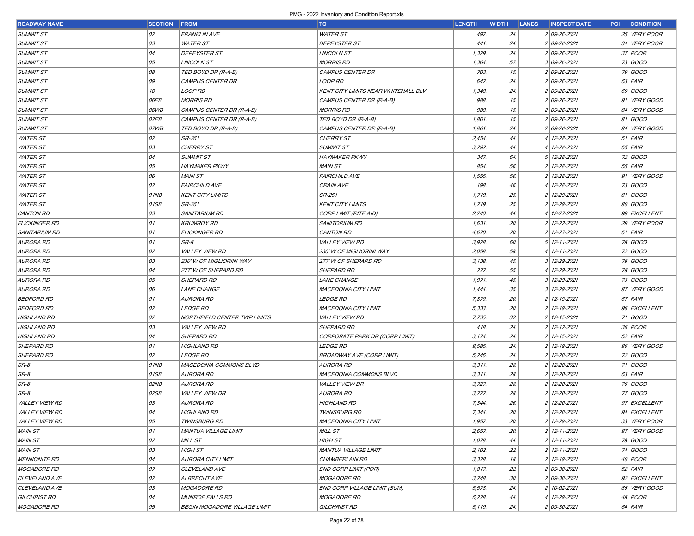| <b>ROADWAY NAME</b>   | <b>SECTION FROM</b> |                                     | <b>TO</b>                                  | <b>LENGTH</b> | <b>WIDTH</b> | <b>LANES</b> | <b>INSPECT DATE</b>          | <b>PCI CONDITION</b> |
|-----------------------|---------------------|-------------------------------------|--------------------------------------------|---------------|--------------|--------------|------------------------------|----------------------|
| <b>SUMMIT ST</b>      | 02                  | <b>FRANKLIN AVE</b>                 | <b>WATER ST</b>                            | 497.          | 24.          |              | 2 09-26-2021                 | 25 VERY POOR         |
| <b>SUMMIT ST</b>      | 03                  | <b>WATER ST</b>                     | <i>DEPEYSTER ST</i>                        | 441.          | 24.          |              | 2 09-26-2021                 | 34 VERY POOR         |
| <b>SUMMIT ST</b>      | 04                  | <b>DEPEYSTER ST</b>                 | <b>LINCOLN ST</b>                          | 1,329.        | 24.          |              | 2 09-26-2021                 | 37 <i>POOR</i>       |
| <b>SUMMIT ST</b>      | 05                  | <b>LINCOLN ST</b>                   | <b>MORRIS RD</b>                           | 1,364.        | 57.          |              | 3 09-26-2021                 | 73 GOOD              |
| SUMMIT ST             | 08                  | TED BOYD DR (R-A-B)                 | CAMPUS CENTER DR                           | 703.          | 15.          |              | 2 09-26-2021                 | 79 GOOD              |
| <b>SUMMIT ST</b>      | 09                  | CAMPUS CENTER DR                    | <b>LOOP RD</b>                             | 647.          | 24.          |              | 2 09-26-2021                 | $63$ FAIR            |
| SUMMIT ST             | 10                  | <b>LOOP RD</b>                      | KENT CITY LIMITS NEAR WHITEHALL BLV        | 1,348.        | 24.          |              | 2 09-26-2021                 | 69 GOOD              |
| <b>SUMMIT ST</b>      | 06EB                | <b>MORRIS RD</b>                    | CAMPUS CENTER DR (R-A-B)                   | 988.          | 15.          |              | 2 09-26-2021                 | 91 VERY GOOD         |
| <b>SUMMIT ST</b>      | 06WB                | CAMPUS CENTER DR (R-A-B)            | <b>MORRIS RD</b>                           | 988.          | 15.          |              | 2 09-26-2021                 | 84 VERY GOOD         |
| <b>SUMMIT ST</b>      | <i>07EB</i>         | CAMPUS CENTER DR (R-A-B)            | TED BOYD DR (R-A-B)                        | 1,801         | 15.          |              | 2 09-26-2021                 | 81 GOOD              |
| <b>SUMMIT ST</b>      | 07WB                | TED BOYD DR (R-A-B)                 | CAMPUS CENTER DR (R-A-B)                   | 1,801         | 24.          |              | 2 09-26-2021                 | 84 VERY GOOD         |
| <b>WATER ST</b>       | 02                  | SR-261                              | <b>CHERRY ST</b>                           | 2,454.        | 44.          |              | 12-28-2021                   | $51$ FAIR            |
| <b>WATER ST</b>       | 03                  | CHERRY ST                           | <b>SUMMIT ST</b>                           | 3,292.        | 44.          |              | 4 12-28-2021                 | $65$ FAIR            |
| <b>WATER ST</b>       | 04                  | <b>SUMMIT ST</b>                    | <b>HAYMAKER PKWY</b>                       | 347.          | 64.          |              | 5 12-28-2021                 | 72 GOOD              |
| <b>WATER ST</b>       | 05                  | <b>HAYMAKER PKWY</b>                | <b>MAIN ST</b>                             | 854.          | 56.          |              | 2 12-28-2021                 | $55$ $FAIR$          |
| <b>WATER ST</b>       | 06                  | <b>MAIN ST</b>                      | <b>FAIRCHILD AVE</b>                       | 1,555.        | 56.          |              | 2 12-28-2021                 | 91 VERY GOOD         |
| <b>WATER ST</b>       | 07                  | <b>FAIRCHILD AVE</b>                | CRAIN AVE                                  | 198.          | 46.          |              | 12-28-2021                   | 73 GOOD              |
| <b>WATER ST</b>       | 01NB                | <b>KENT CITY LIMITS</b>             | SR-261                                     | 1,719.        | 25.          |              | 2 12-29-2021                 | 81 GOOD              |
| <b>WATER ST</b>       | 01SB                | SR-261                              | <b>KENT CITY LIMITS</b>                    | 1,719.        | 25.          |              | 2 12-29-2021                 | 80 GOOD              |
| <b>CANTON RD</b>      | 03                  | <b>SANITARIUM RD</b>                | CORP LIMIT (RITE AID)                      | 2,240.        | 44.          |              | 4 12-27-2021                 | 99 EXCELLENT         |
| FLICKINGER RD         | 01                  | <b>KRUMROY RD</b>                   | <b>SANITORIUM RD</b>                       | 1,631.        | 20.          |              | 2 12-22-2021                 | 29 VERY POOR         |
| <i>SANITARIUM RD</i>  | 01                  | <b>FLICKINGER RD</b>                | <b>CANTON RD</b>                           | 4,670.        | 20.          |              | 2 12-27-2021                 | $61$ FAIR            |
| AURORA RD             | 01                  | $SR-8$                              | <b>VALLEY VIEW RD</b>                      | 3,928.        | 60.          |              | 5 12-11-2021                 | 78 GOOD              |
| AURORA RD             | 02                  | <b>VALLEY VIEW RD</b>               | 230' W OF MIGLIORINI WAY                   | 2,058.        | 58.          |              | 12-11-2021                   | 72 GOOD              |
| AURORA RD             | 03                  | 230' W OF MIGLIORINI WAY            | 277' W OF SHEPARD RD                       | 3, 138.       | 45.          |              | 3 12-29-2021                 | 78 GOOD              |
| AURORA RD             | 04                  | 277' W OF SHEPARD RD                | <b>SHEPARD RD</b>                          | 277.          | 55.          |              | 12-29-2021                   | 78 GOOD              |
| AURORA RD             | 05                  | <b>SHEPARD RD</b>                   | LANE CHANGE                                | 1,971.        | 45.          |              | 3 12-29-2021                 | 73 GOOD              |
| AURORA RD             | 06                  | LANE CHANGE                         | MACEDONIA CITY LIMIT                       | 1,444.        | 35.          |              | 3 12-29-2021                 | 87 VERY GOOD         |
| <b>BEDFORD RD</b>     | 01                  | <b>AURORA RD</b>                    | <i>LEDGE RD</i>                            | 7,879.        | 20.          |              | 2 12-19-2021                 | 67 FAIR              |
| <i>BEDFORD RD</i>     | 02                  | <i>LEDGE RD</i>                     | MACEDONIA CITY LIMIT                       | 5,333.        | 20.          |              | 2 12-19-2021                 | 96 EXCELLENT         |
| HIGHLAND RD           | 02                  | NORTHFIELD CENTER TWP LIMITS        | <b>VALLEY VIEW RD</b>                      | 7,735.        | 32.          |              | 2 12-15-2021                 | 71 GOOD              |
| HIGHLAND RD           | 03                  | <b>VALLEY VIEW RD</b>               | <b>SHEPARD RD</b>                          | 418.          | 24.          |              | 2 12-12-2021                 | 36 <i>POOR</i>       |
| <b>HIGHLAND RD</b>    | 04                  | <b>SHEPARD RD</b>                   | CORPORATE PARK DR (CORP LIMIT)             | 3,174.        | 24.          |              | 2 12-15-2021                 | $52$ FAIR            |
| SHEPARD RD            | 01                  | <b>HIGHLAND RD</b>                  | <b>LEDGE RD</b>                            | 8,585.        | 24.          |              | 2 12-19-2021                 | 86 VERY GOOD         |
| SHEPARD RD            | 02                  | <i>LEDGE RD</i>                     | BROADWAY AVE (CORP LIMIT)                  | 5,246.        | 24.          |              | 2 12-20-2021                 | 72 GOOD              |
| SR-8                  | 01NB                | MACEDONIA COMMONS BLVD              | AURORA RD                                  | 3,311.        | 28.          |              | 2 12-20-2021                 | 71 GOOD              |
| $SR-8$                | 01SB                | AURORA RD                           | MACEDONIA COMMONS BLVD                     | 3,311.        | 28.          |              | 2 12-20-2021                 | $63$ FAIR            |
| SR-8                  | 02NB                | <b>AURORA RD</b>                    | <b>VALLEY VIEW DR</b>                      | 3,727.        | 28.          |              | 2 12-20-2021                 | 76 GOOD              |
| SR-8                  | 02SB                | <b>VALLEY VIEW DR</b>               | AURORA RD                                  | 3,727.        | 28.          |              | 2 12-20-2021                 | 77 GOOD              |
| <b>VALLEY VIEW RD</b> | 03                  | AURORA RD                           | <b>HIGHLAND RD</b>                         | 7,344.        | 26.          |              | 2 12-20-2021                 | 97 EXCELLENT         |
| <b>VALLEY VIEW RD</b> | 04                  | HIGHLAND RD                         | <i>TWINSBURG RD</i>                        | 7,344.        | 20.          |              | 2 12-20-2021                 | 94 EXCELLENT         |
| <b>VALLEY VIEW RD</b> | 05                  | <i>TWINSBURG RD</i>                 | MACEDONIA CITY LIMIT                       | 1,957.        | 20.          |              | 2 12-29-2021                 | 33 VERY POOR         |
| MAIN ST               | 01                  | <b>MANTUA VILLAGE LIMIT</b>         | MILL ST                                    | 2,657.        | 20.          |              | $2$ 12-11-2021               | 87 VERY GOOD         |
| MAIN ST               | 02                  | MILL ST                             | HIGH ST                                    | 1,078.        | 44.          |              | $2$ 12-11-2021               | 78 GOOD              |
| MAIN ST               | 03                  | <b>HIGH ST</b>                      | MANTUA VILLAGE LIMIT                       | 2,102.        | 22.          |              | $2$ 12-11-2021               | 74 GOOD              |
| <b>MENNONITE RD</b>   | 04                  | <b>AURORA CITY LIMIT</b>            | CHAMBERLAIN RD                             | 3,378.        | 18.          |              | 2 12-19-2021                 | 40 <i>POOR</i>       |
|                       | 07                  |                                     |                                            |               | 22.          |              |                              | $52$ FAIR            |
| <i>MOGADORE RD</i>    | 02                  | CLEVELAND AVE<br>ALBRECHT AVE       | END CORP LIMIT (POR)<br><b>MOGADORE RD</b> | 1,817.        |              |              | 2 09-30-2021<br>2 09-30-2021 | 92 EXCELLENT         |
| <b>CLEVELAND AVE</b>  |                     |                                     |                                            | 3,748.        | 30.          |              |                              |                      |
| CLEVELAND AVE         | 03                  | <b>MOGADORE RD</b>                  | END CORP VILLAGE LIMIT (SUM)               | 5,578.        | 24.          |              | 2 10-02-2021                 | 86 VERY GOOD         |
| GILCHRIST RD          | 04                  | <b>MUNROE FALLS RD</b>              | <i>MOGADORE RD</i>                         | 6,278.        | 44.          |              | 4 12-29-2021                 | 48 <i>POOR</i>       |
| <i>MOGADORE RD</i>    | 05                  | <b>BEGIN MOGADORE VILLAGE LIMIT</b> | GILCHRIST RD                               | 5, 119.       | 24.          |              | 2 09-30-2021                 | $64$ FAIR            |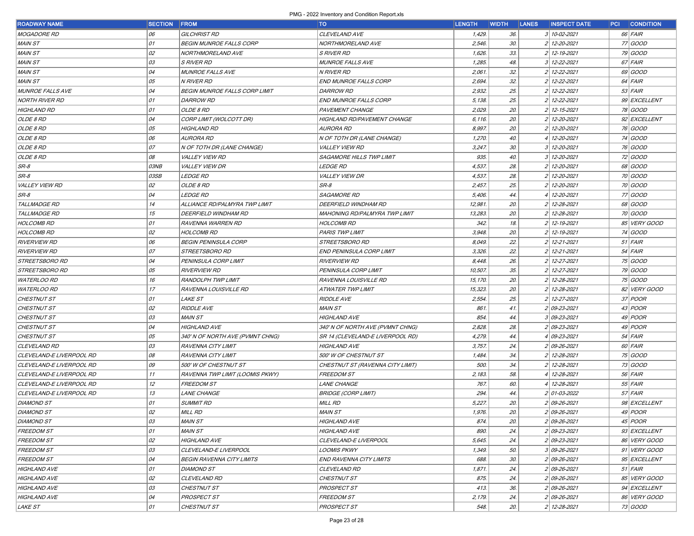| ROADWAY NAME             | <b>SECTION FROM</b> |                                      | <b>TO</b>                          | <b>LENGTH</b> | <b>WIDTH</b> | <b>LANES</b> | <b>INSPECT DATE</b> | PCI | <b>CONDITION</b> |
|--------------------------|---------------------|--------------------------------------|------------------------------------|---------------|--------------|--------------|---------------------|-----|------------------|
| <b>MOGADORE RD</b>       | 06                  | GILCHRIST RD                         | CLEVELAND AVE                      | 1,429.        | 36.          |              | 3 10-02-2021        |     | 66 FAIR          |
| MAIN ST                  | 01                  | <b>BEGIN MUNROE FALLS CORP</b>       | NORTHMORELAND AVE                  | 2,546.        | 30.          |              | 2 12-20-2021        |     | 77 GOOD          |
| MAIN ST                  | 02                  | NORTHMORELAND AVE                    | <i>S RIVER RD</i>                  | 1,626.        | 33.          |              | 2 12-19-2021        |     | 79 GOOD          |
| MAIN ST                  | 03                  | <b>S RIVER RD</b>                    | <b>MUNROE FALLS AVE</b>            | 1,285.        | 48.          |              | 3 12-22-2021        |     | 67 FAIR          |
| MAIN ST                  | 04                  | <b>MUNROE FALLS AVE</b>              | N RIVER RD                         | 2.061         | 32.          |              | 2 12-22-2021        |     | 69 GOOD          |
| MAIN ST                  | 05                  | N RIVER RD                           | END MUNROE FALLS CORP              | 2,694.        | 32.          |              | 2 12-22-2021        |     | $64$ FAIR        |
| <b>MUNROE FALLS AVE</b>  | 04                  | <b>BEGIN MUNROE FALLS CORP LIMIT</b> | <b>DARROW RD</b>                   | 2,932.        | 25.          |              | 2 12-22-2021        |     | $53$ FAIR        |
| NORTH RIVER RD           | 01                  | <b>DARROW RD</b>                     | <b>END MUNROE FALLS CORP</b>       | 5,138.        | 25.          |              | 2 12-22-2021        |     | 99 EXCELLENT     |
| HIGHLAND RD              | 01                  | <b>OLDE 8 RD</b>                     | PAVEMENT CHANGE                    | 2,029.        | 20.          |              | 2 12-15-2021        |     | 78 GOOD          |
| <b>OLDE 8 RD</b>         | 04                  | CORP LIMIT (WOLCOTT DR)              | <b>HIGHLAND RD/PAVEMENT CHANGE</b> | 6,116.        | 20.          |              | 2 12-20-2021        |     | 92 EXCELLENT     |
| <i>OLDE 8 RD</i>         | 05                  | <b>HIGHLAND RD</b>                   | AURORA RD                          | 8,997.        | 20.          |              | 2 12-20-2021        |     | 76 GOOD          |
| <b>OLDE 8 RD</b>         | 06                  | AURORA RD                            | N OF TOTH DR (LANE CHANGE)         | 1,270.        | 40.          |              | 4 12-20-2021        |     | 74 GOOD          |
| <i>OLDE 8 RD</i>         | 07                  | N OF TOTH DR (LANE CHANGE)           | <b>VALLEY VIEW RD</b>              | $3,247$ .     | 30.          |              | 3 12-20-2021        |     | 76 GOOD          |
| <b>OLDE 8 RD</b>         | 08                  | <b>VALLEY VIEW RD</b>                | SAGAMORE HILLS TWP LIMIT           | 935.          | 40.          |              | 3 12-20-2021        |     | 72 GOOD          |
| SR-8                     | 03NB                | <b>VALLEY VIEW DR</b>                | <i>LEDGE RD</i>                    | 4,537.        | 28.          |              | 2 12-20-2021        |     | 68 GOOD          |
| SR-8                     | <i>03SB</i>         | <i>LEDGE RD</i>                      | <b>VALLEY VIEW DR</b>              | 4,537.        | 28.          |              | 2 12-20-2021        |     | 70 GOOD          |
| <b>VALLEY VIEW RD</b>    | 02                  | OLDE 8 RD                            | $SR-8$                             | 2,457.        | 25.          |              | 2 12-20-2021        |     | 70 GOOD          |
| SR-8                     | 04                  | <b>LEDGE RD</b>                      | <b>SAGAMORE RD</b>                 | 5,406.        | 44.          |              | 4 12-20-2021        |     | 77 GOOD          |
| TALLMADGE RD             | 14                  | ALLIANCE RD/PALMYRA TWP LIMIT        | DEERFIELD WINDHAM RD               | 12,981.       | 20.          |              | 2 12-28-2021        |     | 68 GOOD          |
| TALLMADGE RD             | 15                  | <b>DEERFIELD WINDHAM RD</b>          | MAHONING RD/PALMYRA TWP LIMIT      | 13,283.       | 20.          |              | 2 12-28-2021        |     | 70 GOOD          |
| <i>HOLCOMB RD</i>        | 01                  | <b>RAVENNA WARREN RD</b>             | <b>HOLCOMB RD</b>                  | 342.          | 18.          |              | 2 12-19-2021        |     | 85 VERY GOOD     |
| <b>HOLCOMB RD</b>        | 02                  | <b>HOLCOMB RD</b>                    | <b>PARIS TWP LIMIT</b>             | 3,948.        | 20.          |              | 2 12-19-2021        |     | 74 GOOD          |
| <b>RIVERVIEW RD</b>      | 06                  | <b>BEGIN PENINSULA CORP</b>          | <i>STREETSBORO RD</i>              | 8,049.        | 22.          |              | 2 12-21-2021        |     | $51$ FAIR        |
| <i>RIVERVIEW RD</i>      | 07                  | STREETSBORO RD                       | END PENINSULA CORP LIMIT           | 3,326.        | 22.          |              | 2 12-21-2021        |     | $54$ FAIR        |
| <i>STREETSBORO RD</i>    | 04                  | PENINSULA CORP LIMIT                 | <b>RIVERVIEW RD</b>                | 8,448.        | 26.          |              | 2 12-27-2021        |     | 75 GOOD          |
| <i>STREETSBORO RD</i>    | 05                  | <b>RIVERVIEW RD</b>                  | PENINSULA CORP LIMIT               | 10,507.       | 35.          |              | 2 12-27-2021        |     | 79 GOOD          |
| <b>WATERLOO RD</b>       | 16                  | RANDOLPH TWP LIMIT                   | <b>RAVENNA LOUISVILLE RD</b>       | 15, 170.      | 20.          |              | 2 12-28-2021        |     | 75 GOOD          |
| <i>WATERLOO RD</i>       | 17                  | <i>RAVENNA LOUISVILLE RD</i>         | ATWATER TWP LIMIT                  | 15,323.       | 20.          |              | 2 12-28-2021        |     | 82 VERY GOOD     |
| <b>CHESTNUT ST</b>       | 01                  | <b>LAKE ST</b>                       | <b>RIDDLE AVE</b>                  | 2,554.        | 25.          |              | 2 12-27-2021        |     | 37 <i>POOR</i>   |
| <b>CHESTNUT ST</b>       | 02                  | <b>RIDDLE AVE</b>                    | <b>MAIN ST</b>                     | 861.          | 41.          |              | 2 09-23-2021        |     | 43 <i>POOR</i>   |
| <b>CHESTNUT ST</b>       | 03                  | <b>MAIN ST</b>                       | <b>HIGHLAND AVE</b>                | 854.          | 44.          |              | 3 09-23-2021        |     | 49 <i>POOR</i>   |
| <b>CHESTNUT ST</b>       | 04                  | <b>HIGHLAND AVE</b>                  | 340' N OF NORTH AVE (PVMNT CHNG)   | 2,828.        | 28.          |              | 2 09-23-2021        |     | 49 <i>POOR</i>   |
| <i>CHESTNUT ST</i>       | 05                  | 340' N OF NORTH AVE (PVMNT CHNG)     | SR 14 (CLEVELAND-E LIVERPOOL RD)   | 4,279.        | 44.          |              | 4 09-23-2021        |     | $54$ FAIR        |
| CLEVELAND RD             | 03                  | <b>RAVENNA CITY LIMIT</b>            | <b>HIGHLAND AVE</b>                | 3,757.        | 24.          |              | 2 09-26-2021        |     | 60 FAIR          |
| CLEVELAND-E LIVERPOOL RD | 08                  | <b>RAVENNA CITY LIMIT</b>            | 500' W OF CHESTNUT ST              | 1,484.        | 34.          |              | 2 12-28-2021        |     | 75 GOOD          |
| CLEVELAND-E LIVERPOOL RD | 09                  | 500' W OF CHESTNUT ST                | CHESTNUT ST (RAVENNA CITY LIMIT)   | 500.          | 34.          |              | 2 12-28-2021        |     | 73 GOOD          |
| CLEVELAND-E LIVERPOOL RD | 11                  | RAVENNA TWP LIMIT (LOOMIS PKWY)      | <b>FREEDOM ST</b>                  | 2,183.        | 58.          |              | 4 12-28-2021        |     | 56 FAIR          |
| CLEVELAND-E LIVERPOOL RD | 12                  | <b>FREEDOM ST</b>                    | LANE CHANGE                        | 767.          | 60.          |              | 4 12-28-2021        |     | $55$ FAIR        |
| CLEVELAND-E LIVERPOOL RD | 13                  | LANE CHANGE                          | <b>BRIDGE (CORP LIMIT)</b>         | 294.          | 44.          |              | 2 01-03-2022        |     | $57$ FAIR        |
| DIAMOND ST               | 01                  | <b>SUMMIT RD</b>                     | MILL RD                            | 5,227.        | 20.          |              | 2 09-26-2021        |     | 98 EXCELLENT     |
| <b>DIAMOND ST</b>        | 02                  | MILL RD                              | <b>MAIN ST</b>                     | 1,976.        | 20.          |              | 2 09-26-2021        |     | 49 <i>POOR</i>   |
| DIAMOND ST               | 03                  | <b>MAIN ST</b>                       | <b>HIGHLAND AVE</b>                | 874.          | 20.          |              | 2 09-26-2021        |     | 45 <i>POOR</i>   |
| <i>FREEDOM ST</i>        | 01                  | <i>MAIN ST</i>                       | <b>HIGHLAND AVE</b>                | 890.          | 24.          |              | 2 09-23-2021        |     | 93 EXCELLENT     |
| <i>FREEDOM ST</i>        | 02                  | <b>HIGHLAND AVE</b>                  | CLEVELAND-E LIVERPOOL              | 5,645.        | 24.          |              | 2 09-23-2021        |     | 86 VERY GOOD     |
| <i>FREEDOM ST</i>        | 03                  | CLEVELAND-E LIVERPOOL                | <b>LOOMIS PKWY</b>                 | 1,349.        | 50.          |              | $3 09-26-2021$      |     | 91 VERY GOOD     |
| <i>FREEDOM ST</i>        | 04                  | <b>BEGIN RAVENNA CITY LIMITS</b>     | <b>END RAVENNA CITY LIMITS</b>     | 688.          | 30.          |              | 2 09-26-2021        |     | 95 EXCELLENT     |
| HIGHLAND AVE             | 01                  | <b>DIAMOND ST</b>                    | CLEVELAND RD                       | 1,871.        | 24.          |              | 2 09-26-2021        |     | $51$ FAIR        |
| <b>HIGHLAND AVE</b>      | 02                  | CLEVELAND RD                         | <b>CHESTNUT ST</b>                 | 875.          | 24.          |              | 2 09-26-2021        |     | 85 VERY GOOD     |
| HIGHLAND AVE             | 03                  | <b>CHESTNUT ST</b>                   | <b>PROSPECT ST</b>                 | 413.          | 36.          |              | 2 09-26-2021        |     | 94 EXCELLENT     |
| <b>HIGHLAND AVE</b>      | 04                  | <b>PROSPECT ST</b>                   | <b>FREEDOM ST</b>                  | 2,179.        | 24.          |              | 2 09-26-2021        |     | 86 VERY GOOD     |
| <i>LAKE ST</i>           | 01                  | <b>CHESTNUT ST</b>                   | <b>PROSPECT ST</b>                 | 548.          | 20.          |              | 2 12-28-2021        |     | 73 GOOD          |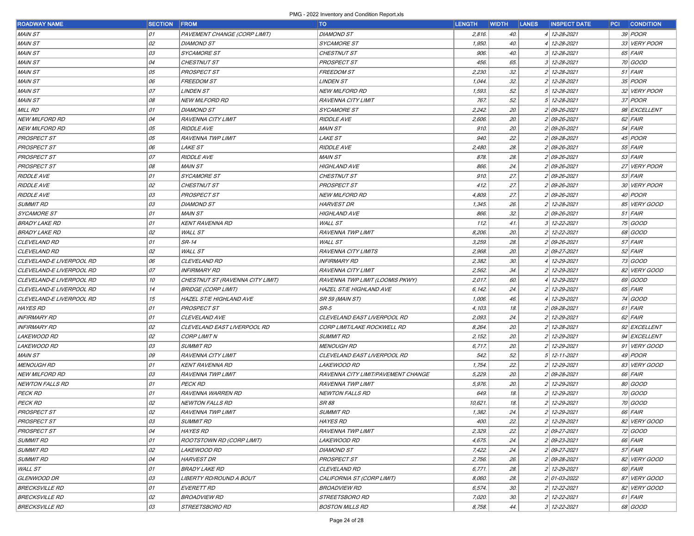| <b>ROADWAY NAME</b>      | <b>SECTION</b> | <b>FROM</b>                      | <b>TO</b>                          | <b>LENGTH</b> | <b>WIDTH</b> | <b>LANES</b><br><b>INSPECT DATE</b> | <b>PCI</b> | <b>CONDITION</b> |
|--------------------------|----------------|----------------------------------|------------------------------------|---------------|--------------|-------------------------------------|------------|------------------|
| <b>MAIN ST</b>           | 01             | PAVEMENT CHANGE (CORP LIMIT)     | <b>DIAMOND ST</b>                  | 2,816.        | 40.          | 4 12-28-2021                        |            | 39 <i>POOR</i>   |
| <b>MAIN ST</b>           | 02             | <b>DIAMOND ST</b>                | <b>SYCAMORE ST</b>                 | 1,950.        | 40.          | 12-28-2021                          |            | 33 VERY POOR     |
| <b>MAIN ST</b>           | 03             | SYCAMORE ST                      | CHESTNUT ST                        | 906.          | 40.          | 3 12-28-2021                        |            | 65 FAIR          |
| <b>MAIN ST</b>           | 04             | <b>CHESTNUT ST</b>               | <b>PROSPECT ST</b>                 | 456.          | 65.          | 3 12-28-2021                        |            | 70 GOOD          |
| <b>MAIN ST</b>           | 05             | PROSPECT ST                      | <b>FREEDOM ST</b>                  | 2,230.        | 32.          | 2 12-28-2021                        |            | $51$ FAIR        |
| <b>MAIN ST</b>           | 06             | <i>FREEDOM ST</i>                | <b>LINDEN ST</b>                   | 1,044.        | 32.          | 2 12-28-2021                        |            | $35$ POOR        |
| <b>MAIN ST</b>           | 07             | <i>LINDEN ST</i>                 | <b>NEW MILFORD RD</b>              | 1,593.        | 52.          | 12-28-2021                          |            | 32 VERY POOR     |
| <b>MAIN ST</b>           | 08             | NEW MILFORD RD                   | RAVENNA CITY LIMIT                 | 767.          | 52.          | 12-28-2021<br>51                    |            | 37 <i>POOR</i>   |
| MILL RD                  | 01             | <b>DIAMOND ST</b>                | <b>SYCAMORE ST</b>                 | 2,242         | 20.          | 2 09-26-2021                        |            | 98 EXCELLENT     |
| <b>NEW MILFORD RD</b>    | 04             | RAVENNA CITY LIMIT               | <b>RIDDLE AVE</b>                  | 2,606.        | 20.          | 2 09-26-2021                        |            | 62 FAIR          |
| <b>NEW MILFORD RD</b>    | 05             | <i>RIDDLE AVE</i>                | <b>MAIN ST</b>                     | 910.          | 20.          | 2 09-26-2021                        |            | $54$ FAIR        |
| <b>PROSPECT ST</b>       | 05             | RAVENNA TWP LIMIT                | <b>LAKE ST</b>                     | 940.          | 22.          | 2 09-28-2021                        |            | 45 <i>POOR</i>   |
| PROSPECT ST              | 06             | <i>LAKE ST</i>                   | <b>RIDDLE AVE</b>                  | 2,480.        | 28.          | 2 09-26-2021                        |            | $55$ FAIR        |
| <b>PROSPECT ST</b>       | 07             | <i>RIDDLE AVE</i>                | <b>MAIN ST</b>                     | 878.          | 28.          | 2 09-26-2021                        |            | $53$ FAIR        |
| PROSPECT ST              | 08             | MAIN ST                          | <b>HIGHLAND AVE</b>                | 866.          | 24.          | 2 09-26-2021                        |            | 27 VERY POOR     |
| <b>RIDDLE AVE</b>        | 01             | <i>SYCAMORE ST</i>               | CHESTNUT ST                        | 910.          | 27.          | 2 09-26-2021                        |            | $53$ FAIR        |
| <b>RIDDLE AVE</b>        | 02             | <b>CHESTNUT ST</b>               | <b>PROSPECT ST</b>                 | 412.          | 27.          | 2 09-26-2021                        |            | 30 VERY POOR     |
| <b>RIDDLE AVE</b>        | 03             | PROSPECT ST                      | <b>NEW MILFORD RD</b>              | 4,809.        | 27.          | 2 09-26-2021                        |            | 40 <i>POOR</i>   |
| <b>SUMMIT RD</b>         | 03             | DIAMOND ST                       | <b>HARVEST DR</b>                  | 1,345.        | 26.          | 2 12-28-2021                        |            | 85 VERY GOOD     |
| <b>SYCAMORE ST</b>       | 01             | MAIN ST                          | <b>HIGHLAND AVE</b>                | 866.          | 32.          | 2 09-26-2021                        |            | $51$ FAIR        |
| <b>BRADY LAKE RD</b>     | 01             | KENT RAVENNA RD                  | <b>WALL ST</b>                     | 112.          | 41.          | 3 12-22-2021                        |            | 75 GOOD          |
| <b>BRADY LAKE RD</b>     | 02             | <b>WALL ST</b>                   | RAVENNA TWP LIMIT                  | 8,206.        | 20.          | 12-22-2021                          |            | 68 GOOD          |
| CLEVELAND RD             | 01             | SR-14                            | <b>WALL ST</b>                     | 3,259.        | 28.          | 2 09-26-2021                        |            | 57 FAIR          |
| CLEVELAND RD             | 02             | <b>WALL ST</b>                   | RAVENNA CITY LIMITS                | 2,968.        | 20.          | 2 09-27-2021                        |            | $52$ FAIR        |
| CLEVELAND-E LIVERPOOL RD | 06             | CLEVELAND RD                     | <b>INFIRMARY RD</b>                | 2,382.        | 30.          | 12-29-2021                          |            | 73 GOOD          |
| CLEVELAND-E LIVERPOOL RD | 07             | INFIRMARY RD                     | RAVENNA CITY LIMIT                 | 2,562.        | 34.          | 12-29-2021<br>21                    |            | 82 VERY GOOD     |
| CLEVELAND-E LIVERPOOL RD | 10             | CHESTNUT ST (RAVENNA CITY LIMIT) | RAVENNA TWP LIMIT (LOOMIS PKWY)    | 2,017.        | 60.          | 12-29-2021                          |            | 69 GOOD          |
| CLEVELAND-E LIVERPOOL RD | 14             | BRIDGE (CORP LIMIT)              | <b>HAZEL ST/E HIGHLAND AVE</b>     | 6,142.        | 24.          | 12-29-2021                          |            | 65 FAIR          |
| CLEVELAND-E LIVERPOOL RD | 15             | HAZEL ST/E HIGHLAND AVE          | SR 59 (MAIN ST)                    | 1,006.        | 46.          | 12-29-2021                          |            | 74 GOOD          |
| <b>HAYES RD</b>          | 01             | PROSPECT ST                      | $SR-5$                             | 4,103.        | 18.          | 2 09-28-2021                        |            | $61$ FAIR        |
| INFIRMARY RD             | 01             | CLEVELAND AVE                    | CLEVELAND EAST LIVERPOOL RD        | 2,093.        | 24.          | 2 12-29-2021                        |            | 62 FAIR          |
| INFIRMARY RD             | 02             | CLEVELAND EAST LIVERPOOL RD      | CORP LIMIT/LAKE ROCKWELL RD        | 8,264.        | 20.          | 12-28-2021                          |            | 92 EXCELLENT     |
| <b>LAKEWOOD RD</b>       | 02             | <b>CORP LIMIT N</b>              | <b>SUMMIT RD</b>                   | 2,152.        | 20.          | 21<br>12-29-2021                    |            | 94 EXCELLENT     |
| <b>LAKEWOOD RD</b>       | 03             | <i>SUMMIT RD</i>                 | <b>MENOUGH RD</b>                  | 6,717.        | 20.          | 2 12-29-2021                        |            | 91 VERY GOOD     |
| <b>MAIN ST</b>           | 09             | RAVENNA CITY LIMIT               | CLEVELAND EAST LIVERPOOL RD        | 542.          | 52.          | 5 12-11-2021                        |            | 49 <i>POOR</i>   |
| <i>MENOUGH RD</i>        | 01             | <b>KENT RAVENNA RD</b>           | <i>LAKEWOOD RD</i>                 | 1,754.        | 22.          | 2 12-29-2021                        |            | 83 VERY GOOD     |
| <b>NEW MILFORD RD</b>    | 03             | RAVENNA TWP LIMIT                | RAVENNA CITY LIMIT/PAVEMENT CHANGE | 5,229.        | 20.          | 2 09-28-2021                        |            | 66 FAIR          |
| <b>NEWTON FALLS RD</b>   | 01             | PECK RD                          | <b>RAVENNA TWP LIMIT</b>           | 5,976.        | 20.          | 2 12-29-2021                        |            | 80 GOOD          |
| PECK RD                  | 01             | RAVENNA WARREN RD                | <b>NEWTON FALLS RD</b>             | 649.          | 18.          | 2 12-29-2021                        |            | 70 GOOD          |
| <b>PECK RD</b>           | 02             | <b>NEWTON FALLS RD</b>           | SR 88                              | 10,621        | 18.          | 2 12-29-2021                        |            | 70 GOOD          |
| <b>PROSPECT ST</b>       | 02             | RAVENNA TWP LIMIT                | <b>SUMMIT RD</b>                   | 1,382.        | 24.          | 2 12-29-2021                        |            | 66 FAIR          |
| <b>PROSPECT ST</b>       | 03             | <b>SUMMIT RD</b>                 | <b>HAYES RD</b>                    | 400.          | 22.          | 2 12-29-2021                        |            | 82 VERY GOOD     |
| <b>PROSPECT ST</b>       | 04             | <i>HAYES RD</i>                  | RAVENNA TWP LIMIT                  | 2,329.        | 22.          | 2 09-27-2021                        |            | 72 GOOD          |
| <b>SUMMIT RD</b>         | 01             | ROOTSTOWN RD (CORP LIMIT)        | <b>LAKEWOOD RD</b>                 | 4,675.        | 24.          | 2 09-23-2021                        |            | 66 FAIR          |
| <b>SUMMIT RD</b>         | 02             | <i>LAKEWOOD RD</i>               | <b>DIAMOND ST</b>                  | 7,422.        | 24.          | 2 09-27-2021                        |            | $57$ FAIR        |
| <b>SUMMIT RD</b>         | 04             | <i>HARVEST DR</i>                | <b>PROSPECT ST</b>                 | 2,756.        | 26.          | 2 09-28-2021                        |            | 82 VERY GOOD     |
| WALL ST                  | 01             | <i>BRADY LAKE RD</i>             | CLEVELAND RD                       | 6,771.        | 28.          | 2 12-29-2021                        |            | 60 FAIR          |
| <b>GLENWOOD DR</b>       | 03             | LIBERTY RD/ROUND A BOUT          | CALIFORNIA ST (CORP LIMIT)         | 8,060.        | 28.          | 2 01-03-2022                        |            | 87 VERY GOOD     |
| <b>BRECKSVILLE RD</b>    | 01             | <i>EVERETT RD</i>                | <b>BROADVIEW RD</b>                | 6,574.        | 30.          | 2 12-22-2021                        |            | 82 VERY GOOD     |
| <b>BRECKSVILLE RD</b>    | 02             | <i>BROADVIEW RD</i>              | STREETSBORO RD                     | 7,020.        | 30.          | 2 12-22-2021                        |            | 61 FAIR          |
| <b>BRECKSVILLE RD</b>    | 03             | STREETSBORO RD                   | <b>BOSTON MILLS RD</b>             | 8,758.        | 44.          | 3 12-22-2021                        |            | 68 GOOD          |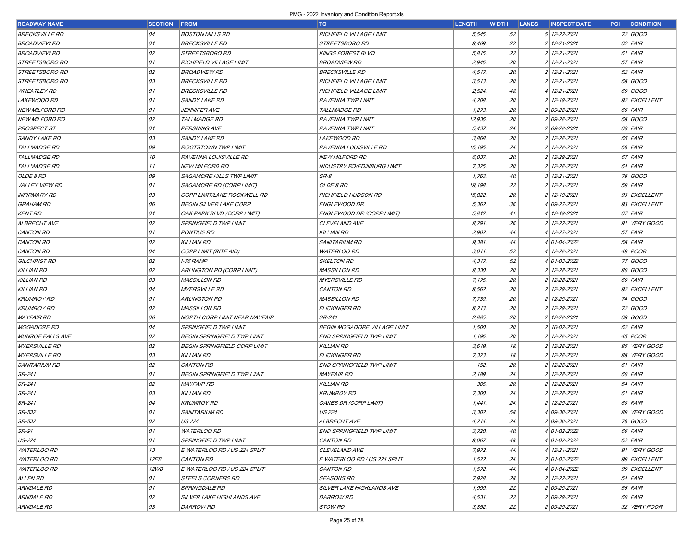| <b>ROADWAY NAME</b>     | <b>SECTION FROM</b> |                                     | <b>TO</b>                           | <b>LENGTH</b> | <b>WIDTH</b> | <b>LANES</b> | <b>INSPECT DATE</b> | <b>PCI CONDITION</b> |
|-------------------------|---------------------|-------------------------------------|-------------------------------------|---------------|--------------|--------------|---------------------|----------------------|
| <b>BRECKSVILLE RD</b>   | 04                  | <b>BOSTON MILLS RD</b>              | RICHFIELD VILLAGE LIMIT             | 5,545.        | 52.          |              | 5 12-22-2021        | 72 GOOD              |
| <b>BROADVIEW RD</b>     | 01                  | <b>BRECKSVILLE RD</b>               | <b>STREETSBORO RD</b>               | 8,469.        | 22.          |              | 2 12-21-2021        | $62$ FAIR            |
| <b>BROADVIEW RD</b>     | 02                  | STREETSBORO RD                      | <b>KINGS FOREST BLVD</b>            | 5,815.        | 22.          |              | 2 12-21-2021        | $61$ FAIR            |
| STREETSBORO RD          | 01                  | RICHFIELD VILLAGE LIMIT             | <b>BROADVIEW RD</b>                 | 2,946.        | 20.          |              | 2 12-21-2021        | $57$ FAIR            |
| STREETSBORO RD          | 02                  | <b>BROADVIEW RD</b>                 | <b>BRECKSVILLE RD</b>               | 4,517.        | 20.          |              | 2 12-21-2021        | $52$ FAIR            |
| STREETSBORO RD          | 03                  | <b>BRECKSVILLE RD</b>               | RICHFIELD VILLAGE LIMIT             | 3,513.        | 20.          |              | 2 12-21-2021        | 68 GOOD              |
| <b>WHEATLEY RD</b>      | 01                  | <b>BRECKSVILLE RD</b>               | RICHFIELD VILLAGE LIMIT             | 2,524         | 48.          |              | 4 12-21-2021        | 69 GOOD              |
| <b>LAKEWOOD RD</b>      | 01                  | <b>SANDY LAKE RD</b>                | <b>RAVENNA TWP LIMIT</b>            | 4,208.        | 20.          |              | 2 12-19-2021        | 92 EXCELLENT         |
| <b>NEW MILFORD RD</b>   | 01                  | <i>JENNIFER AVE</i>                 | TALLMADGE RD                        | 1,273.        | 20.          |              | 2 09-28-2021        | 66 FAIR              |
| <b>NEW MILFORD RD</b>   | 02                  | TALLMADGE RD                        | <b>RAVENNA TWP LIMIT</b>            | 12,936.       | 20.          |              | 2 09-28-2021        | 68 GOOD              |
| <b>PROSPECT ST</b>      | 01                  | <b>PERSHING AVE</b>                 | <b>RAVENNA TWP LIMIT</b>            | 5,437         | 24.          |              | 2 09-28-2021        | 66 FAIR              |
| <b>SANDY LAKE RD</b>    | 03                  | <b>SANDY LAKE RD</b>                | <b>LAKEWOOD RD</b>                  | 3,868.        | 20.          |              | 2 12-28-2021        | 65 FAIR              |
| TALLMADGE RD            | 09                  | <b>ROOTSTOWN TWP LIMIT</b>          | RAVENNA LOUISVILLE RD               | 16, 195.      | 24.          |              | 2 12-28-2021        | 66 FAIR              |
| <i>TALLMADGE RD</i>     | 10                  | RAVENNA LOUISVILLE RD               | <b>NEW MILFORD RD</b>               | 6,037.        | 20.          |              | 2 12-29-2021        | 67 FAIR              |
| <i>TALLMADGE RD</i>     | 11                  | NEW MILFORD RD                      | INDUSTRY RD/EDINBURG LIMIT          | 7,325.        | 20.          |              | 2 12-28-2021        | 64 FAIR              |
| OLDE 8 RD               | 09                  | SAGAMORE HILLS TWP LIMIT            | $SR-8$                              | 1,763.        | 40.          |              | 3 12-21-2021        | 78 GOOD              |
| <b>VALLEY VIEW RD</b>   | 01                  | SAGAMORE RD (CORP LIMIT)            | OLDE 8 RD                           | 19,198.       | 22.          |              | 2 12-21-2021        | $59$ FAIR            |
| <b>INFIRMARY RD</b>     | 03                  | CORP LIMIT/LAKE ROCKWELL RD         | RICHFIELD HUDSON RD                 | 15,022.       | 20.          |              | 2 12-19-2021        | 93 EXCELLENT         |
| <b>GRAHAM RD</b>        | 06                  | <b>BEGIN SILVER LAKE CORP</b>       | ENGLEWOOD DR                        | 5,362.        | 36.          |              | 4 09-27-2021        | 93 EXCELLENT         |
| <b>KENT RD</b>          | 01                  | OAK PARK BLVD (CORP LIMIT)          | ENGLEWOOD DR (CORP LIMIT)           | 5,812.        | 41.          |              | 4 12-19-2021        | $67$ FAIR            |
| <b>ALBRECHT AVE</b>     | 02                  | <b>SPRINGFIELD TWP LIMIT</b>        | CLEVELAND AVE                       | 8,791         | 26.          |              | 2 12-22-2021        | 91 VERY GOOD         |
| <b>CANTON RD</b>        | 01                  | <b>PONTIUS RD</b>                   | <b>KILLIAN RD</b>                   | 2,902         | 44.          |              | 4 12-27-2021        | $57$ FAIR            |
| <b>CANTON RD</b>        | 02                  | <b>KILLIAN RD</b>                   | <b>SANITARIUM RD</b>                | 9,381         | 44.          |              | 4 01-04-2022        | 58 FAIR              |
| <b>CANTON RD</b>        | 04                  | CORP LIMIT (RITE AID)               | <b>WATERLOO RD</b>                  | 3,011.        | 52.          |              | 4 12-28-2021        | 49 <i>POOR</i>       |
| GILCHRIST RD            | 02                  | I-76 RAMP                           | <b>SKELTON RD</b>                   | 4,317.        | 52.          |              | 4 01-03-2022        | 77 GOOD              |
| <b>KILLIAN RD</b>       | 02                  | ARLINGTON RD (CORP LIMIT)           | <b>MASSILLON RD</b>                 | 8,330.        | 20.          |              | 2 12-28-2021        | 80 GOOD              |
| <b>KILLIAN RD</b>       | 03                  | <b>MASSILLON RD</b>                 | <b>MYERSVILLE RD</b>                | 7, 175.       | 20.          |              | 2 12-28-2021        | 60 FAIR              |
| <b>KILLIAN RD</b>       | 04                  | <b>MYERSVILLE RD</b>                | <b>CANTON RD</b>                    | 8,562.        | 20.          |              | 2 12-29-2021        | 92 EXCELLENT         |
| <b>KRUMROY RD</b>       | 01                  | ARLINGTON RD                        | <b>MASSILLON RD</b>                 | 7,730.        | 20.          |              | 2 12-29-2021        | 74 GOOD              |
| <b>KRUMROY RD</b>       | 02                  | <b>MASSILLON RD</b>                 | <b>FLICKINGER RD</b>                | 8,213.        | 20.          |              | 2 12-29-2021        | 72 GOOD              |
| <b>MAYFAIR RD</b>       | 06                  | NORTH CORP LIMIT NEAR MAYFAIR       | SR-241                              | 2,885.        | 20.          |              | 2 12-28-2021        | 68 GOOD              |
| <b>MOGADORE RD</b>      | 04                  | SPRINGFIELD TWP LIMIT               | <b>BEGIN MOGADORE VILLAGE LIMIT</b> | 1,500.        | 20.          |              | 2 10-02-2021        | $62$ FAIR            |
| <b>MUNROE FALLS AVE</b> | 02                  | <b>BEGIN SPRINGFIELD TWP LIMIT</b>  | <b>END SPRINGFIELD TWP LIMIT</b>    | 1,196.        | 20.          |              | 2 12-28-2021        | $45$ POOR            |
| <b>MYERSVILLE RD</b>    | 02                  | <b>BEGIN SPRINGFIELD CORP LIMIT</b> | <b>KILLIAN RD</b>                   | 3,619.        | 18.          |              | 2 12-28-2021        | 85 VERY GOOD         |
| <b>MYERSVILLE RD</b>    | 03                  | <b>KILLIAN RD</b>                   | <b>FLICKINGER RD</b>                | 7,323.        | 18.          |              | 2 12-28-2021        | 88 VERY GOOD         |
| <b>SANITARIUM RD</b>    | 02                  | <b>CANTON RD</b>                    | END SPRINGFIELD TWP LIMIT           | 152.          | 20.          |              | 2 12-28-2021        | 61 FAIR              |
| SR-241                  | 01                  | <b>BEGIN SPRINGFIELD TWP LIMIT</b>  | <b>MAYFAIR RD</b>                   | 2,189.        | 24.          |              | 2 12-28-2021        | 60 FAIR              |
| SR-241                  | 02                  | <b>MAYFAIR RD</b>                   | <b>KILLIAN RD</b>                   | 305.          | 20.          |              | 2 12-28-2021        | $54$ FAIR            |
| SR-241                  | 03                  | <b>KILLIAN RD</b>                   | <b>KRUMROY RD</b>                   | 7,300.        | 24.          |              | 2 12-28-2021        | 61 FAIR              |
| SR-241                  | 04                  | <b>KRUMROY RD</b>                   | OAKES DR (CORP LIMIT)               | 1,441         | 24.          |              | 2 12-29-2021        | 60 FAIR              |
| SR-532                  | 01                  | SANITARIUM RD                       | US 224                              | 3,302.        | 58.          |              | $409 - 30 - 2021$   | 89 VERY GOOD         |
| <i>SR-532</i>           | 02                  | US 224                              | <b>ALBRECHT AVE</b>                 | 4,214.        | 24.          |              | 2 09-30-2021        | 76 GOOD              |
| <i>SR-91</i>            | 01                  | <b>WATERLOO RD</b>                  | <b>END SPRINGFIELD TWP LIMIT</b>    | 3,720.        | 40.          |              | 4 01-02-2022        | 66 FAIR              |
| US-224                  | 01                  | SPRINGFIELD TWP LIMIT               | <b>CANTON RD</b>                    | 8,067.        | 48.          |              | 4 01-02-2022        | $62$ FAIR            |
| <b>WATERLOO RD</b>      | 13                  | E WATERLOO RD / US 224 SPLIT        | CLEVELAND AVE                       | 7,972.        | 44.          |              | 4 12-21-2021        | 91 VERY GOOD         |
| <b>WATERLOO RD</b>      | 12EB                | <b>CANTON RD</b>                    | E WATERLOO RD / US 224 SPLIT        | 1,572.        | 24.          |              | 2 01-03-2022        | 99 EXCELLENT         |
| <b>WATERLOO RD</b>      | 12WB                | E WATERLOO RD / US 224 SPLIT        | <b>CANTON RD</b>                    | 1,572.        | 44.          |              | 4 01-04-2022        | 99 EXCELLENT         |
| ALLEN RD                | 01                  | STEELS CORNERS RD                   | <b>SEASONS RD</b>                   | 7,928.        | 28.          |              | 2 12-22-2021        | $54$ FAIR            |
| <b>ARNDALE RD</b>       | 01                  | SPRINGDALE RD                       | SILVER LAKE HIGHLANDS AVE           | 1,990.        | 22.          |              | 2 09-29-2021        | $56$ FAIR            |
| <b>ARNDALE RD</b>       | 02                  | <b>SILVER LAKE HIGHLANDS AVE</b>    | <b>DARROW RD</b>                    | 4,531.        | 22.          |              | 2 09-29-2021        | 60 FAIR              |
| <b>ARNDALE RD</b>       | 03                  | <b>DARROW RD</b>                    | STOW RD                             | 3,852.        | 22.          |              | 2 09-29-2021        | 32 VERY POOR         |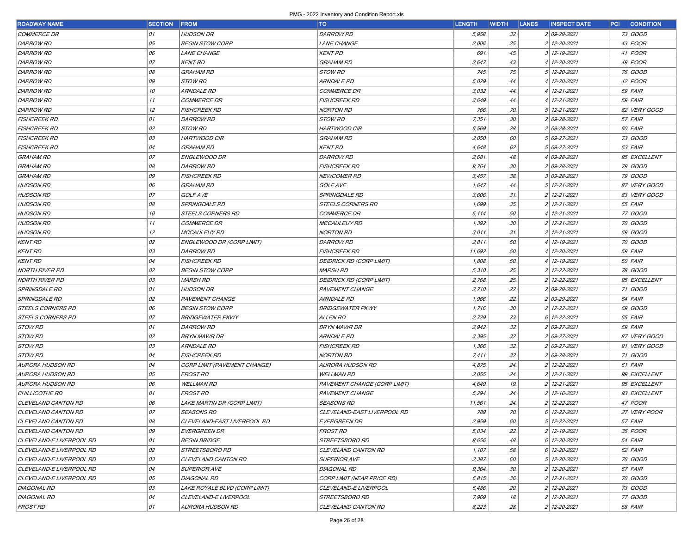| <b>ROADWAY NAME</b>      | <b>SECTION</b> | <b>FROM</b>                   | <b>TO</b>                    | <b>LENGTH</b> | <b>WIDTH</b> | <b>LANES</b> | <b>INSPECT DATE</b> | <b>PCI CONDITION</b> |  |
|--------------------------|----------------|-------------------------------|------------------------------|---------------|--------------|--------------|---------------------|----------------------|--|
| <b>COMMERCE DR</b>       | 01             | <b>HUDSON DR</b>              | <b>DARROW RD</b>             | 5,958.        | 32.          |              | 2 09-29-2021        | 73 GOOD              |  |
| <b>DARROW RD</b>         | 05             | <b>BEGIN STOW CORP</b>        | <i>LANE CHANGE</i>           | 2,006.        | 25.          |              | 2 12-20-2021        | 43 <i>POOR</i>       |  |
| <b>DARROW RD</b>         | 06             | LANE CHANGE                   | <b>KENT RD</b>               | 691.          | 45.          |              | 3 12-19-2021        | $41$ POOR            |  |
| <b>DARROW RD</b>         | 07             | <b>KENT RD</b>                | <b>GRAHAM RD</b>             | 2,647         | 43.          |              | 4 12-20-2021        | 49 <i>POOR</i>       |  |
| <b>DARROW RD</b>         | 08             | <b>GRAHAM RD</b>              | STOW RD                      | 745.          | 75.          |              | 5 12-20-2021        | 76 GOOD              |  |
| <b>DARROW RD</b>         | 09             | <i>STOW RD</i>                | ARNDALE RD                   | 5,029.        | 44.          |              | 4 12-20-2021        | 42 <i>POOR</i>       |  |
| <b>DARROW RD</b>         | 10             | <b>ARNDALE RD</b>             | <b>COMMERCE DR</b>           | 3,032.        | 44.          |              | 4 12-21-2021        | $59$ FAIR            |  |
| <b>DARROW RD</b>         | 11             | <b>COMMERCE DR</b>            | <b>FISHCREEK RD</b>          | 3,649.        | 44.          |              | 4 12-21-2021        | $59$ FAIR            |  |
| <b>DARROW RD</b>         | 12             | <b>FISHCREEK RD</b>           | NORTON RD                    | 766.          | 70.          |              | 5 12-21-2021        | 82 VERY GOOD         |  |
| <i>FISHCREEK RD</i>      | 01             | <b>DARROW RD</b>              | STOW RD                      | 7,351.        | 30.          |              | 2 09-28-2021        | $57$ FAIR            |  |
| <b>FISHCREEK RD</b>      | 02             | <i>STOW RD</i>                | <b>HARTWOOD CIR</b>          | 6,569.        | 28.          |              | 2 09-28-2021        | 60 FAIR              |  |
| <b>FISHCREEK RD</b>      | 03             | <b>HARTWOOD CIR</b>           | GRAHAM RD                    | 2,050.        | 60.          |              | 5 09-27-2021        | 73 GOOD              |  |
| <b>FISHCREEK RD</b>      | 04             | <b>GRAHAM RD</b>              | <b>KENT RD</b>               | 4,648.        | 62.          |              | 5 09-27-2021        | $63$ FAIR            |  |
| <b>GRAHAM RD</b>         | 07             | ENGLEWOOD DR                  | <b>DARROW RD</b>             | 2,681.        | 48.          |              | 4 09-28-2021        | 95 EXCELLENT         |  |
| <b>GRAHAM RD</b>         | 08             | <b>DARROW RD</b>              | <i>FISHCREEK RD</i>          | 9,764.        | 30.          |              | 2 09-28-2021        | 79 GOOD              |  |
| <b>GRAHAM RD</b>         | 09             | <b>FISHCREEK RD</b>           | <i>NEWCOMER RD</i>           | 3,457         | 38.          |              | 3 09-28-2021        | 79 GOOD              |  |
| <b>HUDSON RD</b>         | 06             | <b>GRAHAM RD</b>              | <b>GOLF AVE</b>              | 1,647.        | 44.          |              | 5 12-21-2021        | 87 VERY GOOD         |  |
| <b>HUDSON RD</b>         | 07             | <b>GOLF AVE</b>               | SPRINGDALE RD                | 3,606.        | 31.          |              | 2 12-21-2021        | 83 VERY GOOD         |  |
| <b>HUDSON RD</b>         | 08             | <b>SPRINGDALE RD</b>          | <b>STEELS CORNERS RD</b>     | 1,699.        | 35.          |              | 2 12-21-2021        | 65 FAIR              |  |
| <b>HUDSON RD</b>         | 10             | STEELS CORNERS RD             | <b>COMMERCE DR</b>           | 5,114.        | 50.          |              | 4 12-21-2021        | 77 GOOD              |  |
| <b>HUDSON RD</b>         | 11             | <b>COMMERCE DR</b>            | <b>MCCAULEUY RD</b>          | 1,392.        | 30.          |              | 2 12-21-2021        | 70 GOOD              |  |
| <b>HUDSON RD</b>         | 12             | <b>MCCAULEUY RD</b>           | NORTON RD                    | 3,011         | 31.          |              | 2 12-21-2021        | 69 GOOD              |  |
| <b>KENT RD</b>           | 02             | ENGLEWOOD DR (CORP LIMIT)     | <i>DARROW RD</i>             | 2,811         | 50.          |              | 4 12-19-2021        | 70 GOOD              |  |
| <b>KENT RD</b>           | 03             | <b>DARROW RD</b>              | <b>FISHCREEK RD</b>          | 11,692.       | 50.          |              | 4 12-20-2021        | $59$ FAIR            |  |
| <b>KENT RD</b>           | 04             | <b>FISHCREEK RD</b>           | DEIDRICK RD (CORP LIMIT)     | 1,808.        | 50.          |              | 4 12-19-2021        | $50$ FAIR            |  |
| NORTH RIVER RD           | 02             | <b>BEGIN STOW CORP</b>        | <i>MARSH RD</i>              | 5,310.        | 25.          |              | 2 12-22-2021        | 78 GOOD              |  |
| NORTH RIVER RD           | 03             | <b>MARSH RD</b>               | DEIDRICK RD (CORP LIMIT)     | 2,768.        | 25.          |              | 2 12-22-2021        | 95 EXCELLENT         |  |
| <b>SPRINGDALE RD</b>     | 01             | <b>HUDSON DR</b>              | PAVEMENT CHANGE              | 2,710.        | 22.          |              | 2 09-29-2021        | 71 GOOD              |  |
| <b>SPRINGDALE RD</b>     | 02             | PAVEMENT CHANGE               | ARNDALE RD                   | 1,966.        | 22.          |              | 2 09-29-2021        | $64$ FAIR            |  |
| STEELS CORNERS RD        | 06             | <b>BEGIN STOW CORP</b>        | BRIDGEWATER PKWY             | 1,716.        | 30.          |              | 2 12-22-2021        | 69 GOOD              |  |
| STEELS CORNERS RD        | 07             | <b>BRIDGEWATER PKWY</b>       | ALLEN RD                     | 2,729.        | 73.          |              | 6 12-22-2021        | 65 FAIR              |  |
| <i>STOW RD</i>           | 01             | <b>DARROW RD</b>              | <i>BRYN MAWR DR</i>          | 2,942.        | 32.          |              | 2 09-27-2021        | $59$ FAIR            |  |
| STOW RD                  | 02             | <b>BRYN MAWR DR</b>           | ARNDALE RD                   | 3,395.        | 32.          |              | 2 09-27-2021        | 87 VERY GOOD         |  |
| STOW RD                  | 03             | <b>ARNDALE RD</b>             | <b>FISHCREEK RD</b>          | 1,366.        | 32.          |              | 2 09-27-2021        | 91 VERY GOOD         |  |
| <i>STOW RD</i>           | 04             | <b>FISHCREEK RD</b>           | NORTON RD                    | 7,411         | 32.          |              | 2 09-28-2021        | 71 GOOD              |  |
| AURORA HUDSON RD         | 04             | CORP LIMIT (PAVEMENT CHANGE)  | AURORA HUDSON RD             | 4,875.        | 24.          |              | 2 12-22-2021        | $61$ FAIR            |  |
| AURORA HUDSON RD         | 05             | FROST RD                      | <b>WELLMAN RD</b>            | 2,055.        | 24.          |              | 2 12-21-2021        | 99 EXCELLENT         |  |
| <b>AURORA HUDSON RD</b>  | 06             | <b>WELLMAN RD</b>             | PAVEMENT CHANGE (CORP LIMIT) | 4,649.        | 19.          |              | 2 12-21-2021        | 95 EXCELLENT         |  |
| CHILLICOTHE RD           | 01             | <b>FROST RD</b>               | <b>PAVEMENT CHANGE</b>       | 5,294.        | 24.          |              | 2 12-16-2021        | 93 EXCELLENT         |  |
| CLEVELAND CANTON RD      | 06             | LAKE MARTIN DR (CORP LIMIT)   | SEASONS RD                   | 11,561.       | 24.          |              | 2 12-22-2021        | 47 <i>POOR</i>       |  |
| CLEVELAND CANTON RD      | 07             | <b>SEASONS RD</b>             | CLEVELAND-EAST LIVERPOOL RD  | 789.          | 70.          |              | 6 12-22-2021        | 27 VERY POOR         |  |
| CLEVELAND CANTON RD      | 08             | CLEVELAND-EAST LIVERPOOL RD   | EVERGREEN DR                 | 2,959.        | 60.          |              | 5 12-22-2021        | $57$ FAIR            |  |
| CLEVELAND CANTON RD      | 09             | <b>EVERGREEN DR</b>           | <i>FROST RD</i>              | 5,034.        | 22.          |              | 2 12-19-2021        | 36 <i>POOR</i>       |  |
| CLEVELAND-E LIVERPOOL RD | 01             | <b>BEGIN BRIDGE</b>           | <i>STREETSBORO RD</i>        | 8,656.        | 48.          |              | 6 12-20-2021        | $54$ FAIR            |  |
| CLEVELAND-E LIVERPOOL RD | 02             | STREETSBORO RD                | CLEVELAND CANTON RD          | 1,107.        | 58.          |              | 6 12-20-2021        | $62$ FAIR            |  |
| CLEVELAND-E LIVERPOOL RD | 03             | CLEVELAND CANTON RD           | <b>SUPERIOR AVE</b>          | 2,387.        | 60.          |              | 5 12-20-2021        | 70 GOOD              |  |
| CLEVELAND-E LIVERPOOL RD | 04             | <b>SUPERIOR AVE</b>           | DIAGONAL RD                  | 9,364.        | 30.          |              | 2 12-20-2021        | 67 FAIR              |  |
| CLEVELAND-E LIVERPOOL RD | 05             | DIAGONAL RD                   | CORP LIMIT (NEAR PRICE RD)   | 6,815.        | 36.          |              | 2 12-21-2021        | 70 GOOD              |  |
| DIAGONAL RD              | 03             | LAKE ROYALE BLVD (CORP LIMIT) | CLEVELAND-E LIVERPOOL        | 6,486.        | 20.          |              | 2 12-20-2021        | 73 GOOD              |  |
| DIAGONAL RD              | 04             | CLEVELAND-E LIVERPOOL         | <i>STREETSBORO RD</i>        | 7,969.        | 18.          |              | 2 12-20-2021        | 77 GOOD              |  |
| <i>FROST RD</i>          | 01             | AURORA HUDSON RD              | CLEVELAND CANTON RD          | 8,223.        | 28.          |              | 2 12-20-2021        | $58$ FAIR            |  |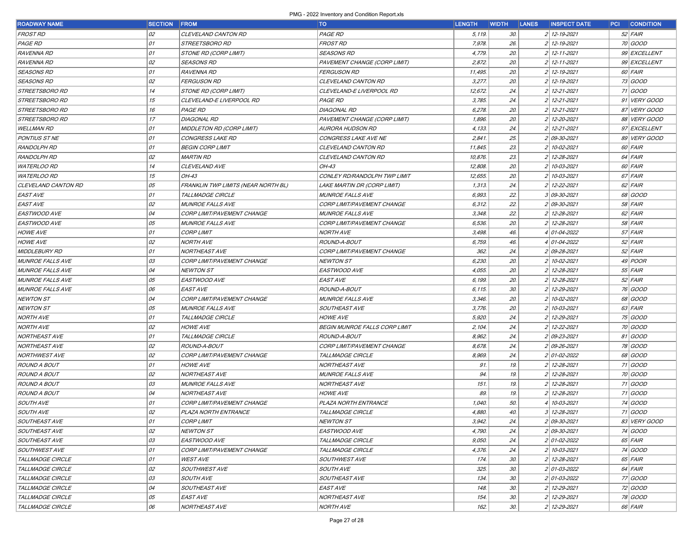| <b>ROADWAY NAME</b>     | <b>SECTION</b> | <b>FROM</b>                         | <b>TO</b>                            | <b>LENGTH</b> | <b>WIDTH</b> | <b>LANES</b>   | <b>INSPECT DATE</b> | PCI | <b>CONDITION</b> |
|-------------------------|----------------|-------------------------------------|--------------------------------------|---------------|--------------|----------------|---------------------|-----|------------------|
| <i>FROST RD</i>         | 02             | CLEVELAND CANTON RD                 | <b>PAGE RD</b>                       | 5,119.        | 30.          |                | 2 12-19-2021        |     | $52$ FAIR        |
| PAGE RD                 | 01             | STREETSBORO RD                      | FROST RD                             | 7,978.        | 26.          |                | 2 12-19-2021        |     | 70 GOOD          |
| RAVENNA RD              | 01             | STONE RD (CORP LIMIT)               | <b>SEASONS RD</b>                    | 4,779.        | 20.          |                | 2 12-11-2021        |     | 99 EXCELLENT     |
| RAVENNA RD              | 02             | <b>SEASONS RD</b>                   | PAVEMENT CHANGE (CORP LIMIT)         | 2,872.        | 20.          |                | 2 12-11-2021        |     | 99 EXCELLENT     |
| <b>SEASONS RD</b>       | 01             | RAVENNA RD                          | <b>FERGUSON RD</b>                   | 11,495.       | 20.          |                | 2 12-19-2021        |     | 60 FAIR          |
| SEASONS RD              | 02             | <b>FERGUSON RD</b>                  | CLEVELAND CANTON RD                  | 3,277         | 20.          |                | 12-19-2021          |     | 73 GOOD          |
| STREETSBORO RD          | 14             | STONE RD (CORP LIMIT)               | CLEVELAND-E LIVERPOOL RD             | 12,672        | 24.          |                | 2 12-21-2021        |     | 71 GOOD          |
| <i>STREETSBORO RD</i>   | 15             | CLEVELAND-E LIVERPOOL RD            | <b>PAGE RD</b>                       | 3,785.        | 24.          |                | 2 12-21-2021        |     | 91 VERY GOOD     |
| STREETSBORO RD          | 16             | <i>PAGE RD</i>                      | <b>DIAGONAL RD</b>                   | 6,278.        | 20.          |                | 2 12-21-2021        |     | 87 VERY GOOD     |
| <i>STREETSBORO RD</i>   | 17             | DIAGONAL RD                         | PAVEMENT CHANGE (CORP LIMIT)         | 1,896.        | 20.          |                | 2 12-20-2021        |     | 88 VERY GOOD     |
| <b>WELLMAN RD</b>       | 01             | MIDDLETON RD (CORP LIMIT)           | AURORA HUDSON RD                     | 4, 133.       | 24.          |                | 12-21-2021          |     | 97 EXCELLENT     |
| PONTIUS ST NE           | 01             | <b>CONGRESS LAKE RD</b>             | CONGRESS LAKE AVE NE                 | 2,841         | 25.          |                | 2 09-30-2021        |     | 89 VERY GOOD     |
| <i>RANDOLPH RD</i>      | 01             | <b>BEGIN CORP LIMIT</b>             | CLEVELAND CANTON RD                  | 11,845.       | 23.          |                | 2 10-02-2021        |     | 60 FAIR          |
| <b>RANDOLPH RD</b>      | 02             | <b>MARTIN RD</b>                    | CLEVELAND CANTON RD                  | 10,876.       | 23.          | 21             | 12-28-2021          |     | 64 FAIR          |
| <b>WATERLOO RD</b>      | 14             | CLEVELAND AVE                       | <i>OH-43</i>                         | 12,808.       | 20.          |                | 2 10-03-2021        |     | 60 FAIR          |
| <i>WATERLOO RD</i>      | 15             | OH-43                               | CONLEY RD/RANDOLPH TWP LIMIT         | 12,655        | 20.          | $\mathfrak{p}$ | 10-03-2021          |     | 67 FAIR          |
| CLEVELAND CANTON RD     | 05             | FRANKLIN TWP LIMITS (NEAR NORTH BL) | LAKE MARTIN DR (CORP LIMIT)          | 1,313.        | 24.          |                | 2 12-22-2021        |     | 62 FAIR          |
| EASTAVE                 | 01             | TALLMADGE CIRCLE                    | <b>MUNROE FALLS AVE</b>              | 6,993.        | 22.          |                | 3 09-30-2021        |     | 68 GOOD          |
| <b>EAST AVE</b>         | 02             | <b>MUNROE FALLS AVE</b>             | CORP LIMIT/PAVEMENT CHANGE           | 6,312.        | 22.          |                | 2 09-30-2021        |     | 58 FAIR          |
| <i>EASTWOOD AVE</i>     | 04             | CORP LIMIT/PAVEMENT CHANGE          | <b>MUNROE FALLS AVE</b>              | 3,348.        | 22.          |                | 2 12-28-2021        |     | $62$ FAIR        |
| EASTWOOD AVE            | 05             | <b>MUNROE FALLS AVE</b>             | CORP LIMIT/PAVEMENT CHANGE           | 6,536.        | 20.          |                | 2 12-28-2021        |     | 58 FAIR          |
| <b>HOWE AVE</b>         | 01             | <b>CORP LIMIT</b>                   | <b>NORTH AVE</b>                     | 3,498.        | 46.          |                | 4 01-04-2022        |     | 57 FAIR          |
| <b>HOWE AVE</b>         | 02             | <b>NORTH AVE</b>                    | ROUND-A-BOUT                         | 6,759.        | 46.          |                | 4 01-04-2022        |     | $52$ FAIR        |
| <b>MIDDLEBURY RD</b>    | 01             | <b>NORTHEAST AVE</b>                | CORP LIMIT/PAVEMENT CHANGE           | 362.          | 24.          |                | 2 09-28-2021        |     | $52$ FAIR        |
| <i>MUNROE FALLS AVE</i> | 03             | CORP LIMIT/PAVEMENT CHANGE          | NEWTON ST                            | 6,230.        | 20.          |                | 2 10-02-2021        |     | 49 <i>POOR</i>   |
| <b>MUNROE FALLS AVE</b> | 04             | <b>NEWTON ST</b>                    | <i>EASTWOOD AVE</i>                  | 4,055.        | 20.          |                | 12-28-2021          |     | $55$ FAIR        |
| <b>MUNROE FALLS AVE</b> | 05             | EASTWOOD AVE                        | <b>EAST AVE</b>                      | 6, 199.       | 20.          |                | 2 12-28-2021        |     | $52$ FAIR        |
| <b>MUNROE FALLS AVE</b> | 06             | EASTAVE                             | ROUND-A-BOUT                         | 6,115.        | 30.          |                | 2 12-29-2021        |     | 76 GOOD          |
| <b>NEWTON ST</b>        | 04             | CORP LIMIT/PAVEMENT CHANGE          | <i>MUNROE FALLS AVE</i>              | 3,346.        | 20.          | 21             | 10-02-2021          |     | 68 GOOD          |
| NEWTON ST               | 05             | <b>MUNROE FALLS AVE</b>             | <b>SOUTHEAST AVE</b>                 | 3,776.        | 20.          |                | 2 10-03-2021        |     | 63 FAIR          |
| <i>NORTH AVE</i>        | 01             | TALLMADGE CIRCLE                    | <i><b>HOWE AVE</b></i>               | 5,920         | 24.          |                | 12-29-2021          |     | 75 GOOD          |
| <i>NORTH AVE</i>        | 02             | <b>HOWE AVE</b>                     | <b>BEGIN MUNROE FALLS CORP LIMIT</b> | 2,104         | 24.          |                | 2 12-22-2021        |     | 70 GOOD          |
| <i>NORTHEAST AVE</i>    | 01             | TALLMADGE CIRCLE                    | ROUND-A-BOUT                         | 8,962         | 24.          |                | 2 09-23-2021        |     | 81 GOOD          |
| <i>NORTHEAST AVE</i>    | 02             | ROUND-A-BOUT                        | CORP LIMIT/PAVEMENT CHANGE           | 8,678.        | 24.          |                | 2 09-26-2021        |     | 78 GOOD          |
| <i>NORTHWEST AVE</i>    | 02             | CORP LIMIT/PAVEMENT CHANGE          | TALLMADGE CIRCLE                     | 8,969.        | 24.          |                | 2 01-02-2022        |     | 68 GOOD          |
| <b>ROUND A BOUT</b>     | 01             | <b>HOWE AVE</b>                     | <i>NORTHEAST AVE</i>                 | 91            | 19.          |                | 12-28-2021          |     | 71 GOOD          |
| <b>ROUND A BOUT</b>     | 02             | <b>NORTHEAST AVE</b>                | <b>MUNROE FALLS AVE</b>              | 94.           | 19.          | 2 <sup>1</sup> | 12-28-2021          |     | 70 GOOD          |
| <b>ROUND A BOUT</b>     | 03             | <b>MUNROE FALLS AVE</b>             | <b>NORTHEAST AVE</b>                 | 151           | 19.          |                | 2 12-28-2021        |     | 71 GOOD          |
| <b>ROUND A BOUT</b>     | 04             | <b>NORTHEAST AVE</b>                | <i>HOWE AVE</i>                      | 89.           | 19.          | 2              | 12-28-2021          |     | 71 GOOD          |
| <b>SOUTH AVE</b>        | 01             | CORP LIMIT/PAVEMENT CHANGE          | PLAZA NORTH ENTRANCE                 | 1,040.        | 50.          |                | 10-03-2021          |     | 74 GOOD          |
| <b>SOUTH AVE</b>        | 02             | PLAZA NORTH ENTRANCE                | TALLMADGE CIRCLE                     | 4,880.        | 40.          |                | $3 12 - 28 - 2021$  |     | $71$ GOOD        |
| <b>SOUTHEAST AVE</b>    | 01             | <b>CORP LIMIT</b>                   | <b>NEWTON ST</b>                     | 3,942.        | 24.          |                | 2 09-30-2021        |     | 83 VERY GOOD     |
| <b>SOUTHEAST AVE</b>    | 02             | <b>NEWTON ST</b>                    | EASTWOOD AVE                         | 4,790.        | 24.          |                | 2 09-30-2021        |     | 74 GOOD          |
| <b>SOUTHEAST AVE</b>    | 03             | <i>EASTWOOD AVE</i>                 | TALLMADGE CIRCLE                     | 9,050.        | 24.          |                | 2 01-02-2022        |     | 65 FAIR          |
| <b>SOUTHWEST AVE</b>    | 01             | CORP LIMIT/PAVEMENT CHANGE          | TALLMADGE CIRCLE                     | 4,376.        | 24.          |                | 2 10-03-2021        |     | 74 GOOD          |
| TALLMADGE CIRCLE        | 01             | <b>WESTAVE</b>                      | <b>SOUTHWEST AVE</b>                 | 174.          | 30.          |                | 2 12-28-2021        |     | 65 FAIR          |
| TALLMADGE CIRCLE        | 02             | <b>SOUTHWEST AVE</b>                | <b>SOUTH AVE</b>                     | 325.          | 30.          |                | 2 01-03-2022        |     | 64 FAIR          |
| TALLMADGE CIRCLE        | 03             | <i>SOUTH AVE</i>                    | <b>SOUTHEAST AVE</b>                 | 134.          | 30.          |                | 2 01-03-2022        |     | 77 GOOD          |
| TALLMADGE CIRCLE        | 04             | SOUTHEAST AVE                       | EASTAVE                              | 148.          | 30.          |                | 2 12-29-2021        |     | 72 GOOD          |
| TALLMADGE CIRCLE        | 05             | <i>EAST AVE</i>                     | <i>NORTHEAST AVE</i>                 | 154.          | 30.          |                | 2 12-29-2021        |     | 78 GOOD          |
| TALLMADGE CIRCLE        | 06             | <b>NORTHEAST AVE</b>                | <b>NORTH AVE</b>                     | 162.          | 30.          |                | 2 12-29-2021        |     | 66 FAIR          |